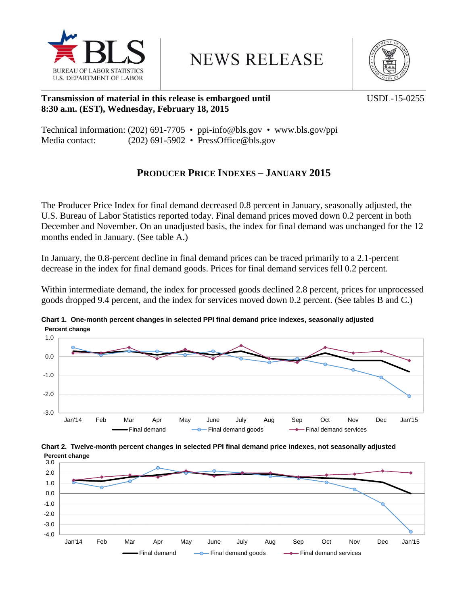

**NEWS RELEASE** 



### **Transmission of material in this release is embargoed until USDL-15-0255 8:30 a.m. (EST), Wednesday, February 18, 2015**

|                |  | Technical information: (202) 691-7705 • ppi-info@bls.gov • www.bls.gov/ppi |
|----------------|--|----------------------------------------------------------------------------|
| Media contact: |  | $(202)$ 691-5902 • PressOffice@bls.gov                                     |

# **PRODUCER PRICE INDEXES – JANUARY 2015**

The Producer Price Index for final demand decreased 0.8 percent in January, seasonally adjusted, the U.S. Bureau of Labor Statistics reported today. Final demand prices moved down 0.2 percent in both December and November. On an unadjusted basis, the index for final demand was unchanged for the 12 months ended in January. (See table A.)

In January, the 0.8-percent decline in final demand prices can be traced primarily to a 2.1-percent decrease in the index for final demand goods. Prices for final demand services fell 0.2 percent.

Within intermediate demand, the index for processed goods declined 2.8 percent, prices for unprocessed goods dropped 9.4 percent, and the index for services moved down 0.2 percent. (See tables B and C.)



**Chart 1. One-month percent changes in selected PPI final demand price indexes, seasonally adjusted Percent change**



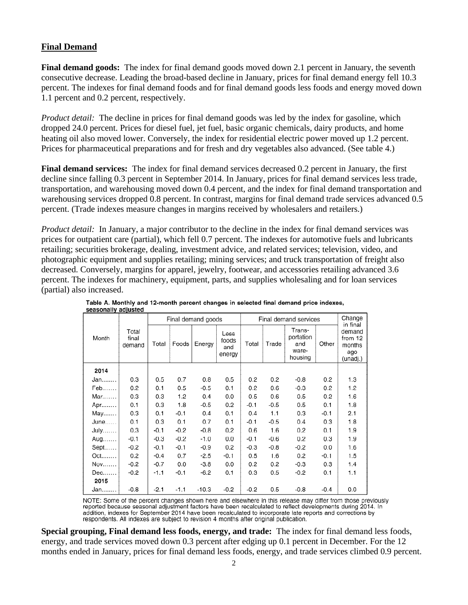### **Final Demand**

**Final demand goods:** The index for final demand goods moved down 2.1 percent in January, the seventh consecutive decrease. Leading the broad-based decline in January, prices for final demand energy fell 10.3 percent. The indexes for final demand foods and for final demand goods less foods and energy moved down 1.1 percent and 0.2 percent, respectively.

*Product detail:* The decline in prices for final demand goods was led by the index for gasoline, which dropped 24.0 percent. Prices for diesel fuel, jet fuel, basic organic chemicals, dairy products, and home heating oil also moved lower. Conversely, the index for residential electric power moved up 1.2 percent. Prices for pharmaceutical preparations and for fresh and dry vegetables also advanced. (See table 4.)

**Final demand services:** The index for final demand services decreased 0.2 percent in January, the first decline since falling 0.3 percent in September 2014. In January, prices for final demand services less trade, transportation, and warehousing moved down 0.4 percent, and the index for final demand transportation and warehousing services dropped 0.8 percent. In contrast, margins for final demand trade services advanced 0.5 percent. (Trade indexes measure changes in margins received by wholesalers and retailers.)

*Product detail:* In January, a major contributor to the decline in the index for final demand services was prices for outpatient care (partial), which fell 0.7 percent. The indexes for automotive fuels and lubricants retailing; securities brokerage, dealing, investment advice, and related services; television, video, and photographic equipment and supplies retailing; mining services; and truck transportation of freight also decreased. Conversely, margins for apparel, jewelry, footwear, and accessories retailing advanced 3.6 percent. The indexes for machinery, equipment, parts, and supplies wholesaling and for loan services (partial) also increased.

|       |                          |        |        | Final demand goods |                                | Final demand services |        |                                                |        | Change<br>in final                             |
|-------|--------------------------|--------|--------|--------------------|--------------------------------|-----------------------|--------|------------------------------------------------|--------|------------------------------------------------|
| Month | Total<br>final<br>demand | Total  | Foods  | Energy             | Less<br>foods<br>and<br>energy | Total                 | Trade  | Trans-<br>portation<br>and<br>ware-<br>housing | Other  | demand<br>from 12<br>months<br>ago<br>(unadj.) |
| 2014  |                          |        |        |                    |                                |                       |        |                                                |        |                                                |
| Jan   | 0.3                      | 0.5    | 0.7    | 0.8                | 0.5                            | 0.2                   | 0.2    | $-0.8$                                         | 0.2    | 1.3                                            |
| Feb   | 0.2                      | 0.1    | 0.5    | $-0.5$             | 0.1                            | 0.2                   | 0.6    | $-0.3$                                         | 0.2    | 1.2                                            |
| Mar   | 0.3                      | 0.3    | 1.2    | 0.4                | 0.0                            | 0.5                   | 0.6    | 0.5                                            | 0.2    | 1.6                                            |
| Apr.  | 0.1                      | 0.3    | 1.8    | $-0.5$             | 0.2                            | $-0.1$                | $-0.5$ | 0.5                                            | 0.1    | 1.8                                            |
| May   | 0.3                      | 0.1    | $-0.1$ | 0.4                | 0.1                            | 0.4                   | 1.1    | 0.3                                            | $-0.1$ | 2.1                                            |
| June  | 0.1                      | 0.3    | 0.1    | 0.7                | 0.1                            | $-0.1$                | $-0.5$ | 0.4                                            | 0.3    | 1.8                                            |
| July  | 0.3                      | $-0.1$ | $-0.2$ | $-0.8$             | 0.2                            | 0.6                   | 1.6    | 0.2                                            | 0.1    | 1.9                                            |
| Aug   | $-0.1$                   | $-0.3$ | $-0.2$ | $-1.0$             | 0.0                            | $-0.1$                | $-0.6$ | 0.2                                            | 0.3    | 1.9                                            |
| Sept. | $-0.2$                   | $-0.1$ | $-0.1$ | $-0.9$             | 0.2                            | $-0.3$                | $-0.8$ | $-0.2$                                         | 0.0    | 1.6                                            |
| Oct   | 0.2                      | $-0.4$ | 0.7    | $-2.5$             | $-0.1$                         | 0.5                   | 1.6    | 0.2                                            | $-0.1$ | 1.5                                            |
| Nov   | $-0.2$                   | $-0.7$ | 0.0    | $-3.8$             | 0.0                            | 0.2                   | 0.2    | $-0.3$                                         | 0.3    | 1.4                                            |
| Dec   | $-0.2$                   | $-1.1$ | $-0.1$ | $-6.2$             | 0.1                            | 0.3                   | 0.5    | $-0.2$                                         | 0.1    | 1.1                                            |
| 2015  |                          |        |        |                    |                                |                       |        |                                                |        |                                                |
| Jan   | $-0.8$                   | $-2.1$ | $-1.1$ | $-10.3$            | $-0.2$                         | $-0.2$                | 0.5    | $-0.8$                                         | $-0.4$ | 0.0                                            |

Table A. Monthly and 12-month percent changes in selected final demand price indexes, beasonally adjusted

NOTE: Some of the percent changes shown here and elsewhere in this release may differ from those previously reported because seasonal adjustment factors have been recalculated to reflect developments during 2014. In addition, indexes for September 2014 have been recalculated to incorporate late reports and corrections by respondents. All indexes are subject to revision 4 months after original publication.

**Special grouping, Final demand less foods, energy, and trade:** The index for final demand less foods, energy, and trade services moved down 0.3 percent after edging up 0.1 percent in December. For the 12 months ended in January, prices for final demand less foods, energy, and trade services climbed 0.9 percent.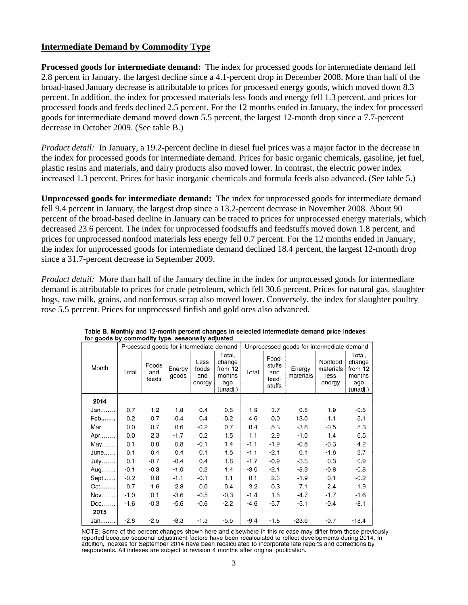### **Intermediate Demand by Commodity Type**

**Processed goods for intermediate demand:** The index for processed goods for intermediate demand fell 2.8 percent in January, the largest decline since a 4.1-percent drop in December 2008. More than half of the broad-based January decrease is attributable to prices for processed energy goods, which moved down 8.3 percent. In addition, the index for processed materials less foods and energy fell 1.3 percent, and prices for processed foods and feeds declined 2.5 percent. For the 12 months ended in January, the index for processed goods for intermediate demand moved down 5.5 percent, the largest 12-month drop since a 7.7-percent decrease in October 2009. (See table B.)

*Product detail:* In January, a 19.2-percent decline in diesel fuel prices was a major factor in the decrease in the index for processed goods for intermediate demand. Prices for basic organic chemicals, gasoline, jet fuel, plastic resins and materials, and dairy products also moved lower. In contrast, the electric power index increased 1.3 percent. Prices for basic inorganic chemicals and formula feeds also advanced. (See table 5.)

**Unprocessed goods for intermediate demand:** The index for unprocessed goods for intermediate demand fell 9.4 percent in January, the largest drop since a 13.2-percent decrease in November 2008. About 90 percent of the broad-based decline in January can be traced to prices for unprocessed energy materials, which decreased 23.6 percent. The index for unprocessed foodstuffs and feedstuffs moved down 1.8 percent, and prices for unprocessed nonfood materials less energy fell 0.7 percent. For the 12 months ended in January, the index for unprocessed goods for intermediate demand declined 18.4 percent, the largest 12-month drop since a 31.7-percent decrease in September 2009.

*Product detail:* More than half of the January decline in the index for unprocessed goods for intermediate demand is attributable to prices for crude petroleum, which fell 30.6 percent. Prices for natural gas, slaughter hogs, raw milk, grains, and nonferrous scrap also moved lower. Conversely, the index for slaughter poultry rose 5.5 percent. Prices for unprocessed finfish and gold ores also advanced.

|                 |        | Processed goods for intermediate demand |                 |                                |                                                          | Unprocessed goods for intermediate demand |                                           |                     |                                        |                                                          |
|-----------------|--------|-----------------------------------------|-----------------|--------------------------------|----------------------------------------------------------|-------------------------------------------|-------------------------------------------|---------------------|----------------------------------------|----------------------------------------------------------|
| Month           | Total  | Foods<br>and<br>feeds                   | Energy<br>goods | Less<br>foods<br>and<br>energy | Total,<br>change<br>from 12<br>months<br>ago<br>(unadj.) | Total                                     | Food-<br>stuffs<br>and<br>feed-<br>stuffs | Energy<br>materials | Nonfood<br>materials<br>less<br>energy | Total,<br>change<br>from 12<br>months<br>ago<br>(unadj.) |
| 2014            |        |                                         |                 |                                |                                                          |                                           |                                           |                     |                                        |                                                          |
| Jan             | 0.7    | 1.2                                     | 1.8             | 0.4                            | 0.5                                                      | 1.9                                       | 3.7                                       | 0.5                 | 1.9                                    | $-0.5$                                                   |
| Feb             | 0.2    | 0.7                                     | $-0.4$          | 0.4                            | $-0.2$                                                   | 4.6                                       | 0.0                                       | 13.0                | $-1.1$                                 | 5.1                                                      |
| Mar             | 0.0    | 0.7                                     | 0.6             | $-0.2$                         | 0.7                                                      | 0.4                                       | 5.3                                       | $-3.6$              | $-0.5$                                 | 5.3                                                      |
| Apr             | 0.0    | 2.3                                     | $-1.7$          | 0.2                            | 1.5                                                      | 1.1                                       | 2.9                                       | $-1.0$              | 1.4                                    | 6.5                                                      |
| May             | 0.1    | 0.0                                     | 0.8             | $-0.1$                         | 1.4                                                      | $-1.1$                                    | $-1.9$                                    | $-0.8$              | $-0.3$                                 | 4.2                                                      |
| June            | 0.1    | 0.4                                     | 0.4             | 0.1                            | 1.5                                                      | $-1.1$                                    | $-2.1$                                    | 0.1                 | $-1.6$                                 | 3.7                                                      |
| July            | 0.1    | $-0.7$                                  | $-0.4$          | 0.4                            | 1.6                                                      | $-1.7$                                    | $-0.9$                                    | $-3.5$              | 0.3                                    | 0.9                                                      |
| Aug…….          | $-0.1$ | $-0.3$                                  | $-1.0$          | 0.2                            | 1.4                                                      | $-3.0$                                    | $-2.1$                                    | $-5.3$              | $-0.8$                                 | $-0.5$                                                   |
| Sept            | $-0.2$ | 0.8                                     | $-1.1$          | $-0.1$                         | 1.1                                                      | 0.1                                       | 2.3                                       | $-1.9$              | 0.1                                    | $-0.2$                                                   |
| $Oct. \ldots$ . | $-0.7$ | $-1.6$                                  | $-2.8$          | 0.0                            | 0.4                                                      | $-3.2$                                    | 0.3                                       | $-7.1$              | $-2.4$                                 | $-1.9$                                                   |
| Nov             | $-1.0$ | 0.1                                     | $-3.6$          | $-0.5$                         | $-0.3$                                                   | $-1.4$                                    | 1.6                                       | $-4.7$              | $-1.7$                                 | $-1.6$                                                   |
| $Dec. \ldots$ . | $-1.6$ | -03                                     | $-5.6$          | $-0.6$                         | $-2.2$                                                   | $-4.6$                                    | $-5.7$                                    | $-5.1$              | $-0.4$                                 | $-8.1$                                                   |
| 2015            |        |                                         |                 |                                |                                                          |                                           |                                           |                     |                                        |                                                          |
| Jan <i></i> .   | $-2.8$ | $-2.5$                                  | $-8.3$          | $-1.3$                         | $-5.5$                                                   | $-9.4$                                    | $-1.8$                                    | $-23.6$             | $-0.7$                                 | $-18.4$                                                  |

|                                                  |  |  | Table B. Monthly and 12-month percent changes in selected intermediate demand price indexes |  |  |
|--------------------------------------------------|--|--|---------------------------------------------------------------------------------------------|--|--|
| for goods by commodity type, seasonally adjusted |  |  |                                                                                             |  |  |

NOTE: Some of the percent changes shown here and elsewhere in this release may differ from those previously reported because seasonal adjustment factors have been recalculated to reflect developments during 2014. In addition, indexes for September 2014 have been recalculated to incorporate late reports and corrections by respondents. All indexes are subject to revision 4 months after original publication.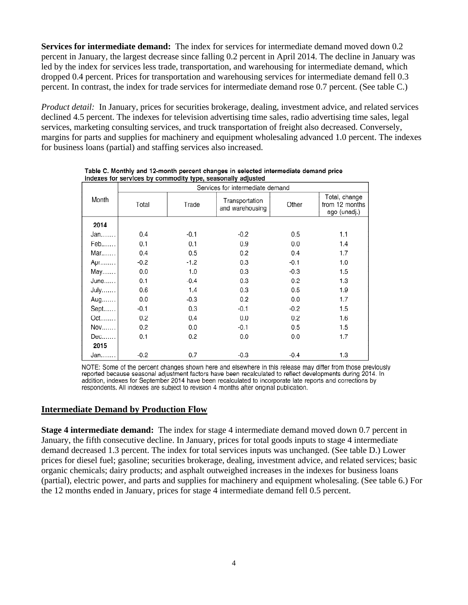**Services for intermediate demand:** The index for services for intermediate demand moved down 0.2 percent in January, the largest decrease since falling 0.2 percent in April 2014. The decline in January was led by the index for services less trade, transportation, and warehousing for intermediate demand, which dropped 0.4 percent. Prices for transportation and warehousing services for intermediate demand fell 0.3 percent. In contrast, the index for trade services for intermediate demand rose 0.7 percent. (See table C.)

*Product detail:* In January, prices for securities brokerage, dealing, investment advice, and related services declined 4.5 percent. The indexes for television advertising time sales, radio advertising time sales, legal services, marketing consulting services, and truck transportation of freight also decreased. Conversely, margins for parts and supplies for machinery and equipment wholesaling advanced 1.0 percent. The indexes for business loans (partial) and staffing services also increased.

|        | Services for intermediate demand |        |                                   |        |                                                 |  |  |  |  |  |  |
|--------|----------------------------------|--------|-----------------------------------|--------|-------------------------------------------------|--|--|--|--|--|--|
| Month  | Total                            | Trade  | Transportation<br>and warehousing | Other  | Total, change<br>from 12 months<br>ago (unadj.) |  |  |  |  |  |  |
| 2014   |                                  |        |                                   |        |                                                 |  |  |  |  |  |  |
| Jan    | 0.4                              | $-0.1$ | $-0.2$                            | 0.5    | 1.1                                             |  |  |  |  |  |  |
| Feb    | 0.1                              | 0.1    | 0.9                               | 0.0    | 1.4                                             |  |  |  |  |  |  |
| Mar    | 0.4                              | 0.5    | 0.2                               | 0.4    | 1.7                                             |  |  |  |  |  |  |
| Apr    | $-0.2$                           | $-1.2$ | 0.3                               | $-0.1$ | 1.0                                             |  |  |  |  |  |  |
| May    | 0.0                              | 1.0    | 0.3                               | $-0.3$ | 1.5                                             |  |  |  |  |  |  |
| June   | 0.1                              | $-0.4$ | 0.3                               | 0.2    | 1.3                                             |  |  |  |  |  |  |
| July.  | 0.6                              | 1.4    | 0.3                               | 0.5    | 1.9                                             |  |  |  |  |  |  |
| Aug    | 0.0                              | $-0.3$ | 0.2                               | 0.0    | 1.7                                             |  |  |  |  |  |  |
| Sept   | $-0.1$                           | 0.3    | $-0.1$                            | $-0.2$ | 1.5                                             |  |  |  |  |  |  |
| $Oct.$ | 0.2                              | 0.4    | 0.0                               | 0.2    | 1.6                                             |  |  |  |  |  |  |
| Nov    | 0.2                              | 0.0    | $-0.1$                            | 0.5    | 1.5                                             |  |  |  |  |  |  |
| $Dec.$ | 0.1                              | 0.2    | 0.0                               | 0.0    | 1.7                                             |  |  |  |  |  |  |
| 2015   |                                  |        |                                   |        |                                                 |  |  |  |  |  |  |
| Jan    | $-0.2$                           | 0.7    | $-0.3$                            | $-0.4$ | 1.3                                             |  |  |  |  |  |  |

| Table C. Monthly and 12-month percent changes in selected intermediate demand price |  |  |  |
|-------------------------------------------------------------------------------------|--|--|--|
| indexes for services by commodity type, seasonally adjusted                         |  |  |  |

NOTE: Some of the percent changes shown here and elsewhere in this release may differ from those previously reported because seasonal adjustment factors have been recalculated to reflect developments during 2014. In addition, indexes for September 2014 have been recalculated to incorporate late reports and corrections by respondents. All indexes are subject to revision 4 months after original publication.

### **Intermediate Demand by Production Flow**

**Stage 4 intermediate demand:** The index for stage 4 intermediate demand moved down 0.7 percent in January, the fifth consecutive decline. In January, prices for total goods inputs to stage 4 intermediate demand decreased 1.3 percent. The index for total services inputs was unchanged. (See table D.) Lower prices for diesel fuel; gasoline; securities brokerage, dealing, investment advice, and related services; basic organic chemicals; dairy products; and asphalt outweighed increases in the indexes for business loans (partial), electric power, and parts and supplies for machinery and equipment wholesaling. (See table 6.) For the 12 months ended in January, prices for stage 4 intermediate demand fell 0.5 percent.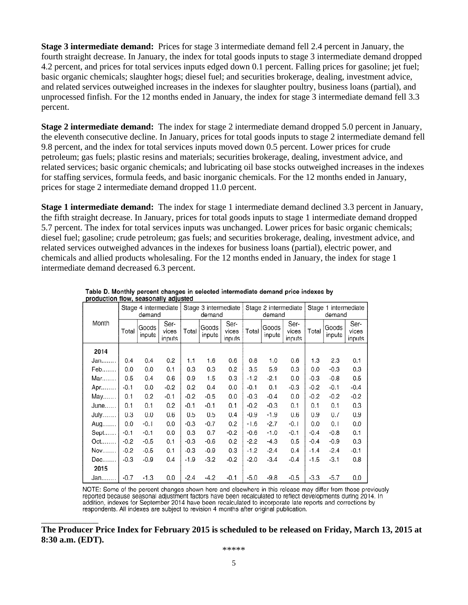**Stage 3 intermediate demand:** Prices for stage 3 intermediate demand fell 2.4 percent in January, the fourth straight decrease. In January, the index for total goods inputs to stage 3 intermediate demand dropped 4.2 percent, and prices for total services inputs edged down 0.1 percent. Falling prices for gasoline; jet fuel; basic organic chemicals; slaughter hogs; diesel fuel; and securities brokerage, dealing, investment advice, and related services outweighed increases in the indexes for slaughter poultry, business loans (partial), and unprocessed finfish. For the 12 months ended in January, the index for stage 3 intermediate demand fell 3.3 percent.

**Stage 2 intermediate demand:** The index for stage 2 intermediate demand dropped 5.0 percent in January, the eleventh consecutive decline. In January, prices for total goods inputs to stage 2 intermediate demand fell 9.8 percent, and the index for total services inputs moved down 0.5 percent. Lower prices for crude petroleum; gas fuels; plastic resins and materials; securities brokerage, dealing, investment advice, and related services; basic organic chemicals; and lubricating oil base stocks outweighed increases in the indexes for staffing services, formula feeds, and basic inorganic chemicals. For the 12 months ended in January, prices for stage 2 intermediate demand dropped 11.0 percent.

**Stage 1 intermediate demand:** The index for stage 1 intermediate demand declined 3.3 percent in January, the fifth straight decrease. In January, prices for total goods inputs to stage 1 intermediate demand dropped 5.7 percent. The index for total services inputs was unchanged. Lower prices for basic organic chemicals; diesel fuel; gasoline; crude petroleum; gas fuels; and securities brokerage, dealing, investment advice, and related services outweighed advances in the indexes for business loans (partial), electric power, and chemicals and allied products wholesaling. For the 12 months ended in January, the index for stage 1 intermediate demand decreased 6.3 percent.

|                  | production now, seasonary adjusted |                 |                                |        |                                |                         |        |                                |                         |        |                 |                         |
|------------------|------------------------------------|-----------------|--------------------------------|--------|--------------------------------|-------------------------|--------|--------------------------------|-------------------------|--------|-----------------|-------------------------|
|                  | Stage 4 intermediate<br>demand     |                 | Stage 3 intermediate<br>demand |        | Stage 2 intermediate<br>demand |                         |        | Stage 1 intermediate<br>demand |                         |        |                 |                         |
| Month            | Total                              | Goods<br>inputs | Ser-<br>vices<br>inputs        | Total  | Goods<br>inputs                | Ser-<br>vices<br>inputs | Total  | Goods<br>inputs                | Ser-<br>vices<br>inputs | Total  | Goods<br>inputs | Ser-<br>vices<br>inputs |
| 2014             |                                    |                 |                                |        |                                |                         |        |                                |                         |        |                 |                         |
| Jan.             | 0.4                                | 0.4             | 0.2                            | 1.1    | 1.6                            | 0.6                     | 0.8    | 1.0                            | 0.6                     | 1.3    | 2.3             | 0.1                     |
| Feb              | 0.0                                | 0.0             | 0.1                            | 0.3    | 0.3                            | 0.2                     | 3.5    | 5.9                            | 0.3                     | 0.0    | $-0.3$          | 0.3                     |
| Mar              | 0.5                                | 0.4             | 0.6                            | 0.9    | 1.5                            | 0.3                     | $-1.2$ | $-2.1$                         | 0.0                     | $-0.3$ | $-0.8$          | 0.5                     |
| Apr              | $-0.1$                             | 0.0             | $-0.2$                         | 0.2    | 0.4                            | 0.0                     | $-0.1$ | 0.1                            | $-0.3$                  | $-0.2$ | $-0.1$          | $-0.4$                  |
| May              | 0.1                                | 0.2             | $-0.1$                         | $-0.2$ | $-0.5$                         | 0.0                     | $-0.3$ | $-0.4$                         | 0.0                     | $-0.2$ | $-0.2$          | $-0.2$                  |
| June             | 0.1                                | 0.1             | 0.2                            | $-0.1$ | $-0.1$                         | 0.1                     | $-0.2$ | $-0.3$                         | 0.1                     | 0.1    | 0.1             | 0.3                     |
| July             | 0.3                                | 0.0             | 0.6                            | 0.5    | 0.5                            | 0.4                     | $-0.9$ | $-1.9$                         | 0.6                     | 0.9    | 0.7             | 0.9                     |
| Aug              | 0.0                                | $-0.1$          | 0.0                            | $-0.3$ | $-0.7$                         | 0.2                     | $-1.6$ | $-2.7$                         | $-0.1$                  | 0.0    | 0.1             | 0.0                     |
| $Sept. \ldots$ . | $-0.1$                             | $-0.1$          | 0.0                            | 0.3    | 0.7                            | $-0.2$                  | $-0.6$ | $-1.0$                         | $-0.1$                  | $-0.4$ | $-0.8$          | 0.1                     |
| $Oct.\dots$      | $-0.2$                             | $-0.5$          | 0.1                            | $-0.3$ | $-0.6$                         | 0.2                     | $-2.2$ | $-4.3$                         | 0.5                     | $-0.4$ | $-0.9$          | 0.3                     |
| Nov              | $-0.2$                             | $-0.5$          | 0.1                            | $-0.3$ | $-0.9$                         | 0.3                     | $-1.2$ | $-2.4$                         | 0.4                     | $-1.4$ | $-2.4$          | $-0.1$                  |
| Dec              | $-0.3$                             | $-0.9$          | 0.4                            | $-1.9$ | $-3.2$                         | $-0.2$                  | $-2.0$ | $-3.4$                         | $-0.4$                  | $-1.5$ | $-3.1$          | 0.8                     |
| 2015             |                                    |                 |                                |        |                                |                         |        |                                |                         |        |                 |                         |
| Jan.             | $-0.7$                             | $-1.3$          | 0.0                            | $-2.4$ | $-4.2$                         | -0.1                    | $-5.0$ | $-9.8$                         | $-0.5$                  | $-3.3$ | $-5.7$          | 0.0                     |

Table D. Monthly percent changes in selected intermediate demand price indexes by production flow, conconcily adjusted

NOTE: Some of the percent changes shown here and elsewhere in this release may differ from those previously reported because seasonal adjustment factors have been recalculated to reflect developments during 2014. In addition, indexes for September 2014 have been recalculated to incorporate late reports and corrections by respondents. All indexes are subject to revision 4 months after original publication.

**The Producer Price Index for February 2015 is scheduled to be released on Friday, March 13, 2015 at 8:30 a.m. (EDT).** 

\_\_\_\_\_\_\_\_\_\_\_\_\_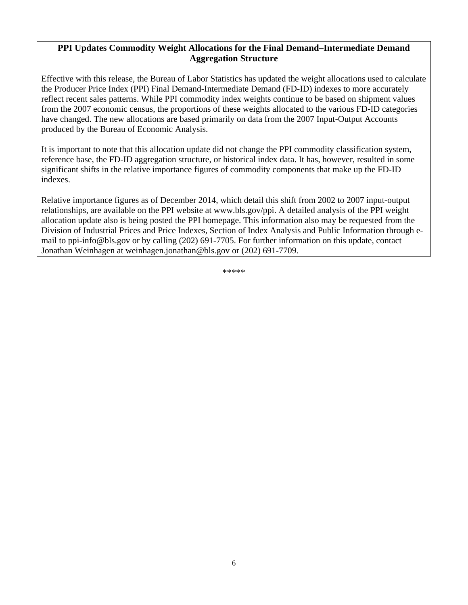### **PPI Updates Commodity Weight Allocations for the Final Demand–Intermediate Demand Aggregation Structure**

Effective with this release, the Bureau of Labor Statistics has updated the weight allocations used to calculate the Producer Price Index (PPI) Final Demand-Intermediate Demand (FD-ID) indexes to more accurately reflect recent sales patterns. While PPI commodity index weights continue to be based on shipment values from the 2007 economic census, the proportions of these weights allocated to the various FD-ID categories have changed. The new allocations are based primarily on data from the 2007 Input-Output Accounts produced by the Bureau of Economic Analysis.

It is important to note that this allocation update did not change the PPI commodity classification system, reference base, the FD-ID aggregation structure, or historical index data. It has, however, resulted in some significant shifts in the relative importance figures of commodity components that make up the FD-ID indexes.

Relative importance figures as of December 2014, which detail this shift from 2002 to 2007 input-output relationships, are available on the PPI website at www.bls.gov/ppi. A detailed analysis of the PPI weight allocation update also is being posted the PPI homepage. This information also may be requested from the Division of Industrial Prices and Price Indexes, Section of Index Analysis and Public Information through email to ppi-info@bls.gov or by calling (202) 691-7705. For further information on this update, contact Jonathan Weinhagen at weinhagen.jonathan@bls.gov or (202) 691-7709.

\*\*\*\*\*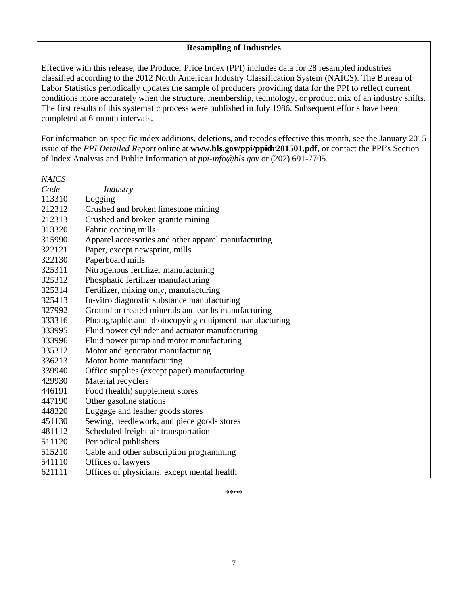### **Resampling of Industries**

Effective with this release, the Producer Price Index (PPI) includes data for 28 resampled industries classified according to the 2012 North American Industry Classification System (NAICS). The Bureau of Labor Statistics periodically updates the sample of producers providing data for the PPI to reflect current conditions more accurately when the structure, membership, technology, or product mix of an industry shifts. The first results of this systematic process were published in July 1986. Subsequent efforts have been completed at 6-month intervals.

For information on specific index additions, deletions, and recodes effective this month, see the January 2015 issue of the *PPI Detailed Report* online at **www.bls.gov/ppi/ppidr201501.pdf**, or contact the PPI's Section of Index Analysis and Public Information at *ppi-info@bls.gov* or (202) 691-7705.

*NAICS* 

| Code   | Industry                                              |
|--------|-------------------------------------------------------|
| 113310 | Logging                                               |
| 212312 | Crushed and broken limestone mining                   |
| 212313 | Crushed and broken granite mining                     |
| 313320 | Fabric coating mills                                  |
| 315990 | Apparel accessories and other apparel manufacturing   |
| 322121 | Paper, except newsprint, mills                        |
| 322130 | Paperboard mills                                      |
| 325311 | Nitrogenous fertilizer manufacturing                  |
| 325312 | Phosphatic fertilizer manufacturing                   |
| 325314 | Fertilizer, mixing only, manufacturing                |
| 325413 | In-vitro diagnostic substance manufacturing           |
| 327992 | Ground or treated minerals and earths manufacturing   |
| 333316 | Photographic and photocopying equipment manufacturing |
| 333995 | Fluid power cylinder and actuator manufacturing       |
| 333996 | Fluid power pump and motor manufacturing              |
| 335312 | Motor and generator manufacturing                     |
| 336213 | Motor home manufacturing                              |
| 339940 | Office supplies (except paper) manufacturing          |
| 429930 | Material recyclers                                    |
| 446191 | Food (health) supplement stores                       |
| 447190 | Other gasoline stations                               |
| 448320 | Luggage and leather goods stores                      |
| 451130 | Sewing, needlework, and piece goods stores            |
| 481112 | Scheduled freight air transportation                  |
| 511120 | Periodical publishers                                 |
| 515210 | Cable and other subscription programming              |
| 541110 | Offices of lawyers                                    |
| 621111 | Offices of physicians, except mental health           |

\*\*\*\*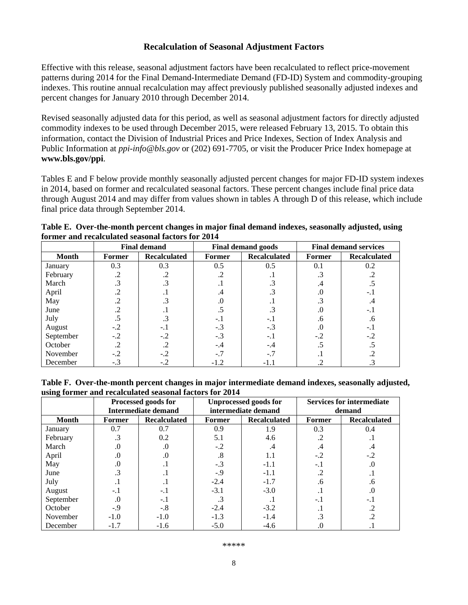### **Recalculation of Seasonal Adjustment Factors**

Effective with this release, seasonal adjustment factors have been recalculated to reflect price-movement patterns during 2014 for the Final Demand-Intermediate Demand (FD-ID) System and commodity-grouping indexes. This routine annual recalculation may affect previously published seasonally adjusted indexes and percent changes for January 2010 through December 2014.

Revised seasonally adjusted data for this period, as well as seasonal adjustment factors for directly adjusted commodity indexes to be used through December 2015, were released February 13, 2015. To obtain this information, contact the Division of Industrial Prices and Price Indexes, Section of Index Analysis and Public Information at *ppi-info@bls.gov* or (202) 691-7705, or visit the Producer Price Index homepage at **www.bls.gov/ppi**.

Tables E and F below provide monthly seasonally adjusted percent changes for major FD-ID system indexes in 2014, based on former and recalculated seasonal factors. These percent changes include final price data through August 2014 and may differ from values shown in tables A through D of this release, which include final price data through September 2014.

| Table E. Over-the-month percent changes in major final demand indexes, seasonally adjusted, using |  |
|---------------------------------------------------------------------------------------------------|--|
| former and recalculated seasonal factors for 2014                                                 |  |

|              |                               | <b>Final demand</b> |               | <b>Final demand goods</b> | <b>Final demand services</b> |                     |  |
|--------------|-------------------------------|---------------------|---------------|---------------------------|------------------------------|---------------------|--|
| <b>Month</b> | <b>Recalculated</b><br>Former |                     | <b>Former</b> | <b>Recalculated</b>       | Former                       | <b>Recalculated</b> |  |
| January      | 0.3                           | 0.3                 | 0.5           | 0.5                       | 0.1                          | 0.2                 |  |
| February     | .2                            |                     |               |                           |                              |                     |  |
| March        | $\cdot$ 3                     |                     |               |                           | .4                           |                     |  |
| April        |                               |                     | .4            |                           | .0                           |                     |  |
| May          | .2                            | $\cdot$ 3           | .0            |                           | .3                           | .4                  |  |
| June         |                               |                     |               |                           | .0                           | -. 1                |  |
| July         |                               |                     | $-$ .         | $-.1$                     | .6                           | .6                  |  |
| August       | $-.2$                         | $-.1$               | $-.3$         | $-.3$                     | .0                           | $-.1$               |  |
| September    | $-.2$                         | $-.2$               | $-.3$         | -. 1                      | $-.2$                        | $-.2$               |  |
| October      | $\cdot$                       | $\cdot$             | $-.4$         | $-.4$                     |                              |                     |  |
| November     | $-.2$                         | $-.2$               | $-.7$         | -.7                       |                              |                     |  |
| December     | $-.3$                         | -.2                 | $-1.2$        | -1.                       |                              |                     |  |

| Table F. Over-the-month percent changes in major intermediate demand indexes, seasonally adjusted, |  |
|----------------------------------------------------------------------------------------------------|--|
| using former and recalculated seasonal factors for 2014                                            |  |

|              |           | Processed goods for        |        | <b>Unprocessed goods for</b> | <b>Services for intermediate</b> |                     |  |
|--------------|-----------|----------------------------|--------|------------------------------|----------------------------------|---------------------|--|
|              |           | <b>Intermediate demand</b> |        | intermediate demand          | demand                           |                     |  |
| <b>Month</b> | Former    | <b>Recalculated</b>        | Former | <b>Recalculated</b>          | Former                           | <b>Recalculated</b> |  |
| January      | 0.7       | 0.7                        | 0.9    | 1.9                          | 0.3                              | 0.4                 |  |
| February     |           | 0.2                        | 5.1    | 4.6                          |                                  |                     |  |
| March        | .0        | .0                         | $-.2$  | .4                           | .4                               | .4                  |  |
| April        | $\cdot 0$ | .0                         | .8     | 1.1                          | $-.2$                            | $-.2$               |  |
| May          | .0        |                            | $-.3$  | $-1.1$                       | $-.1$                            | $\Omega$            |  |
| June         |           |                            | $-0.9$ | $-1.1$                       | .2                               |                     |  |
| July         |           |                            | $-2.4$ | $-1.7$                       | .6                               | .6                  |  |
| August       | $-.1$     | $-.1$                      | $-3.1$ | $-3.0$                       |                                  | .0                  |  |
| September    | .0        | $-.1$                      |        |                              | $-.1$                            | $-.1$               |  |
| October      | -.9       | $-.8$                      | $-2.4$ | $-3.2$                       |                                  |                     |  |
| November     | $-1.0$    | $-1.0$                     | $-1.3$ | $-1.4$                       | .3                               | $\cdot$             |  |
| December     | $-1.7$    | $-1.6$                     | $-5.0$ | $-4.6$                       |                                  |                     |  |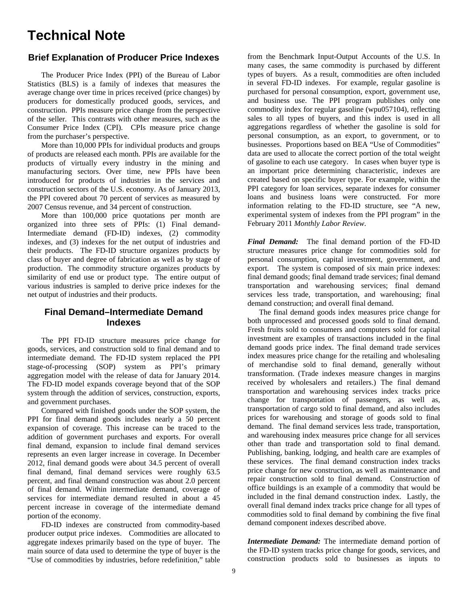# **Technical Note**

### **Brief Explanation of Producer Price Indexes**

The Producer Price Index (PPI) of the Bureau of Labor Statistics (BLS) is a family of indexes that measures the average change over time in prices received (price changes) by producers for domestically produced goods, services, and construction. PPIs measure price change from the perspective of the seller. This contrasts with other measures, such as the Consumer Price Index (CPI). CPIs measure price change from the purchaser's perspective.

 More than 10,000 PPIs for individual products and groups of products are released each month. PPIs are available for the products of virtually every industry in the mining and manufacturing sectors. Over time, new PPIs have been introduced for products of industries in the services and construction sectors of the U.S. economy. As of January 2013, the PPI covered about 70 percent of services as measured by 2007 Census revenue, and 34 percent of construction.

More than 100,000 price quotations per month are organized into three sets of PPIs: (1) Final demand-Intermediate demand (FD-ID) indexes, (2) commodity indexes, and (3) indexes for the net output of industries and their products. The FD-ID structure organizes products by class of buyer and degree of fabrication as well as by stage of production. The commodity structure organizes products by similarity of end use or product type. The entire output of various industries is sampled to derive price indexes for the net output of industries and their products.

### **Final Demand–Intermediate Demand Indexes**

 The PPI FD-ID structure measures price change for goods, services, and construction sold to final demand and to intermediate demand. The FD-ID system replaced the PPI stage-of-processing (SOP) system as PPI's primary aggregation model with the release of data for January 2014. The FD-ID model expands coverage beyond that of the SOP system through the addition of services, construction, exports, and government purchases.

 Compared with finished goods under the SOP system, the PPI for final demand goods includes nearly a 50 percent expansion of coverage. This increase can be traced to the addition of government purchases and exports. For overall final demand, expansion to include final demand services represents an even larger increase in coverage. In December 2012, final demand goods were about 34.5 percent of overall final demand, final demand services were roughly 63.5 percent, and final demand construction was about 2.0 percent of final demand. Within intermediate demand, coverage of services for intermediate demand resulted in about a 45 percent increase in coverage of the intermediate demand portion of the economy.

FD-ID indexes are constructed from commodity-based producer output price indexes. Commodities are allocated to aggregate indexes primarily based on the type of buyer. The main source of data used to determine the type of buyer is the "Use of commodities by industries, before redefinition," table

from the Benchmark Input-Output Accounts of the U.S. In many cases, the same commodity is purchased by different types of buyers. As a result, commodities are often included in several FD-ID indexes. For example, regular gasoline is purchased for personal consumption, export, government use, and business use. The PPI program publishes only one commodity index for regular gasoline (wpu057104), reflecting sales to all types of buyers, and this index is used in all aggregations regardless of whether the gasoline is sold for personal consumption, as an export, to government, or to businesses. Proportions based on BEA "Use of Commodities" data are used to allocate the correct portion of the total weight of gasoline to each use category. In cases when buyer type is an important price determining characteristic, indexes are created based on specific buyer type. For example, within the PPI category for loan services, separate indexes for consumer loans and business loans were constructed. For more information relating to the FD-ID structure, see "A new, experimental system of indexes from the PPI program" in the February 2011 *Monthly Labor Review*.

*Final Demand:* The final demand portion of the FD-ID structure measures price change for commodities sold for personal consumption, capital investment, government, and export. The system is composed of six main price indexes: final demand goods; final demand trade services; final demand transportation and warehousing services; final demand services less trade, transportation, and warehousing; final demand construction; and overall final demand.

 The final demand goods index measures price change for both unprocessed and processed goods sold to final demand. Fresh fruits sold to consumers and computers sold for capital investment are examples of transactions included in the final demand goods price index. The final demand trade services index measures price change for the retailing and wholesaling of merchandise sold to final demand, generally without transformation. (Trade indexes measure changes in margins received by wholesalers and retailers.) The final demand transportation and warehousing services index tracks price change for transportation of passengers, as well as, transportation of cargo sold to final demand, and also includes prices for warehousing and storage of goods sold to final demand. The final demand services less trade, transportation, and warehousing index measures price change for all services other than trade and transportation sold to final demand. Publishing, banking, lodging, and health care are examples of these services. The final demand construction index tracks price change for new construction, as well as maintenance and repair construction sold to final demand. Construction of office buildings is an example of a commodity that would be included in the final demand construction index. Lastly, the overall final demand index tracks price change for all types of commodities sold to final demand by combining the five final demand component indexes described above.

*Intermediate Demand:* The intermediate demand portion of the FD-ID system tracks price change for goods, services, and construction products sold to businesses as inputs to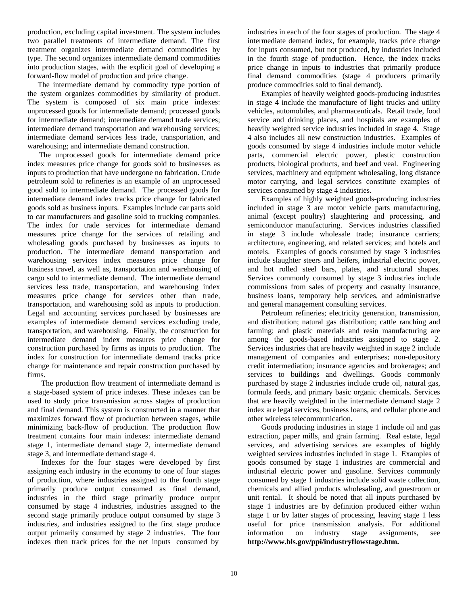production, excluding capital investment. The system includes two parallel treatments of intermediate demand. The first treatment organizes intermediate demand commodities by type. The second organizes intermediate demand commodities into production stages, with the explicit goal of developing a forward-flow model of production and price change.

 The intermediate demand by commodity type portion of the system organizes commodities by similarity of product. The system is composed of six main price indexes: unprocessed goods for intermediate demand; processed goods for intermediate demand; intermediate demand trade services; intermediate demand transportation and warehousing services; intermediate demand services less trade, transportation, and warehousing; and intermediate demand construction.

 The unprocessed goods for intermediate demand price index measures price change for goods sold to businesses as inputs to production that have undergone no fabrication. Crude petroleum sold to refineries is an example of an unprocessed good sold to intermediate demand. The processed goods for intermediate demand index tracks price change for fabricated goods sold as business inputs. Examples include car parts sold to car manufacturers and gasoline sold to trucking companies. The index for trade services for intermediate demand measures price change for the services of retailing and wholesaling goods purchased by businesses as inputs to production. The intermediate demand transportation and warehousing services index measures price change for business travel, as well as, transportation and warehousing of cargo sold to intermediate demand. The intermediate demand services less trade, transportation, and warehousing index measures price change for services other than trade, transportation, and warehousing sold as inputs to production. Legal and accounting services purchased by businesses are examples of intermediate demand services excluding trade, transportation, and warehousing. Finally, the construction for intermediate demand index measures price change for construction purchased by firms as inputs to production. The index for construction for intermediate demand tracks price change for maintenance and repair construction purchased by firms.

The production flow treatment of intermediate demand is a stage-based system of price indexes. These indexes can be used to study price transmission across stages of production and final demand. This system is constructed in a manner that maximizes forward flow of production between stages, while minimizing back-flow of production. The production flow treatment contains four main indexes: intermediate demand stage 1, intermediate demand stage 2, intermediate demand stage 3, and intermediate demand stage 4.

Indexes for the four stages were developed by first assigning each industry in the economy to one of four stages of production, where industries assigned to the fourth stage primarily produce output consumed as final demand, industries in the third stage primarily produce output consumed by stage 4 industries, industries assigned to the second stage primarily produce output consumed by stage 3 industries, and industries assigned to the first stage produce output primarily consumed by stage 2 industries. The four indexes then track prices for the net inputs consumed by

industries in each of the four stages of production. The stage 4 intermediate demand index, for example, tracks price change for inputs consumed, but not produced, by industries included in the fourth stage of production. Hence, the index tracks price change in inputs to industries that primarily produce final demand commodities (stage 4 producers primarily produce commodities sold to final demand).

 Examples of heavily weighted goods-producing industries in stage 4 include the manufacture of light trucks and utility vehicles, automobiles, and pharmaceuticals. Retail trade, food service and drinking places, and hospitals are examples of heavily weighted service industries included in stage 4. Stage 4 also includes all new construction industries. Examples of goods consumed by stage 4 industries include motor vehicle parts, commercial electric power, plastic construction products, biological products, and beef and veal. Engineering services, machinery and equipment wholesaling, long distance motor carrying, and legal services constitute examples of services consumed by stage 4 industries.

 Examples of highly weighted goods-producing industries included in stage 3 are motor vehicle parts manufacturing, animal (except poultry) slaughtering and processing, and semiconductor manufacturing. Services industries classified in stage 3 include wholesale trade; insurance carriers; architecture, engineering, and related services; and hotels and motels. Examples of goods consumed by stage 3 industries include slaughter steers and heifers, industrial electric power, and hot rolled steel bars, plates, and structural shapes. Services commonly consumed by stage 3 industries include commissions from sales of property and casualty insurance, business loans, temporary help services, and administrative and general management consulting services.

 Petroleum refineries; electricity generation, transmission, and distribution; natural gas distribution; cattle ranching and farming; and plastic materials and resin manufacturing are among the goods-based industries assigned to stage 2. Services industries that are heavily weighted in stage 2 include management of companies and enterprises; non-depository credit intermediation; insurance agencies and brokerages; and services to buildings and dwellings. Goods commonly purchased by stage 2 industries include crude oil, natural gas, formula feeds, and primary basic organic chemicals. Services that are heavily weighted in the intermediate demand stage 2 index are legal services, business loans, and cellular phone and other wireless telecommunication.

 Goods producing industries in stage 1 include oil and gas extraction, paper mills, and grain farming. Real estate, legal services, and advertising services are examples of highly weighted services industries included in stage 1. Examples of goods consumed by stage 1 industries are commercial and industrial electric power and gasoline. Services commonly consumed by stage 1 industries include solid waste collection, chemicals and allied products wholesaling, and guestroom or unit rental. It should be noted that all inputs purchased by stage 1 industries are by definition produced either within stage 1 or by latter stages of processing, leaving stage 1 less useful for price transmission analysis. For additional information on industry stage assignments, see **http://www.bls.gov/ppi/industryflowstage.htm.**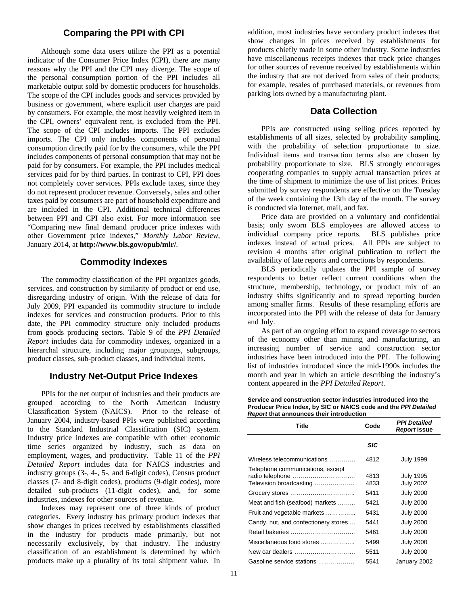### **Comparing the PPI with CPI**

 Although some data users utilize the PPI as a potential indicator of the Consumer Price Index (CPI), there are many reasons why the PPI and the CPI may diverge. The scope of the personal consumption portion of the PPI includes all marketable output sold by domestic producers for households. The scope of the CPI includes goods and services provided by business or government, where explicit user charges are paid by consumers. For example, the most heavily weighted item in the CPI, owners' equivalent rent, is excluded from the PPI. The scope of the CPI includes imports. The PPI excludes imports. The CPI only includes components of personal consumption directly paid for by the consumers, while the PPI includes components of personal consumption that may not be paid for by consumers. For example, the PPI includes medical services paid for by third parties. In contrast to CPI, PPI does not completely cover services. PPIs exclude taxes, since they do not represent producer revenue. Conversely, sales and other taxes paid by consumers are part of household expenditure and are included in the CPI. Additional technical differences between PPI and CPI also exist. For more information see "Comparing new final demand producer price indexes with other Government price indexes," *Monthly Labor Review*, January 2014, at **http://www.bls.gov/opub/mlr/**.

### **Commodity Indexes**

The commodity classification of the PPI organizes goods, services, and construction by similarity of product or end use, disregarding industry of origin. With the release of data for July 2009, PPI expanded its commodity structure to include indexes for services and construction products. Prior to this date, the PPI commodity structure only included products from goods producing sectors. Table 9 of the *PPI Detailed Report* includes data for commodity indexes, organized in a hierarchal structure, including major groupings, subgroups, product classes, sub-product classes, and individual items.

### **Industry Net-Output Price Indexes**

PPIs for the net output of industries and their products are grouped according to the North American Industry Classification System (NAICS). Prior to the release of January 2004, industry-based PPIs were published according to the Standard Industrial Classification (SIC) system. Industry price indexes are compatible with other economic time series organized by industry, such as data on employment, wages, and productivity. Table 11 of the *PPI Detailed Report* includes data for NAICS industries and industry groups (3-, 4-, 5-, and 6-digit codes), Census product classes (7- and 8-digit codes), products (9-digit codes), more detailed sub-products (11-digit codes), and, for some industries, indexes for other sources of revenue.

 Indexes may represent one of three kinds of product categories. Every industry has primary product indexes that show changes in prices received by establishments classified in the industry for products made primarily, but not necessarily exclusively, by that industry. The industry classification of an establishment is determined by which products make up a plurality of its total shipment value. In

addition, most industries have secondary product indexes that show changes in prices received by establishments for products chiefly made in some other industry. Some industries have miscellaneous receipts indexes that track price changes for other sources of revenue received by establishments within the industry that are not derived from sales of their products; for example, resales of purchased materials, or revenues from parking lots owned by a manufacturing plant.

### **Data Collection**

PPIs are constructed using selling prices reported by establishments of all sizes, selected by probability sampling, with the probability of selection proportionate to size. Individual items and transaction terms also are chosen by probability proportionate to size. BLS strongly encourages cooperating companies to supply actual transaction prices at the time of shipment to minimize the use of list prices. Prices submitted by survey respondents are effective on the Tuesday of the week containing the 13th day of the month. The survey is conducted via Internet, mail, and fax.

 Price data are provided on a voluntary and confidential basis; only sworn BLS employees are allowed access to individual company price reports. BLS publishes price indexes instead of actual prices. All PPIs are subject to revision 4 months after original publication to reflect the availability of late reports and corrections by respondents.

 BLS periodically updates the PPI sample of survey respondents to better reflect current conditions when the structure, membership, technology, or product mix of an industry shifts significantly and to spread reporting burden among smaller firms. Results of these resampling efforts are incorporated into the PPI with the release of data for January and July.

 As part of an ongoing effort to expand coverage to sectors of the economy other than mining and manufacturing, an increasing number of service and construction sector industries have been introduced into the PPI. The following list of industries introduced since the mid-1990s includes the month and year in which an article describing the industry's content appeared in the *PPI Detailed Report*.

**Service and construction sector industries introduced into the Producer Price Index, by SIC or NAICS code and the** *PPI Detailed Report* **that announces their introduction** 

| Title                                                       | Code         | <b>PPI Detailed</b><br>Report Issue  |
|-------------------------------------------------------------|--------------|--------------------------------------|
|                                                             | <b>SIC</b>   |                                      |
| Wireless telecommunications                                 | 4812         | <b>July 1999</b>                     |
| Telephone communications, except<br>Television broadcasting | 4813<br>4833 | <b>July 1995</b><br><b>July 2002</b> |
|                                                             | 5411         | <b>July 2000</b>                     |
| Meat and fish (seafood) markets                             | 5421         | <b>July 2000</b>                     |
| Fruit and vegetable markets                                 | 5431         | <b>July 2000</b>                     |
| Candy, nut, and confectionery stores                        | 5441         | <b>July 2000</b>                     |
|                                                             | 5461         | <b>July 2000</b>                     |
| Miscellaneous food stores                                   | 5499         | <b>July 2000</b>                     |
| New car dealers                                             | 5511         | <b>July 2000</b>                     |
| Gasoline service stations                                   | 5541         | January 2002                         |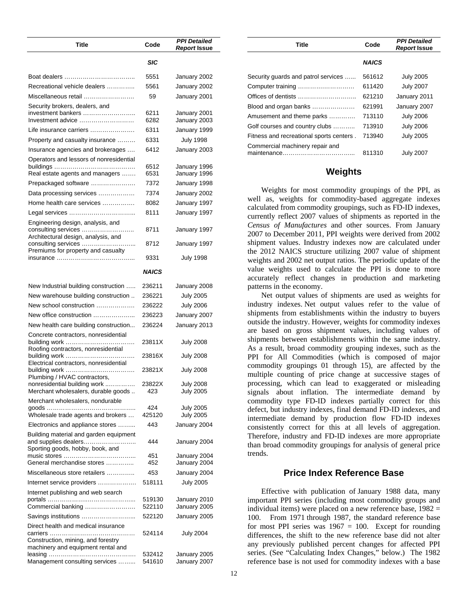| Title                                                                                           | Code             | <b>PPI Detailed</b><br><b>Report Issue</b> |
|-------------------------------------------------------------------------------------------------|------------------|--------------------------------------------|
|                                                                                                 | SIC              |                                            |
|                                                                                                 | 5551             | January 2002                               |
| Recreational vehicle dealers                                                                    | 5561             | January 2002                               |
| Miscellaneous retail                                                                            | 59               | January 2001                               |
| Security brokers, dealers, and<br>investment bankers<br>Investment advice                       | 6211<br>6282     | January 2001<br>January 2003               |
| Life insurance carriers                                                                         | 6311             | January 1999                               |
| Property and casualty insurance                                                                 | 6331             | <b>July 1998</b>                           |
| Insurance agencies and brokerages                                                               | 6412             | January 2003                               |
| Operators and lessors of nonresidential                                                         | 6512             | January 1996                               |
| Real estate agents and managers                                                                 | 6531             | January 1996                               |
| Prepackaged software                                                                            | 7372             | January 1998                               |
| Data processing services                                                                        | 7374             | January 2002                               |
| Home health care services                                                                       | 8082             | January 1997                               |
|                                                                                                 | 8111             | January 1997                               |
| Engineering design, analysis, and<br>consulting services<br>Architectural design, analysis, and | 8711             | January 1997                               |
| Premiums for property and casualty                                                              | 8712             | January 1997                               |
|                                                                                                 | 9331             | <b>July 1998</b>                           |
|                                                                                                 | <b>NAICS</b>     |                                            |
| New Industrial building construction                                                            | 236211           | January 2008                               |
| New warehouse building construction                                                             | 236221           | <b>July 2005</b>                           |
| New school construction                                                                         | 236222           | <b>July 2006</b>                           |
| New office construction                                                                         | 236223           | January 2007                               |
| New health care building construction                                                           | 236224           | January 2013                               |
| Concrete contractors, nonresidential<br>Roofing contractors, nonresidential                     | 23811X           | July 2008                                  |
| Electrical contractors, nonresidential                                                          | 23816X           | July 2008                                  |
| Plumbing / HVAC contractors,                                                                    | 23821X           | <b>July 2008</b>                           |
| nonresidential building work<br>Merchant wholesalers, durable goods                             | 23822X<br>423    | <b>July 2008</b><br><b>July 2005</b>       |
| Merchant wholesalers, nondurable<br>Wholesale trade agents and brokers                          | 424<br>425120    | <b>July 2005</b><br><b>July 2005</b>       |
| Electronics and appliance stores                                                                | 443              | January 2004                               |
| Building material and garden equipment<br>and supplies dealers                                  | 444              | January 2004                               |
| Sporting goods, hobby, book, and<br>General merchandise stores                                  | 451<br>452       | January 2004<br>January 2004               |
| Miscellaneous store retailers                                                                   | 453              | January 2004                               |
| Internet service providers                                                                      | 518111           | July 2005                                  |
| Internet publishing and web search                                                              |                  |                                            |
|                                                                                                 | 519130           | January 2010                               |
| Commercial banking                                                                              | 522110           | January 2005                               |
| Savings institutions<br>Direct health and medical insurance                                     | 522120           | January 2005                               |
| Construction, mining, and forestry                                                              | 524114           | July 2004                                  |
| machinery and equipment rental and                                                              |                  |                                            |
| Management consulting services                                                                  | 532412<br>541610 | January 2005<br>January 2007               |

| <b>Title</b>                             | Code         | <b>PPI Detailed</b><br><b>Report Issue</b> |  |  |  |  |
|------------------------------------------|--------------|--------------------------------------------|--|--|--|--|
|                                          | <b>NAICS</b> |                                            |  |  |  |  |
| Security guards and patrol services      | 561612       | <b>July 2005</b>                           |  |  |  |  |
| Computer training                        | 611420       | <b>July 2007</b>                           |  |  |  |  |
|                                          | 621210       | January 2011                               |  |  |  |  |
| Blood and organ banks                    | 621991       | January 2007                               |  |  |  |  |
| Amusement and theme parks                | 713110       | <b>July 2006</b>                           |  |  |  |  |
| Golf courses and country clubs           | 713910       | <b>July 2006</b>                           |  |  |  |  |
| Fitness and recreational sports centers. | 713940       | <b>July 2005</b>                           |  |  |  |  |
| Commercial machinery repair and          | 811310       | <b>July 2007</b>                           |  |  |  |  |

### **Weights**

Weights for most commodity groupings of the PPI, as well as, weights for commodity-based aggregate indexes calculated from commodity groupings, such as FD-ID indexes, currently reflect 2007 values of shipments as reported in the *Census of Manufactures* and other sources. From January 2007 to December 2011, PPI weights were derived from 2002 shipment values. Industry indexes now are calculated under the 2012 NAICS structure utilizing 2007 value of shipment weights and 2002 net output ratios. The periodic update of the value weights used to calculate the PPI is done to more accurately reflect changes in production and marketing patterns in the economy.

Net output values of shipments are used as weights for industry indexes. Net output values refer to the value of shipments from establishments within the industry to buyers outside the industry. However, weights for commodity indexes are based on gross shipment values, including values of shipments between establishments within the same industry. As a result, broad commodity grouping indexes, such as the PPI for All Commodities (which is composed of major commodity groupings 01 through 15), are affected by the multiple counting of price change at successive stages of processing, which can lead to exaggerated or misleading signals about inflation. The intermediate demand by commodity type FD-ID indexes partially correct for this defect, but industry indexes, final demand FD-ID indexes, and intermediate demand by production flow FD-ID indexes consistently correct for this at all levels of aggregation. Therefore, industry and FD-ID indexes are more appropriate than broad commodity groupings for analysis of general price trends.

### **Price Index Reference Base**

Effective with publication of January 1988 data, many important PPI series (including most commodity groups and individual items) were placed on a new reference base,  $1982 =$ 100. From 1971 through 1987, the standard reference base for most PPI series was  $1967 = 100$ . Except for rounding differences, the shift to the new reference base did not alter any previously published percent changes for affected PPI series. (See "Calculating Index Changes," below.) The 1982 reference base is not used for commodity indexes with a base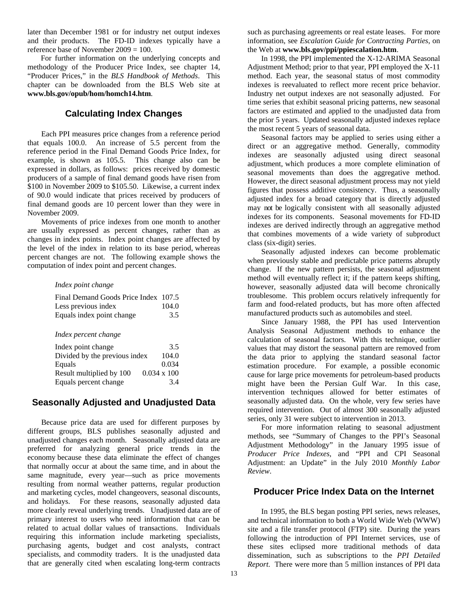later than December 1981 or for industry net output indexes and their products. The FD-ID indexes typically have a reference base of November 2009 = 100.

 For further information on the underlying concepts and methodology of the Producer Price Index, see chapter 14, "Producer Prices," in the *BLS Handbook of Methods*. This chapter can be downloaded from the BLS Web site at **www.bls.gov/opub/hom/homch14.htm**.

### **Calculating Index Changes**

Each PPI measures price changes from a reference period that equals 100.0. An increase of 5.5 percent from the reference period in the Final Demand Goods Price Index, for example, is shown as 105.5. This change also can be expressed in dollars, as follows: prices received by domestic producers of a sample of final demand goods have risen from \$100 in November 2009 to \$105.50. Likewise, a current index of 90.0 would indicate that prices received by producers of final demand goods are 10 percent lower than they were in November 2009.

 Movements of price indexes from one month to another are usually expressed as percent changes, rather than as changes in index points. Index point changes are affected by the level of the index in relation to its base period, whereas percent changes are not. The following example shows the computation of index point and percent changes.

#### *Index point change*

| Final Demand Goods Price Index 107.5 |       |
|--------------------------------------|-------|
| Less previous index                  | 104.0 |
| Equals index point change            | 3.5   |

#### *Index percent change*

| Index point change            | 3.5                |
|-------------------------------|--------------------|
| Divided by the previous index | 104.0              |
| Equals                        | 0.034              |
| Result multiplied by 100      | $0.034 \times 100$ |
| Equals percent change         | 3.4                |

### **Seasonally Adjusted and Unadjusted Data**

Because price data are used for different purposes by different groups, BLS publishes seasonally adjusted and unadjusted changes each month. Seasonally adjusted data are preferred for analyzing general price trends in the economy because these data eliminate the effect of changes that normally occur at about the same time, and in about the same magnitude, every year—such as price movements resulting from normal weather patterns, regular production and marketing cycles, model changeovers, seasonal discounts, and holidays. For these reasons, seasonally adjusted data more clearly reveal underlying trends. Unadjusted data are of primary interest to users who need information that can be related to actual dollar values of transactions. Individuals requiring this information include marketing specialists, purchasing agents, budget and cost analysts, contract specialists, and commodity traders. It is the unadjusted data that are generally cited when escalating long-term contracts

such as purchasing agreements or real estate leases.For more information, see *Escalation Guide for Contracting Parties*, on the Web at **www.bls.gov/ppi/ppiescalation.htm**.

In 1998, the PPI implemented the X-12-ARIMA Seasonal Adjustment Method; prior to that year, PPI employed the X-11 method. Each year, the seasonal status of most commodity indexes is reevaluated to reflect more recent price behavior. Industry net output indexes are not seasonally adjusted. For time series that exhibit seasonal pricing patterns, new seasonal factors are estimated and applied to the unadjusted data from the prior 5 years. Updated seasonally adjusted indexes replace the most recent 5 years of seasonal data.

 Seasonal factors may be applied to series using either a direct or an aggregative method. Generally, commodity indexes are seasonally adjusted using direct seasonal adjustment, which produces a more complete elimination of seasonal movements than does the aggregative method. However, the direct seasonal adjustment process may not yield figures that possess additive consistency. Thus, a seasonally adjusted index for a broad category that is directly adjusted may not be logically consistent with all seasonally adjusted indexes for its components. Seasonal movements for FD-ID indexes are derived indirectly through an aggregative method that combines movements of a wide variety of subproduct class (six-digit) series.

Seasonally adjusted indexes can become problematic when previously stable and predictable price patterns abruptly change. If the new pattern persists, the seasonal adjustment method will eventually reflect it; if the pattern keeps shifting, however, seasonally adjusted data will become chronically troublesome. This problem occurs relatively infrequently for farm and food-related products, but has more often affected manufactured products such as automobiles and steel.

Since January 1988, the PPI has used Intervention Analysis Seasonal Adjustment methods to enhance the calculation of seasonal factors. With this technique, outlier values that may distort the seasonal pattern are removed from the data prior to applying the standard seasonal factor estimation procedure. For example, a possible economic cause for large price movements for petroleum-based products might have been the Persian Gulf War. In this case, intervention techniques allowed for better estimates of seasonally adjusted data. On the whole, very few series have required intervention. Out of almost 300 seasonally adjusted series, only 31 were subject to intervention in 2013.

For more information relating to seasonal adjustment methods, see "Summary of Changes to the PPI's Seasonal Adjustment Methodology" in the January 1995 issue of *Producer Price Indexes*, and "PPI and CPI Seasonal Adjustment: an Update" in the July 2010 *Monthly Labor Review*.

## **Producer Price Index Data on the Internet**

In 1995, the BLS began posting PPI series, news releases, and technical information to both a World Wide Web (WWW) site and a file transfer protocol (FTP) site. During the years following the introduction of PPI Internet services, use of these sites eclipsed more traditional methods of data dissemination, such as subscriptions to the *PPI Detailed Report*. There were more than 5 million instances of PPI data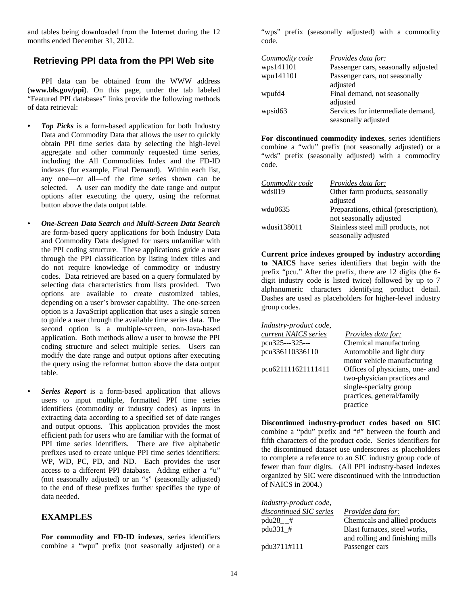and tables being downloaded from the Internet during the 12 months ended December 31, 2012.

### **Retrieving PPI data from the PPI Web site**

PPI data can be obtained from the WWW address (**www.bls.gov/ppi**). On this page, under the tab labeled "Featured PPI databases" links provide the following methods of data retrieval:

- *Top Picks* is a form-based application for both Industry Data and Commodity Data that allows the user to quickly obtain PPI time series data by selecting the high-level aggregate and other commonly requested time series, including the All Commodities Index and the FD-ID indexes (for example, Final Demand). Within each list, any one—or all—of the time series shown can be selected. A user can modify the date range and output options after executing the query, using the reformat button above the data output table.
- *One-Screen Data Search and Multi-Screen Data Search*  are form-based query applications for both Industry Data and Commodity Data designed for users unfamiliar with the PPI coding structure. These applications guide a user through the PPI classification by listing index titles and do not require knowledge of commodity or industry codes. Data retrieved are based on a query formulated by selecting data characteristics from lists provided. Two options are available to create customized tables, depending on a user's browser capability. The one-screen option is a JavaScript application that uses a single screen to guide a user through the available time series data. The second option is a multiple-screen, non-Java-based application. Both methods allow a user to browse the PPI coding structure and select multiple series. Users can modify the date range and output options after executing the query using the reformat button above the data output table.
	- *Series Report* is a form-based application that allows users to input multiple, formatted PPI time series identifiers (commodity or industry codes) as inputs in extracting data according to a specified set of date ranges and output options. This application provides the most efficient path for users who are familiar with the format of PPI time series identifiers. There are five alphabetic prefixes used to create unique PPI time series identifiers: WP, WD, PC, PD, and ND. Each provides the user access to a different PPI database. Adding either a "u" (not seasonally adjusted) or an "s" (seasonally adjusted) to the end of these prefixes further specifies the type of data needed.

### **EXAMPLES**

**For commodity and FD-ID indexes**, series identifiers combine a "wpu" prefix (not seasonally adjusted) or a "wps" prefix (seasonally adjusted) with a commodity code.

| Commodity code      | <i>Provides data for:</i>           |
|---------------------|-------------------------------------|
| wps141101           | Passenger cars, seasonally adjusted |
| wpu141101           | Passenger cars, not seasonally      |
|                     | adjusted                            |
| wpufd4              | Final demand, not seasonally        |
|                     | adjusted                            |
| wpsid <sub>63</sub> | Services for intermediate demand,   |
|                     | seasonally adjusted                 |

**For discontinued commodity indexes**, series identifiers combine a "wdu" prefix (not seasonally adjusted) or a "wds" prefix (seasonally adjusted) with a commodity code.

| Commodity code | <i>Provides data for:</i>             |
|----------------|---------------------------------------|
| wds019         | Other farm products, seasonally       |
|                | adjusted                              |
| wdu0635        | Preparations, ethical (prescription), |
|                | not seasonally adjusted               |
| wdusi138011    | Stainless steel mill products, not    |
|                | seasonally adjusted                   |

 **Current price indexes grouped by industry according to NAICS** have series identifiers that begin with the prefix "pcu." After the prefix, there are 12 digits (the 6 digit industry code is listed twice) followed by up to 7 alphanumeric characters identifying product detail. Dashes are used as placeholders for higher-level industry group codes.

| Industry-product code, |                                 |
|------------------------|---------------------------------|
| current NAICS series   | <i>Provides data for:</i>       |
| pcu325---325---        | Chemical manufacturing          |
| pcu336110336110        | Automobile and light duty       |
|                        | motor vehicle manufacturing     |
| pcu621111621111411     | Offices of physicians, one- and |
|                        | two-physician practices and     |
|                        | single-specialty group          |
|                        | practices, general/family       |
|                        | practice                        |
|                        |                                 |

**Discontinued industry-product codes based on SIC** combine a "pdu" prefix and "#" between the fourth and fifth characters of the product code. Series identifiers for the discontinued dataset use underscores as placeholders to complete a reference to an SIC industry group code of fewer than four digits. (All PPI industry-based indexes organized by SIC were discontinued with the introduction of NAICS in 2004.)

| Industry-product code,  |                                 |
|-------------------------|---------------------------------|
| discontinued SIC series | <i>Provides data for:</i>       |
| $pdu28$ #               | Chemicals and allied products   |
| pdu331_#                | Blast furnaces, steel works,    |
|                         | and rolling and finishing mills |
| pdu3711#111             | Passenger cars                  |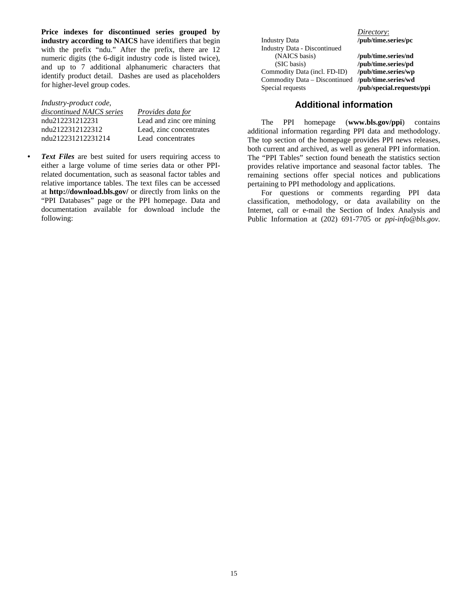**Price indexes for discontinued series grouped by industry according to NAICS** have identifiers that begin with the prefix "ndu." After the prefix, there are 12 numeric digits (the 6-digit industry code is listed twice), and up to 7 additional alphanumeric characters that identify product detail. Dashes are used as placeholders for higher-level group codes.

#### *Industry-product code,*

| discontinued NAICS series | <i>Provides data for</i> |
|---------------------------|--------------------------|
| ndu212231212231           | Lead and zinc ore mining |
| ndu2122312122312          | Lead, zinc concentrates  |
| ndu212231212231214        | Lead concentrates        |

*• Text Files* are best suited for users requiring access to either a large volume of time series data or other PPIrelated documentation, such as seasonal factor tables and relative importance tables. The text files can be accessed at **http://download.bls.gov/** or directly from links on the "PPI Databases" page or the PPI homepage. Data and documentation available for download include the following:

Industry Data **/pub/time.series/pc**  Industry Data - Discontinued (NAICS basis) **/pub/time.series/nd**  (SIC basis) **/pub/time.series/pd**  Commodity Data (incl. FD-ID) **/pub/time.series/wp**  Commodity Data – Discontinued Special requests **/pub/special.requests/ppi**

*Directory*:

### **Additional information**

The PPI homepage (**www.bls.gov/ppi**) contains additional information regarding PPI data and methodology. The top section of the homepage provides PPI news releases, both current and archived, as well as general PPI information. The "PPI Tables" section found beneath the statistics section provides relative importance and seasonal factor tables. The remaining sections offer special notices and publications pertaining to PPI methodology and applications.

For questions or comments regarding PPI data classification, methodology, or data availability on the Internet, call or e-mail the Section of Index Analysis and Public Information at (202) 691-7705 or *ppi-info@bls.gov*.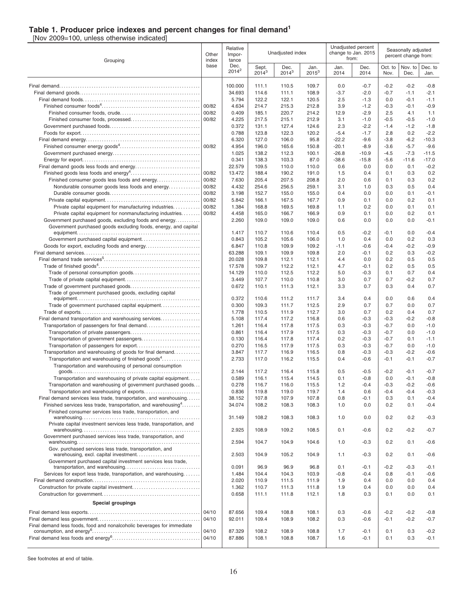### **Table 1. Producer price indexes and percent changes for final demand<sup>1</sup>**

[Nov 2009=100, unless otherwise indicated]

| Grouping                                                                                                                                        |                | Relative<br>Impor-<br>tance |                   | Unadjusted index |                  |              | Unadjusted percent<br>change to Jan. 2015<br>from: | Seasonally adjusted<br>percent change from: |                  |                  |
|-------------------------------------------------------------------------------------------------------------------------------------------------|----------------|-----------------------------|-------------------|------------------|------------------|--------------|----------------------------------------------------|---------------------------------------------|------------------|------------------|
|                                                                                                                                                 | base           | Dec.<br>$2014^2$            | Sept.<br>$2014^3$ | Dec.<br>$2014^3$ | Jan.<br>$2015^3$ | Jan.<br>2014 | Dec.<br>2014                                       | Oct. to<br>Nov.                             | Nov. to<br>Dec.  | Dec. to<br>Jan.  |
|                                                                                                                                                 |                | 100.000                     | 111.1             | 110.5            | 109.7            | 0.0          | $-0.7$                                             | $-0.2$                                      | $-0.2$           | -0.8             |
|                                                                                                                                                 |                | 34.693                      | 114.6             | 111.1            | 108.9            | $-3.7$       | $-2.0$                                             | $-0.7$                                      | $-1.1$           | $-2.1$           |
|                                                                                                                                                 |                | 5.794                       | 122.2             | 122.1            | 120.5            | 2.5          | $-1.3$                                             | 0.0                                         | $-0.1$           | $-1.1$           |
|                                                                                                                                                 | 00/82          | 4.634                       | 214.7             | 215.3            | 212.8            | 3.9          | $-1.2$                                             | $-0.3$                                      | $-0.1$           | $-0.9$           |
|                                                                                                                                                 | 00/82          | 0.409                       | 185.1             | 220.7            | 214.2            | 12.9         | $-2.9$                                             | 2.5                                         | 4.1              | 1.1<br>$-1.0$    |
|                                                                                                                                                 | 00/82          | 4.225<br>0.372              | 217.5<br>131.1    | 215.1<br>127.4   | 212.9<br>124.6   | 3.1<br>2.3   | $-1.0$<br>$-2.2$                                   | $-0.5$<br>$-1.4$                            | $-0.5$<br>$-1.2$ | $-1.8$           |
|                                                                                                                                                 |                | 0.788                       | 123.8             | 122.3            | 120.2            | $-5.4$       | $-1.7$                                             | 2.8                                         | 0.2              | $-2.2$           |
|                                                                                                                                                 |                | 6.320                       | 127.0             | 106.0            | 95.8             | $-22.2$      | $-9.6$                                             | $-3.8$                                      | $-6.2$           | $-10.3$          |
|                                                                                                                                                 |                | 4.954                       | 196.0             | 165.6            | 150.8            | $-20.1$      | $-8.9$                                             | $-3.6$                                      | $-5.7$           | $-9.6$           |
|                                                                                                                                                 |                | 1.025                       | 138.2             | 112.3            | 100.1            | $-26.8$      | $-10.9$                                            | $-4.5$                                      | $-7.3$           | $-11.5$          |
|                                                                                                                                                 |                | 0.341                       | 138.3             | 103.3            | 87.0             | $-38.6$      | $-15.8$                                            | $-5.6$                                      | $-11.6$          | $-17.0$          |
|                                                                                                                                                 |                | 22.579                      | 109.5             | 110.0<br>190.2   | 110.0            | 0.6          | 0.0<br>0.4                                         | 0.0<br>0.1                                  | 0.1              | $-0.2$<br>0.2    |
| Finished consumer goods less foods and energy                                                                                                   | 00/82<br>00/82 | 13.472<br>7.630             | 188.4<br>205.4    | 207.5            | 191.0<br>208.8   | 1.5<br>2.0   | 0.6                                                | 0.1                                         | 0.3<br>0.3       | 0.2              |
| Nondurable consumer goods less foods and energy                                                                                                 | 00/82          | 4.432                       | 254.6             | 256.5            | 259.1            | 3.1          | 1.0                                                | 0.3                                         | 0.5              | 0.4              |
|                                                                                                                                                 | 00/82          | 3.198                       | 152.7             | 155.0            | 155.0            | 0.4          | 0.0                                                | 0.0                                         | 0.1              | $-0.1$           |
|                                                                                                                                                 | 00/82          | 5.842                       | 166.1             | 167.5            | 167.7            | 0.9          | 0.1                                                | 0.0                                         | 0.2              | 0.1              |
| Private capital equipment for manufacturing industries                                                                                          | 00/82          | 1.384                       | 168.8             | 169.5            | 169.8            | 1.1          | 0.2                                                | 0.0                                         | 0.1              | 0.1              |
| Private capital equipment for nonmanufacturing industries                                                                                       | 00/82          | 4.458                       | 165.0             | 166.7            | 166.9            | 0.9          | 0.1                                                | 0.0                                         | 0.2              | 0.1              |
| Government purchased goods, excluding foods and energy<br>Government purchased goods excluding foods, energy, and capital                       |                | 2.260                       | 109.0             | 109.0            | 109.0            | 0.6          | 0.0                                                | 0.0                                         | 0.0              | $-0.1$           |
|                                                                                                                                                 |                | 1.417                       | 110.7             | 110.6            | 110.4            | 0.5          | $-0.2$                                             | $-0.1$                                      | 0.0              | $-0.4$           |
|                                                                                                                                                 |                | 0.843                       | 105.2             | 105.6            | 106.0            | 1.0          | 0.4                                                | 0.0                                         | 0.2              | 0.3              |
|                                                                                                                                                 |                | 6.847                       | 110.8             | 109.9            | 109.2            | $-1.1$       | $-0.6$                                             | $-0.4$                                      | $-0.2$           | $-0.9$           |
|                                                                                                                                                 |                | 63.288                      | 109.1             | 109.9            | 109.8            | 2.0          | $-0.1$                                             | 0.2                                         | 0.3              | $-0.2$           |
|                                                                                                                                                 |                | 20.028                      | 109.8             | 112.1            | 112.1            | 4.4          | 0.0                                                | 0.2                                         | 0.5              | 0.5              |
|                                                                                                                                                 |                | 17.578<br>14.129            | 109.7<br>110.0    | 112.2<br>112.5   | 112.1            | 4.7<br>5.0   | $-0.1$<br>$-0.3$                                   | 0.2<br>0.1                                  | 0.5<br>0.7       | 0.5<br>0.4       |
|                                                                                                                                                 |                | 3.449                       | 107.7             | 110.0            | 112.2<br>110.8   | 3.0          | 0.7                                                | 0.7                                         | $-0.2$           | 0.7              |
|                                                                                                                                                 |                | 0.672                       | 110.1             | 111.3            | 112.1            | 3.3          | 0.7                                                | 0.3                                         | 0.4              | 0.7              |
| Trade of government purchased goods, excluding capital                                                                                          |                |                             |                   |                  |                  |              |                                                    |                                             |                  |                  |
|                                                                                                                                                 |                | 0.372                       | 110.6             | 111.2            | 111.7            | 3.4          | 0.4                                                | 0.0                                         | 0.6              | 0.4              |
| Trade of government purchased capital equipment                                                                                                 |                | 0.300                       | 109.3             | 111.7            | 112.5            | 2.9          | 0.7                                                | 0.7                                         | 0.0              | 0.7              |
| Final demand transportation and warehousing services                                                                                            |                | 1.778<br>5.108              | 110.5<br>117.4    | 111.9<br>117.2   | 112.7<br>116.8   | 3.0<br>0.6   | 0.7<br>$-0.3$                                      | 0.2<br>$-0.3$                               | 0.4<br>$-0.2$    | 0.7<br>$-0.8$    |
|                                                                                                                                                 |                | 1.261                       | 116.4             | 117.8            | 117.5            | 0.3          | $-0.3$                                             | $-0.7$                                      | 0.0              | $-1.0$           |
|                                                                                                                                                 |                | 0.861                       | 116.4             | 117.9            | 117.5            | 0.3          | $-0.3$                                             | $-0.7$                                      | 0.0              | $-1.0$           |
|                                                                                                                                                 |                | 0.130                       | 116.4             | 117.8            | 117.4            | 0.2          | $-0.3$                                             | $-0.7$                                      | 0.1              | $-1.1$           |
|                                                                                                                                                 |                | 0.270                       | 116.5             | 117.9            | 117.5            | 0.3          | $-0.3$                                             | $-0.7$                                      | 0.0              | $-1.0$           |
| Transportation and warehousing of goods for final demand                                                                                        |                | 3.847                       | 117.7             | 116.9            | 116.5            | 0.8          | $-0.3$                                             | $-0.3$                                      | $-0.2$           | $-0.6$           |
| Transportation and warehousing of finished goods <sup>4</sup><br>Transportation and warehousing of personal consumption                         |                | 2.733                       | 117.0             | 116.2            | 115.5            | 0.4          | $-0.6$                                             | $-0.1$                                      | $-0.1$           | $-0.7$           |
|                                                                                                                                                 |                | 2.144                       | 117.2             | 116.4            | 115.8            | 0.5          | $-0.5$                                             | $-0.2$                                      | $-0.1$           | $-0.7$           |
| Transportation and warehousing of private capital equipment.                                                                                    |                | 0.589                       | 116.1             | 115.4            | 114.5            | 0.1          | $-0.8$                                             | 0.0                                         | $-0.1$           | $-0.8$           |
| Transportation and warehousing of government purchased goods                                                                                    |                | 0.278                       | 116.7             | 116.0            | 115.5            | 1.2          | -0.4                                               | -0.3                                        | $-0.2$           | $-0.6$           |
| Transportation and warehousing of exports                                                                                                       |                | 0.836                       | 119.8             | 119.0            | 119.7            | 1.4          | 0.6                                                | $-0.4$                                      | $-0.4$           | $-0.3$           |
| Final demand services less trade, transportation, and warehousing<br>Finished services less trade, transportation, and warehousing <sup>4</sup> |                | 38.152<br>34.074            | 107.8<br>108.2    | 107.9<br>108.3   | 107.8<br>108.3   | 0.8<br>1.0   | $-0.1$<br>0.0                                      | 0.3<br>0.2                                  | 0.1<br>0.1       | $-0.4$<br>$-0.4$ |
| Finished consumer services less trade, transportation, and                                                                                      |                |                             |                   |                  |                  |              |                                                    |                                             |                  |                  |
|                                                                                                                                                 |                | 31.149                      | 108.2             | 108.3            | 108.3            | 1.0          | 0.0                                                | 0.2                                         | 0.2              | $-0.3$           |
| Private capital investment services less trade, transportation, and                                                                             |                | 2.925                       | 108.9             | 109.2            | 108.5            | 0.1          | $-0.6$                                             | 0.2                                         | $-0.2$           | $-0.7$           |
| Government purchased services less trade, transportation, and                                                                                   |                |                             |                   |                  |                  |              |                                                    |                                             |                  |                  |
| Gov. purchased services less trade, transportation, and                                                                                         |                | 2.594                       | 104.7             | 104.9            | 104.6            | 1.0          | $-0.3$                                             | 0.2                                         | 0.1              | $-0.6$           |
|                                                                                                                                                 |                | 2.503                       | 104.9             | 105.2            | 104.9            | 1.1          | $-0.3$                                             | 0.2                                         | 0.1              | $-0.6$           |
| Government purchased capital investment services less trade,                                                                                    |                | 0.091                       | 96.9              | 96.9             | 96.8             | 0.1          | $-0.1$                                             | $-0.2$                                      | $-0.3$           | $-0.1$           |
| Services for export less trade, transportation, and warehousing                                                                                 |                | 1.484                       | 104.4             | 104.3            | 103.9            | $-0.8$       | $-0.4$                                             | 0.8                                         | $-0.1$           | $-0.6$           |
|                                                                                                                                                 |                | 2.020                       | 110.9             | 111.5            | 111.9            | 1.9          | 0.4                                                | 0.0                                         | 0.0              | 0.4              |
|                                                                                                                                                 |                | 1.362                       | 110.7             | 111.3            | 111.8            | 1.9          | 0.4                                                | 0.0                                         | 0.0              | 0.4              |
|                                                                                                                                                 |                | 0.658                       | 111.1             | 111.8            | 112.1            | 1.8          | 0.3                                                | 0.1                                         | 0.0              | 0.1              |
| <b>Special groupings</b>                                                                                                                        |                |                             |                   |                  |                  |              |                                                    |                                             |                  |                  |
|                                                                                                                                                 | 04/10          | 87.656                      | 109.4             | 108.8            | 108.1            | 0.3          | $-0.6$                                             | $-0.2$                                      | $-0.2$           | $-0.8$           |
| Final demand less foods, food and nonalcoholic beverages for immediate                                                                          | 04/10          | 92.011                      | 109.4             | 108.9            | 108.2            | 0.3          | $-0.6$                                             | $-0.1$                                      | $-0.2$           | $-0.7$           |
|                                                                                                                                                 | 04/10          | 87.329                      | 108.2             | 108.9            | 108.8            | 1.7          | $-0.1$                                             | 0.1                                         | 0.3              | $-0.2$           |
|                                                                                                                                                 | 04/10          | 87.886                      | 108.1             | 108.8            | 108.7            | 1.6          | $-0.1$                                             | 0.1                                         | 0.3              | $-0.1$           |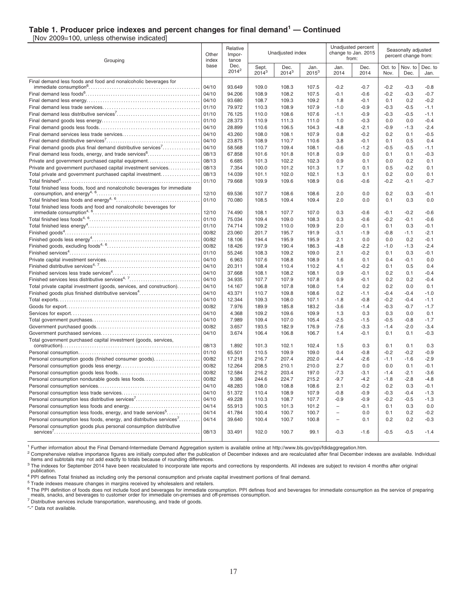### **Table 1. Producer price indexes and percent changes for final demand<sup>1</sup> — Continued**

[Nov 2009=100, unless otherwise indicated]

| Grouping                                                                 | Relative<br>Other<br>Impor-<br>index<br>tance |                  | Unadjusted index  |                    |                  | Unadjusted percent<br>change to Jan. 2015<br>from: |                  | Seasonally adjusted<br>percent change from: |                  |                  |
|--------------------------------------------------------------------------|-----------------------------------------------|------------------|-------------------|--------------------|------------------|----------------------------------------------------|------------------|---------------------------------------------|------------------|------------------|
|                                                                          | base                                          | Dec.<br>$2014^2$ | Sept.<br>$2014^3$ | Dec.<br>$2014^{3}$ | Jan.<br>$2015^3$ | Jan.<br>2014                                       | Dec.<br>2014     | Oct. to<br>Nov.                             | Nov. to<br>Dec.  | Dec. to<br>Jan.  |
| Final demand less foods and food and nonalcoholic beverages for          |                                               |                  |                   |                    |                  |                                                    |                  |                                             |                  |                  |
|                                                                          | 04/10<br>04/10                                | 93.649<br>94.206 | 109.0             | 108.3              | 107.5            | $-0.2$                                             | $-0.7$<br>$-0.6$ | $-0.2$                                      | $-0.3$<br>$-0.3$ | $-0.8$           |
|                                                                          | 04/10                                         | 93.680           | 108.9<br>108.7    | 108.2<br>109.3     | 107.5<br>109.2   | $-0.1$<br>1.8                                      | $-0.1$           | $-0.2$<br>0.1                               | 0.2              | $-0.7$<br>$-0.2$ |
|                                                                          | 01/10                                         | 79.972           |                   | 108.9              | 107.9            | $-1.0$                                             | $-0.9$           | $-0.3$                                      | $-0.5$           | $-1.1$           |
|                                                                          | 01/10                                         | 76.125           | 110.3<br>110.0    | 108.6              | 107.6            | $-1.1$                                             | $-0.9$           | $-0.3$                                      | $-0.5$           | $-1.1$           |
|                                                                          | 01/10                                         | 28.373           | 110.9             | 111.3              | 111.0            | 1.0                                                | $-0.3$           | 0.0                                         | 0.0              | $-0.4$           |
|                                                                          | 04/10                                         | 28.899           | 110.6             | 106.5              | 104.3            | $-4.8$                                             | $-2.1$           | $-0.9$                                      | $-1.3$           | $-2.4$           |
|                                                                          | 04/10                                         | 43.260           | 108.0             | 108.1              | 107.9            | 0.8                                                | $-0.2$           | 0.2                                         | 0.1              | $-0.5$           |
|                                                                          | 04/10                                         | 23.875           | 108.9             | 110.7              | 110.6            | 3.8                                                | $-0.1$           | 0.1                                         | 0.5              | 0.4              |
| Final demand goods plus final demand distributive services <sup>7</sup>  | 04/10                                         | 58.568           | 110.7             | 109.4              | 108.1            | $-0.6$                                             | $-1.2$           | $-0.5$                                      | $-0.5$           | $-1.1$           |
| Final demand less foods, energy, and trade services <sup>6</sup>         | 08/13                                         | 67.858           | 101.6             | 101.8              | 101.8            | 0.9                                                | 0.0              | 0.1                                         | 0.1              | $-0.3$           |
| Private and government purchased capital equipment                       | 08/13                                         | 6.685            | 101.3             | 102.2              | 102.3            | 0.9                                                | 0.1              | 0.0                                         | 0.2              | 0.1              |
| Private and government purchased capital investment services             | 08/13                                         | 7.354            | 100.0             | 101.2              | 101.3            | 1.7                                                | 0.1              | 0.5                                         | $-0.2$           | 0.1              |
| Total private and government purchased capital investment                | 08/13                                         | 14.039           | 101.1             | 102.0              | 102.1            | 1.3                                                | 0.1              | 0.2                                         | 0.0              | 0.1              |
|                                                                          | 01/10                                         | 79.668           | 109.9             | 109.6              | 108.9            | 0.6                                                | $-0.6$           | $-0.2$                                      | $-0.1$           | $-0.7$           |
| Total finished less foods, food and nonalcoholic beverages for immediate |                                               |                  |                   |                    |                  |                                                    |                  |                                             |                  |                  |
|                                                                          | 12/10                                         | 69.536           | 107.7             | 108.6              | 108.6            | 2.0                                                | 0.0              | 0.2                                         | 0.3              | $-0.1$           |
|                                                                          | 01/10                                         | 70.080           | 108.5             | 109.4              | 109.4            | 2.0                                                | 0.0              | 0.1                                         | 0.3              | 0.0              |
| Total finished less foods and food and nonalcoholic beverages for        |                                               |                  |                   |                    |                  |                                                    |                  |                                             |                  |                  |
|                                                                          | 12/10                                         | 74.490           | 108.1             | 107.7              | 107.0            | 0.3                                                | $-0.6$           | $-0.1$                                      | $-0.2$           | $-0.6$           |
|                                                                          | 01/10                                         | 75.034           | 109.4             | 109.0              | 108.3            | 0.3                                                | $-0.6$           | $-0.2$                                      | $-0.1$           | $-0.6$           |
|                                                                          | 01/10                                         | 74.714           | 109.2             | 110.0              | 109.9            | 2.0                                                | $-0.1$           | 0.1                                         | 0.3              | $-0.1$           |
|                                                                          | 00/82                                         | 23.060           | 201.7             | 195.7              | 191.9            | $-3.1$                                             | $-1.9$           | $-0.8$                                      | $-1.1$           | $-2.1$           |
|                                                                          | 00/82                                         | 18.106           | 194.4             | 195.9              | 195.9            | 2.1                                                | 0.0              | 0.0                                         | 0.2              | $-0.1$           |
|                                                                          | 00/82                                         | 18.426           | 197.9             | 190.4              | 186.3            | $-4.8$                                             | $-2.2$           | $-1.0$                                      | $-1.3$           | $-2.4$           |
|                                                                          | 01/10                                         | 55.246           | 108.3             | 109.2              | 109.0            | 2.1                                                | $-0.2$           | 0.1                                         | 0.3              | $-0.1$           |
|                                                                          | 04/10                                         | 6.963            | 107.6             | 108.8              | 108.9            | 1.6                                                | 0.1              | 0.4                                         | $-0.1$           | 0.0              |
|                                                                          | 04/10                                         | 20.311           | 108.4             | 110.4              | 110.2            | 4.1                                                | $-0.2$           | 0.1                                         | 0.5              | 0.4              |
|                                                                          | 04/10                                         | 37.668           | 108.1             | 108.2              | 108.1            | 0.9                                                | $-0.1$           | 0.2                                         | 0.1              | $-0.4$           |
| Finished services less distributive services <sup>4, 7</sup>             | 04/10                                         | 34.935           | 107.7             | 107.9              | 107.8            | 0.9                                                | $-0.1$           | 0.2                                         | 0.2              | $-0.4$           |
| Total private capital investment (goods, services, and construction)     | 04/10                                         | 14.167           | 106.8             | 107.8              | 108.0            | 1.4                                                | 0.2              | 0.2                                         | 0.0              | 0.1              |
| Finished goods plus finished distributive services <sup>4</sup>          | 04/10                                         | 43.371           | 110.7             | 109.8              | 108.6            | 0.2                                                | $-1.1$           | $-0.4$                                      | $-0.4$           | $-1.0$           |
|                                                                          | 04/10<br>00/82                                | 12.344           | 109.3             | 108.0              | 107.1            | $-1.8$                                             | $-0.8$           | $-0.2$                                      | $-0.4$           | $-1.1$           |
|                                                                          |                                               | 7.976            | 189.9             | 185.8              | 183.2            | $-3.6$                                             | $-1.4$           | $-0.3$                                      | $-0.7$           | $-1.7$           |
|                                                                          | 04/10<br>04/10                                | 4.368<br>7.989   | 109.2<br>109.4    | 109.6<br>107.0     | 109.9<br>105.4   | 1.3<br>$-2.5$                                      | 0.3<br>$-1.5$    | 0.3<br>$-0.5$                               | 0.0<br>$-0.8$    | 0.1<br>$-1.7$    |
|                                                                          | 00/82                                         | 3.657            | 193.5             | 182.9              | 176.9            | $-7.6$                                             | $-3.3$           | $-1.4$                                      | $-2.0$           | $-3.4$           |
|                                                                          | 04/10                                         | 3.674            | 106.4             | 106.8              | 106.7            | 1.4                                                | $-0.1$           | 0.1                                         | 0.1              | $-0.3$           |
| Total government purchased capital investment (goods, services,          |                                               |                  |                   |                    |                  |                                                    |                  |                                             |                  |                  |
|                                                                          | 08/13                                         | 1.892            | 101.3             | 102.1              | 102.4            | 1.5                                                | 0.3              | 0.1                                         | 0.1              | 0.3              |
|                                                                          | 01/10                                         | 65.501           | 110.5             | 109.9              | 109.0            | 0.4                                                | $-0.8$           | $-0.2$                                      | $-0.2$           | $-0.9$           |
| Personal consumption goods (finished consumer goods)                     | 00/82                                         | 17.218           | 216.7             | 207.4              | 202.0            | $-4.4$                                             | $-2.6$           | $-1.1$                                      | $-1.6$           | $-2.9$           |
|                                                                          | 00/82                                         | 12.264           | 208.5             | 210.1              | 210.0            | 2.7                                                | 0.0              | 0.0                                         | 0.1              | $-0.1$           |
|                                                                          | 00/82                                         | 12.584           | 216.2             | 203.4              | 197.0            | $-7.3$                                             | $-3.1$           | $-1.4$                                      | $-2.1$           | $-3.6$           |
| Personal consumption nondurable goods less foods                         | 00/82                                         | 9.386            | 244.6             | 224.7              | 215.2            | $-9.7$                                             | $-4.2$           | $-1.8$                                      | $-2.8$           | $-4.8$           |
|                                                                          | 04/10                                         | 48.283           | 108.0             | 108.8              | 108.6            | 2.1                                                | $-0.2$           | 0.2                                         | 0.3              | $-0.1$           |
|                                                                          | 04/10                                         | 51.372           | 110.4             | 108.9              | 107.9            | $-0.8$                                             | $-0.9$           | $-0.3$                                      | $-0.4$           | $-1.3$           |
| Personal consumption less distributive services <sup>7</sup>             | 04/10                                         | 49.228           | 110.3             | 108.7              | 107.7            | $-0.9$                                             | $-0.9$           | $-0.2$                                      | $-0.5$           | $-1.3$           |
|                                                                          | 04/14                                         | 55.913           | 100.5             | 101.3              | 101.2            | $\qquad \qquad -$                                  | $-0.1$           | 0.1                                         | 0.3              | 0.0              |
| Personal consumption less foods, energy, and trade services <sup>5</sup> | 04/14                                         | 41.784           | 100.4             | 100.7              | 100.7            |                                                    | 0.0              | 0.1                                         | 0.2              | $-0.2$           |
| Personal consumption less foods, energy, and distributive services'      | 04/14                                         | 39.640           | 100.4             | 100.7              | 100.8            | $\overline{\phantom{0}}$                           | 0.1              | 0.2                                         | 0.2              | $-0.3$           |
| Personal consumption goods plus personal consumption distributive        |                                               |                  |                   |                    |                  |                                                    |                  |                                             |                  |                  |
|                                                                          | 08/13                                         | 33.491           | 102.0             | 100.7              | 99.1             | $-0.3$                                             | $-1.6$           | $-0.5$                                      | $-0.5$           | $-1.4$           |

<sup>1</sup> Further information about the Final Demand-Intermediate Demand Aggregation system is available online at http://www.bls.gov/ppi/fdidaggregation.htm.

<sup>2</sup> Comprehensive relative importance figures are initially computed after the publication of December indexes and are recalculated after final December indexes are available. Individual items and subtotals may not add exactly to totals because of rounding differences.

<sup>3</sup> The indexes for September 2014 have been recalculated to incorporate late reports and corrections by respondents. All indexes are subject to revision 4 months after original <sup>3</sup> The indexes for September 2014 have been

publication. <sup>4</sup> PPI defines Total finished as including only the personal consumption and private capital investment portions of final demand.

<sup>5</sup> Trade indexes measure changes in margins received by wholesalers and retailers.

<sup>6</sup> The PPI definition of foods does not include food and beverages for immediate consumption. PPI defines food and beverages for immediate consumption as the service of preparing<br>meals, snacks, and beverages to customer o

<sup>7</sup> Distributive services include transportation, warehousing, and trade of goods.

″-″ Data not available.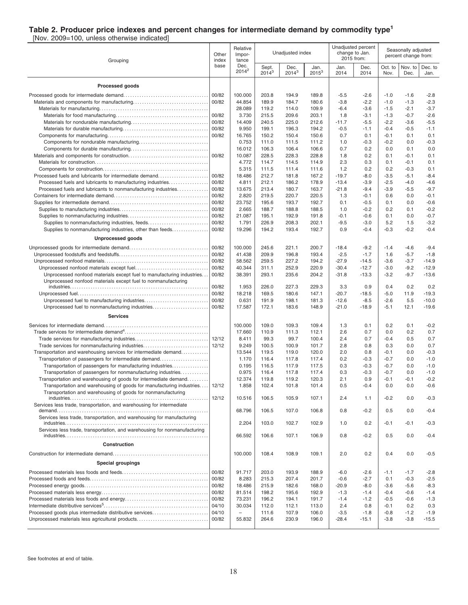### **Table 2. Producer price indexes and percent changes for intermediate demand by commodity type<sup>1</sup>**

[Nov. 2009=100, unless otherwise indicated]

| Grouping                                                                                                                               | Other<br>index | Relative<br>Impor-<br>tance |                   | Unadjusted index |                  |                    | Unadjusted percent<br>change to Jan.<br>2015 from: |                  | Seasonally adjusted<br>percent change from: |                  |
|----------------------------------------------------------------------------------------------------------------------------------------|----------------|-----------------------------|-------------------|------------------|------------------|--------------------|----------------------------------------------------|------------------|---------------------------------------------|------------------|
|                                                                                                                                        | base           | Dec.<br>$2014^2$            | Sept.<br>$2014^3$ | Dec.<br>$2014^3$ | Jan.<br>$2015^3$ | Jan.<br>2014       | Dec.<br>2014                                       | Oct. to<br>Nov.  | Nov. to<br>Dec.                             | Dec. to<br>Jan.  |
| <b>Processed goods</b>                                                                                                                 |                |                             |                   |                  |                  |                    |                                                    |                  |                                             |                  |
|                                                                                                                                        | 00/82          | 100.000                     | 203.8             | 194.9            | 189.8            | -5.5               | $-2.6$                                             | $-1.0$           | $-1.6$                                      | $-2.8$           |
|                                                                                                                                        | 00/82          | 44.854                      | 189.9             | 184.7            | 180.6            | $-3.8$             | $-2.2$                                             | $-1.0$           | $-1.3$                                      | $-2.3$           |
|                                                                                                                                        |                | 28.089                      | 119.2             | 114.0            | 109.9            | $-6.4$             | $-3.6$                                             | $-1.5$           | $-2.1$                                      | $-3.7$           |
|                                                                                                                                        | 00/82          | 3.730                       | 215.5             | 209.6            | 203.1            | 1.8                | $-3.1$                                             | $-1.3$           | $-0.7$                                      | $-2.6$           |
|                                                                                                                                        | 00/82<br>00/82 | 14.409<br>9.950             | 240.5<br>199.1    | 225.0            | 212.6<br>194.2   | -11.7<br>$-0.5$    | $-5.5$<br>$-1.1$                                   | $-2.2$<br>$-0.4$ | $-3.6$<br>$-0.5$                            | $-5.5$<br>$-1.1$ |
|                                                                                                                                        | 00/82          | 16.765                      | 150.2             | 196.3<br>150.4   | 150.6            | 0.7                | 0.1                                                | -0.1             | 0.1                                         | 0.1              |
|                                                                                                                                        |                | 0.753                       | 111.0             | 111.5            | 111.2            | 1.0                | $-0.3$                                             | $-0.2$           | 0.0                                         | $-0.3$           |
|                                                                                                                                        |                | 16.012                      | 106.3             | 106.4            | 106.6            | 0.7                | 0.2                                                | 0.0              | 0.1                                         | 0.0              |
|                                                                                                                                        | 00/82          | 10.087                      | 228.5             | 228.3            | 228.8            | 1.8                | 0.2                                                | 0.1              | $-0.1$                                      | 0.1              |
|                                                                                                                                        |                | 4.772                       | 114.7             | 114.5            | 114.9            | 2.3                | 0.3                                                | 0.1              | $-0.1$                                      | 0.1              |
|                                                                                                                                        |                | 5.315                       | 111.5             | 111.4            | 111.6            | 1.2                | 0.2                                                | 0.2              | $-0.3$                                      | 0.1              |
| Processed fuels and lubricants for intermediate demand                                                                                 | 00/82          | 18.486                      | 212.7             | 181.8            | 167.2            | $-19.7$            | $-8.0$                                             | $-3.5$           | $-5.1$                                      | $-8.4$           |
| Processed fuels and lubricants to manufacturing industries<br>Processed fuels and lubricants to nonmanufacturing industries            | 00/82<br>00/82 | 4.811<br>13.675             | 212.1<br>213.4    | 186.2<br>180.7   | 178.9<br>163.7   | $-13.4$<br>$-21.8$ | $-3.9$<br>$-9.4$                                   | $-2.5$<br>$-3.9$ | $-4.0$<br>$-5.5$                            | $-4.6$<br>$-9.7$ |
|                                                                                                                                        | 00/82          | 2.820                       | 219.5             | 220.7            | 220.5            | 1.3                | $-0.1$                                             | 0.6              | 0.0                                         | $-0.1$           |
|                                                                                                                                        | 00/82          | 23.752                      | 195.6             | 193.7            | 192.7            | 0.1                | $-0.5$                                             | 0.1              | 0.0                                         | $-0.6$           |
|                                                                                                                                        | 00/82          | 2.665                       | 188.7             | 188.8            | 188.5            | 1.0                | $-0.2$                                             | 0.2              | 0.1                                         | $-0.2$           |
|                                                                                                                                        | 00/82          | 21.087                      | 195.1             | 192.9            | 191.8            | $-0.1$             | $-0.6$                                             | 0.1              | 0.0                                         | $-0.7$           |
| Supplies to nonmanufacturing industries, feeds                                                                                         | 00/82          | 1.791                       | 226.9             | 208.3            | 202.1            | $-9.5$             | $-3.0$                                             | 5.2              | 1.5                                         | $-3.2$           |
| Supplies to nonmanufacturing industries, other than feeds                                                                              | 00/82          | 19.296                      | 194.2             | 193.4            | 192.7            | 0.9                | $-0.4$                                             | $-0.3$           | $-0.2$                                      | $-0.4$           |
| <b>Unprocessed goods</b>                                                                                                               |                |                             |                   |                  |                  |                    |                                                    |                  |                                             |                  |
|                                                                                                                                        | 00/82          | 100.000                     | 245.6             | 221.1            | 200.7            | $-18.4$            | $-9.2$                                             | $-1.4$           | $-4.6$                                      | $-9.4$           |
|                                                                                                                                        | 00/82          | 41.438                      | 209.9             | 196.8            | 193.4            | $-2.5$             | $-1.7$                                             | 1.6              | $-5.7$                                      | $-1.8$           |
|                                                                                                                                        | 00/82          | 58.562                      | 259.5             | 227.2            | 194.2            | $-27.9$            | $-14.5$                                            | $-3.6$           | $-3.7$                                      | $-14.9$          |
|                                                                                                                                        | 00/82          | 40.344                      | 311.1             | 252.9            | 220.9            | $-30.4$            | $-12.7$                                            | $-3.0$           | $-9.2$                                      | $-12.9$          |
| Unprocessed nonfood materials except fuel to manufacturing industries<br>Unprocessed nonfood materials except fuel to nonmanufacturing | 00/82          | 38.391                      | 293.1             | 235.6            | 204.2            | $-31.8$            | $-13.3$                                            | $-3.2$           | $-9.7$                                      | $-13.6$          |
|                                                                                                                                        | 00/82          | 1.953                       | 226.0             | 227.3            | 229.3            | 3.3                | 0.9                                                | 0.4              | 0.2                                         | 0.2              |
|                                                                                                                                        | 00/82          | 18.218                      | 169.5             | 180.6            | 147.1            | $-20.7$            | $-18.5$                                            | $-5.0$           | 11.9                                        | $-19.3$          |
|                                                                                                                                        | 00/82          | 0.631                       | 191.9             | 198.1            | 181.3            | $-12.6$            | $-8.5$                                             | $-2.6$           | 5.5                                         | $-10.0$          |
| Unprocessed fuel to nonmanufacturing industries                                                                                        | 00/82          | 17.587                      | 172.1             | 183.6            | 148.9            | $-21.0$            | $-18.9$                                            | $-5.1$           | 12.1                                        | $-19.6$          |
| <b>Services</b>                                                                                                                        |                |                             |                   |                  |                  |                    |                                                    |                  |                                             |                  |
|                                                                                                                                        |                | 100.000                     | 109.0             | 109.3            | 109.4            | 1.3                | 0.1                                                | 0.2              | 0.1                                         | $-0.2$           |
|                                                                                                                                        |                | 17.660                      | 110.9             | 111.3            | 112.1            | 2.6                | 0.7                                                | 0.0              | 0.2                                         | 0.7              |
|                                                                                                                                        |                | 8.411                       | 99.3              | 99.7             | 100.4            | 2.4                | 0.7                                                | $-0.4$           | 0.5                                         | 0.7<br>0.7       |
| Trade services for nonmanufacturing industries<br>Transportation and warehousing services for intermediate demand                      | 12/12          | 9.249<br>13.544             | 100.5<br>119.5    | 100.9<br>119.0   | 101.7<br>120.0   | 2.8<br>2.0         | 0.8<br>0.8                                         | 0.3<br>$-0.1$    | 0.0<br>0.0                                  | $-0.3$           |
| Transportation of passengers for intermediate demand                                                                                   |                | 1.170                       | 116.4             | 117.8            | 117.4            | 0.2                | $-0.3$                                             | $-0.7$           | 0.0                                         | $-1.0$           |
| Transportation of passengers for manufacturing industries                                                                              |                | 0.195                       | 116.5             | 117.9            | 117.5            | 0.3                | $-0.3$                                             | $-0.7$           | 0.0                                         | $-1.0$           |
| Transportation of passengers for nonmanufacturing industries                                                                           |                | 0.975                       | 116.4             | 117.8            | 117.4            | 0.3                | $-0.3$                                             | $-0.7$           | 0.0                                         | $-1.0$           |
| Transportation and warehousing of goods for intermediate demand                                                                        |                | 12.374                      | 119.8             | 119.2            | 120.3            | 2.1                | 0.9                                                | $-0.1$           | $-0.1$                                      | $-0.2$           |
| Transportation and warehousing of goods for manufacturing industries                                                                   | 12/12          | 1.858                       | 102.4             | 101.8            | 101.4            | 0.5                | $-0.4$                                             | 0.0              | 0.0                                         | $-0.6$           |
| Transportation and warehousing of goods for nonmanufacturing                                                                           | 12/12          | 10.516                      | 106.5             | 105.9            | 107.1            | 2.4                | 1.1                                                | $-0.2$           | 0.0                                         | $-0.3$           |
| Services less trade, transportation, and warehousing for intermediate                                                                  |                |                             |                   |                  |                  |                    |                                                    |                  |                                             |                  |
|                                                                                                                                        |                | 68.796                      | 106.5             | 107.0            | 106.8            | 0.8                | $-0.2$                                             | 0.5              | 0.0                                         | $-0.4$           |
| Services less trade, transportation, and warehousing for manufacturing                                                                 |                | 2.204                       | 103.0             | 102.7            | 102.9            | 1.0                | 0.2                                                | $-0.1$           | $-0.1$                                      | $-0.3$           |
| Services less trade, transportation, and warehousing for nonmanufacturing                                                              |                |                             |                   |                  |                  |                    |                                                    |                  |                                             |                  |
|                                                                                                                                        |                | 66.592                      | 106.6             | 107.1            | 106.9            | 0.8                | $-0.2$                                             | 0.5              | 0.0                                         | $-0.4$           |
| Construction                                                                                                                           |                |                             |                   |                  |                  |                    |                                                    |                  |                                             |                  |
|                                                                                                                                        |                | 100.000                     | 108.4             | 108.9            | 109.1            | 2.0                | 0.2                                                | 0.4              | 0.0                                         | $-0.5$           |
| <b>Special groupings</b>                                                                                                               |                |                             |                   |                  |                  |                    |                                                    |                  |                                             |                  |
|                                                                                                                                        | 00/82<br>00/82 | 91.717<br>8.283             | 203.0<br>215.3    | 193.9<br>207.4   | 188.9<br>201.7   | $-6.0$<br>$-0.6$   | $-2.6$<br>$-2.7$                                   | $-1.1$<br>0.1    | $-1.7$<br>$-0.3$                            | $-2.8$<br>$-2.5$ |
|                                                                                                                                        | 00/82          | 18.486                      | 215.9             | 182.6            | 168.0            | $-20.9$            | $-8.0$                                             | $-3.6$           | $-5.6$                                      | $-8.3$           |
|                                                                                                                                        | 00/82          | 81.514                      | 198.2             | 195.6            | 192.9            | $-1.3$             | $-1.4$                                             | $-0.4$           | $-0.6$                                      | $-1.4$           |
|                                                                                                                                        | 00/82          | 73.231                      | 196.2             | 194.1            | 191.7            | $-1.4$             | $-1.2$                                             | $-0.5$           | $-0.6$                                      | $-1.3$           |
|                                                                                                                                        | 04/10          | 30.034                      | 112.0             | 112.1            | 113.0            | 2.4                | 0.8                                                | $-0.1$           | 0.2                                         | 0.3              |
| Processed goods plus intermediate distributive services                                                                                | 04/10          |                             | 111.6             | 107.9            | 106.0            | $-3.5$             | $-1.8$                                             | $-0.8$           | $-1.2$                                      | $-1.9$           |
| Unprocessed materials less agricultural products                                                                                       | 00/82          | 55.832                      | 264.6             | 230.9            | 196.0            | $-28.4$            | $-15.1$                                            | $-3.8$           | $-3.8$                                      | $-15.5$          |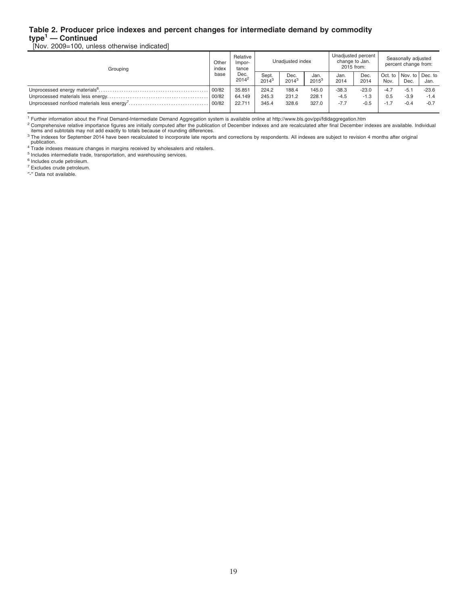### **Table 2. Producer price indexes and percent changes for intermediate demand by commodity type<sup>1</sup> — Continued**

[Nov. 2009=100, unless otherwise indicated]

| Grouping | Other<br>index | Relative<br>Impor-<br>tance | Unadiusted index  |                  |                  |              | Unadjusted percent<br>change to Jan.<br>2015 from: | Seasonally adjusted<br>percent change from: |                                     |         |  |
|----------|----------------|-----------------------------|-------------------|------------------|------------------|--------------|----------------------------------------------------|---------------------------------------------|-------------------------------------|---------|--|
|          | base           | Dec.<br>$2014^2$            | Sept.<br>$2014^3$ | Dec.<br>$2014^3$ | Jan.<br>$2015^3$ | Jan.<br>2014 | Dec.<br>2014                                       | Nov.                                        | Oct. to   Nov. to   Dec. to<br>Dec. | Jan.    |  |
|          | 00/82          | 35.851                      | 224.2             | 188.4            | 145.0            | $-38.3$      | $-23.0$                                            | $-4.7$                                      | $-5.1$                              | $-23.6$ |  |
|          | 00/82          | 64.149                      | 245.3             | 231.2            | 228.1            | $-4.5$       | $-1.3$                                             | 0.5                                         | $-3.9$                              | $-1.4$  |  |
|          | 00/82          | 22.711                      | 345.4             | 328.6            | 327.0            | $-7.7$       | $-0.5$                                             | $-1.7$                                      | $-0.4$                              | $-0.7$  |  |

<sup>1</sup> Further information about the Final Demand-Intermediate Demand Aggregation system is available online at http://www.bls.gov/ppi/fdidaggregation.htm

<sup>2</sup> Comprehensive relative importance figures are initially computed after the publication of December indexes and are recalculated after final December indexes are available. Individual<br>items and subtotals may not add exa

<sup>3</sup> The indexes for September 2014 have been recalculated to incorporate late reports and corrections by respondents. All indexes are subject to revision 4 months after original

publication. <sup>4</sup> Trade indexes measure changes in margins received by wholesalers and retailers.

<sup>5</sup> Includes intermediate trade, transportation, and warehousing services.

<sup>6</sup> Includes crude petroleum.

<sup>7</sup> Excludes crude petroleum.

″-″ Data not available.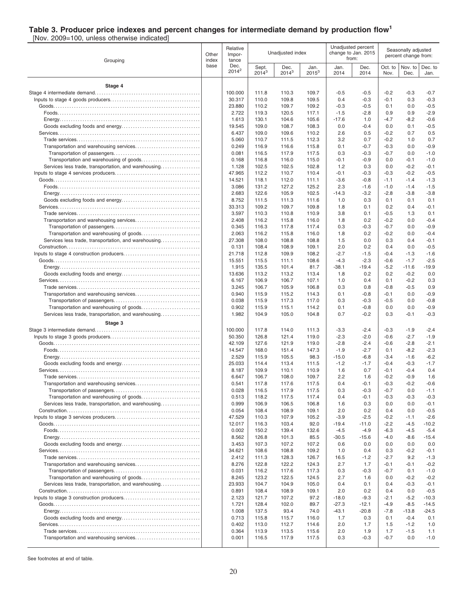### **Table 3. Producer price indexes and percent changes for intermediate demand by production flow<sup>1</sup>**

[Nov. 2009=100, unless otherwise indicated]

| Grouping                                             | Other<br>index | Relative<br>Impor-<br>tance |                   | Unadjusted index |                  |                   | Unadjusted percent<br>change to Jan. 2015<br>from: |                  | Seasonally adjusted<br>percent change from: |                   |
|------------------------------------------------------|----------------|-----------------------------|-------------------|------------------|------------------|-------------------|----------------------------------------------------|------------------|---------------------------------------------|-------------------|
|                                                      | base           | Dec.<br>$2014^2$            | Sept.<br>$2014^3$ | Dec.<br>$2014^3$ | Jan.<br>$2015^3$ | Jan.<br>2014      | Dec.<br>2014                                       | Oct. to<br>Nov.  | Nov. to<br>Dec.                             | Dec. to<br>Jan.   |
| Stage 4                                              |                |                             |                   |                  |                  |                   |                                                    |                  |                                             |                   |
|                                                      |                | 100.000                     | 111.8             | 110.3            | 109.7            | $-0.5$            | $-0.5$                                             | $-0.2$           | $-0.3$                                      | $-0.7$            |
|                                                      |                | 30.317                      | 110.0             | 109.8            | 109.5            | 0.4               | $-0.3$                                             | $-0.1$           | 0.3                                         | $-0.3$            |
|                                                      |                | 23.880<br>2.722             | 110.2<br>119.3    | 109.7<br>120.5   | 109.2<br>117.1   | $-0.3$<br>$-1.5$  | $-0.5$<br>$-2.8$                                   | 0.1<br>0.9       | 0.0<br>0.9                                  | $-0.5$<br>$-2.9$  |
|                                                      |                | 1.613                       | 130.1             | 104.6            | 105.6            | $-17.6$           | 1.0                                                | $-4.7$           | $-8.2$                                      | $-0.6$            |
|                                                      |                | 19.545                      | 109.0             | 108.7            | 108.3            | 0.0               | $-0.4$                                             | 0.0              | 0.1                                         | $-0.5$            |
|                                                      |                | 6.437                       | 109.0             | 109.6            | 110.2            | 2.6               | 0.5                                                | $-0.2$           | 0.7                                         | 0.5               |
|                                                      |                | 5.060                       | 110.7             | 111.5            | 112.3            | 3.2               | 0.7                                                | $-0.2$           | 1.0                                         | 0.7               |
|                                                      |                | 0.249<br>0.081              | 116.9             | 116.6<br>117.9   | 115.8            | 0.1<br>0.3        | $-0.7$<br>$-0.3$                                   | $-0.3$<br>$-0.7$ | 0.0<br>0.0                                  | $-0.9$<br>$-1.0$  |
|                                                      |                | 0.168                       | 116.5<br>116.8    | 116.0            | 117.5<br>115.0   | -0.1              | $-0.9$                                             | 0.0              | $-0.1$                                      | $-1.0$            |
| Services less trade, transportation, and warehousing |                | 1.128                       | 102.5             | 102.5            | 102.8            | 1.2               | 0.3                                                | 0.0              | $-0.2$                                      | $-0.1$            |
|                                                      |                | 47.965                      | 112.2             | 110.7            | 110.4            | -0.1              | $-0.3$                                             | $-0.3$           | $-0.2$                                      | $-0.5$            |
|                                                      |                | 14.521                      | 118.1             | 112.0            | 111.1            | $-3.6$            | $-0.8$                                             | $-1.1$           | -1.4                                        | $-1.3$            |
|                                                      |                | 3.086                       | 131.2             | 127.2            | 125.2            | 2.3               | $-1.6$                                             | $-1.0$           | $-1.4$                                      | $-1.5$            |
|                                                      |                | 2.683<br>8.752              | 122.6<br>111.5    | 105.9<br>111.3   | 102.5<br>111.6   | $-14.3$<br>1.0    | $-3.2$<br>0.3                                      | $-2.8$<br>0.1    | $-3.8$<br>0.1                               | $-3.8$<br>0.1     |
|                                                      |                | 33.313                      | 109.2             | 109.7            | 109.8            | 1.8               | 0.1                                                | 0.2              | 0.4                                         | $-0.1$            |
|                                                      |                | 3.597                       | 110.3             | 110.8            | 110.9            | 3.8               | 0.1                                                | $-0.5$           | 1.3                                         | 0.1               |
|                                                      |                | 2.408                       | 116.2             | 115.8            | 116.0            | 1.8               | 0.2                                                | $-0.2$           | 0.0                                         | $-0.4$            |
|                                                      |                | 0.345                       | 116.3             | 117.8            | 117.4            | 0.3               | $-0.3$                                             | $-0.7$           | 0.0                                         | $-0.9$            |
|                                                      |                | 2.063                       | 116.2             | 115.8            | 116.0            | 1.8               | 0.2                                                | $-0.2$           | 0.0                                         | $-0.4$            |
| Services less trade, transportation, and warehousing |                | 27.308<br>0.131             | 108.0<br>108.4    | 108.8<br>108.9   | 108.8<br>109.1   | 1.5<br>2.0        | 0.0<br>0.2                                         | 0.3<br>0.4       | 0.4<br>0.0                                  | $-0.1$<br>$-0.5$  |
|                                                      |                | 21.718                      | 112.8             | 109.9            | 108.2            | $-2.7$            | $-1.5$                                             | $-0.4$           | -1.3                                        | $-1.6$            |
|                                                      |                | 15.551                      | 115.5             | 111.1            | 108.6            | $-4.3$            | $-2.3$                                             | -0.6             | $-1.7$                                      | $-2.5$            |
|                                                      |                | 1.915                       | 135.5             | 101.4            | 81.7             | -38.1             | $-19.4$                                            | $-5.2$           | -11.6                                       | $-19.9$           |
|                                                      |                | 13.636                      | 113.2             | 113.2            | 113.4            | 1.8               | 0.2                                                | 0.2              | $-0.2$                                      | 0.0               |
|                                                      |                | 6.167<br>3.245              | 106.9<br>106.7    | 106.7<br>105.9   | 107.1<br>106.8   | 1.0<br>0.3        | 0.4<br>0.8                                         | 0.1<br>$-0.8$    | $-0.2$<br>$-0.5$                            | 0.3<br>0.9        |
|                                                      |                | 0.940                       | 115.9             | 115.2            | 114.3            | 0.1               | $-0.8$                                             | $-0.1$           | 0.0                                         | $-0.9$            |
|                                                      |                | 0.038                       | 115.9             | 117.3            | 117.0            | 0.3               | $-0.3$                                             | $-0.5$           | 0.0                                         | $-0.8$            |
|                                                      |                | 0.902                       | 115.9             | 115.1            | 114.2            | 0.1               | $-0.8$                                             | 0.0              | 0.0                                         | $-0.9$            |
| Services less trade, transportation, and warehousing |                | 1.982                       | 104.9             | 105.0            | 104.8            | 0.7               | $-0.2$                                             | 0.3              | $-0.1$                                      | $-0.3$            |
| Stage 3                                              |                |                             |                   |                  |                  |                   |                                                    |                  |                                             |                   |
|                                                      |                | 100.000                     | 117.8             | 114.0            | 111.3            | -3.3              | $-2.4$                                             | -0.3             | -1.9                                        | $-2.4$            |
|                                                      |                | 50.350<br>42.109            | 126.8<br>127.6    | 121.4<br>121.9   | 119.0<br>119.0   | $-2.3$<br>$-2.8$  | $-2.0$<br>$-2.4$                                   | $-0.6$<br>$-0.6$ | $-2.7$<br>$-2.8$                            | $-1.9$<br>$-2.1$  |
|                                                      |                | 14.547                      | 168.0             | 151.4            | 147.3            | $-1.9$            | $-2.7$                                             | 0.1              | -8.2                                        | $-2.3$            |
|                                                      |                | 2.529                       | 115.9             | 105.5            | 98.3             | $-15.0$           | $-6.8$                                             | $-3.4$           | $-1.6$                                      | $-6.2$            |
|                                                      |                | 25.033                      | 114.4             | 113.4            | 111.5            | $-1.2$            | $-1.7$                                             | $-0.4$           | -0.3                                        | $-1.7$            |
|                                                      |                | 8.187                       | 109.9             | 110.1            | 110.9            | 1.6               | 0.7                                                | $-0.1$           | $-0.4$                                      | 0.4               |
| Transportation and warehousing services              |                | 6.647<br>0.541              | 106.7<br>117.8    | 108.0<br>117.6   | 109.7<br>117.5   | 2.2<br>0.4        | 1.6<br>$-0.1$                                      | $-0.2$<br>$-0.3$ | $-0.9$<br>$-0.2$                            | 1.6<br>$-0.6$     |
|                                                      |                | 0.028                       | 116.5             | 117.9            | 117.5            | 0.3               | $-0.3$                                             | $-0.7$           | 0.0                                         | -1.1              |
|                                                      |                | 0.513                       | 118.2             | 117.5            | 117.4            | 0.4               | $-0.1$                                             | $-0.3$           | $-0.3$                                      | $-0.3$            |
| Services less trade, transportation, and warehousing |                | 0.999                       | 106.9             | 106.5            | 106.8            | 1.6               | 0.3                                                | 0.0              | 0.0                                         | $-0.1$            |
|                                                      |                | 0.054                       | 108.4             | 108.9            | 109.1            | 2.0               | 0.2                                                | 0.4              | 0.0                                         | $-0.5$            |
|                                                      |                | 47.529<br>12.017            | 110.3<br>116.3    | 107.9<br>103.4   | 105.2<br>92.0    | $-3.9$<br>$-19.4$ | $-2.5$<br>$-11.0$                                  | $-0.2$<br>$-2.2$ | $-1.1$<br>$-4.5$                            | $-2.6$<br>$-10.2$ |
|                                                      |                | 0.002                       | 150.2             | 139.4            | 132.6            | $-4.5$            | $-4.9$                                             | $-6.3$           | $-4.5$                                      | $-5.4$            |
|                                                      |                | 8.562                       | 126.8             | 101.3            | 85.5             | $-30.5$           | $-15.6$                                            | $-4.0$           | $-8.6$                                      | $-15.4$           |
|                                                      |                | 3.453                       | 107.3             | 107.2            | 107.2            | 0.6               | 0.0                                                | 0.0              | 0.0                                         | 0.0               |
|                                                      |                | 34.621                      | 108.6             | 108.8            | 109.2            | 1.0               | 0.4                                                | 0.3              | -0.2                                        | -0.1              |
|                                                      |                | 2.412                       | 111.3             | 128.3            | 126.7            | 16.5              | $-1.2$                                             | $-2.7$           | 9.2                                         | $-1.3$            |
|                                                      |                | 8.276<br>0.031              | 122.8<br>116.2    | 122.2<br>117.6   | 124.3<br>117.3   | 2.7<br>0.3        | 1.7<br>$-0.3$                                      | $-0.1$<br>$-0.7$ | $-0.1$<br>0.1                               | $-0.2$<br>$-1.0$  |
|                                                      |                | 8.245                       | 123.2             | 122.5            | 124.5            | 2.7               | 1.6                                                | 0.0              | $-0.2$                                      | $-0.2$            |
| Services less trade, transportation, and warehousing |                | 23.933                      | 104.7             | 104.9            | 105.0            | 0.4               | 0.1                                                | 0.4              | $-0.3$                                      | $-0.1$            |
|                                                      |                | 0.891                       | 108.4             | 108.9            | 109.1            | 2.0               | 0.2                                                | 0.4              | 0.0                                         | $-0.5$            |
|                                                      |                | 2.123                       | 121.7             | 107.2            | 97.2             | -18.0             | $-9.3$                                             | $-2.1$           | $-5.2$                                      | $-10.3$           |
|                                                      |                | 1.721                       | 128.4             | 102.0            | 89.7             | $-27.3$           | $-12.1$                                            | $-4.9$           | $-8.5$                                      | $-14.5$           |
|                                                      |                | 1.008<br>0.713              | 137.5<br>115.8    | 93.4<br>115.7    | 74.0<br>116.0    | $-43.1$<br>1.7    | $-20.8$<br>0.3                                     | $-7.8$<br>0.1    | $-13.8$<br>$-0.4$                           | $-24.5$<br>0.1    |
|                                                      |                | 0.402                       | 113.0             | 112.7            | 114.6            | 2.0               | 1.7                                                | 1.5              | -1.2                                        | 1.0               |
|                                                      |                | 0.364                       | 113.9             | 113.5            | 115.6            | 2.0               | 1.9                                                | 1.7              | -1.5                                        | 1.1               |
|                                                      |                | 0.001                       | 116.5             | 117.9            | 117.5            | 0.3               | $-0.3$                                             | $-0.7$           | 0.0                                         | $-1.0$            |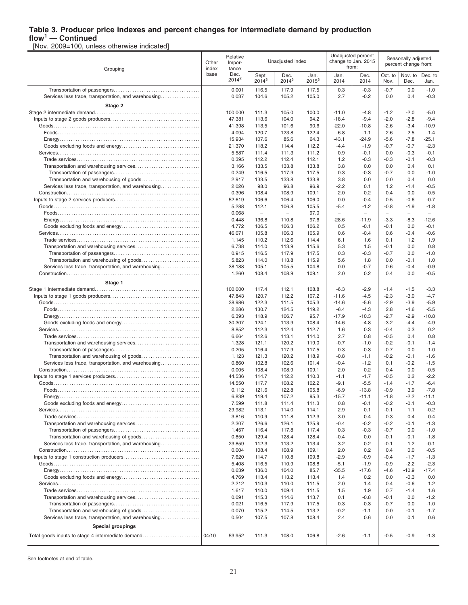# **Table 3. Producer price indexes and percent changes for intermediate demand by production**

**flow<sup>1</sup> — Continued** [Nov. 2009=100, unless otherwise indicated]

| Grouping                                                                                        | Other<br>index | Relative<br>Impor-<br>tance |                          | Unadjusted index         |                  |                          | Unadjusted percent<br>change to Jan. 2015<br>from: |                          | Seasonally adjusted<br>percent change from: |                          |  |
|-------------------------------------------------------------------------------------------------|----------------|-----------------------------|--------------------------|--------------------------|------------------|--------------------------|----------------------------------------------------|--------------------------|---------------------------------------------|--------------------------|--|
|                                                                                                 | base           | Dec.<br>$2014^2$            | Sept.<br>$2014^3$        | Dec.<br>$2014^3$         | Jan.<br>$2015^3$ | Jan.<br>2014             | Dec.<br>2014                                       | Oct. to<br>Nov.          | Nov. to<br>Dec.                             | Dec. to<br>Jan.          |  |
|                                                                                                 |                | 0.001                       | 116.5                    | 117.9                    | 117.5            | 0.3                      | $-0.3$                                             | $-0.7$                   | 0.0                                         | $-1.0$                   |  |
| Services less trade, transportation, and warehousing                                            |                | 0.037                       | 104.6                    | 105.2                    | 105.0            | 2.7                      | $-0.2$                                             | 0.0                      | 0.4                                         | $-0.3$                   |  |
| Stage 2                                                                                         |                |                             |                          |                          |                  |                          |                                                    |                          |                                             |                          |  |
|                                                                                                 |                | 100.000                     | 111.3                    | 105.0                    | 100.0            | $-11.0$                  | $-4.8$                                             | $-1.2$                   | $-2.0$                                      | $-5.0$                   |  |
|                                                                                                 |                | 47.381<br>41.398            | 113.6<br>113.5           | 104.0<br>101.6           | 94.2<br>90.6     | $-18.4$<br>$-22.0$       | $-9.4$                                             | $-2.0$<br>$-2.6$         | $-2.8$<br>$-3.4$                            | $-9.4$<br>$-10.9$        |  |
|                                                                                                 |                | 4.094                       | 120.7                    | 123.8                    | 122.4            | $-6.8$                   | $-10.8$<br>$-1.1$                                  | 2.6                      | 2.5                                         | $-1.4$                   |  |
|                                                                                                 |                | 15.934                      | 107.6                    | 85.6                     | 64.3             | $-43.1$                  | $-24.9$                                            | $-5.6$                   | $-7.8$                                      | $-25.1$                  |  |
|                                                                                                 |                | 21.370                      | 118.2                    | 114.4                    | 112.2            | $-4.4$                   | $-1.9$                                             | $-0.7$                   | $-0.7$                                      | $-2.3$                   |  |
|                                                                                                 |                | 5.587                       | 111.4                    | 111.3                    | 111.2            | 0.9                      | $-0.1$                                             | 0.0                      | $-0.3$                                      | $-0.1$                   |  |
|                                                                                                 |                | 0.395                       | 112.2                    | 112.4                    | 112.1            | 1.2                      | $-0.3$                                             | $-0.3$                   | $-0.1$                                      | $-0.3$                   |  |
|                                                                                                 |                | 3.166                       | 133.5                    | 133.8                    | 133.8            | 3.8                      | 0.0                                                | 0.0                      | 0.4                                         | 0.1                      |  |
|                                                                                                 |                | 0.249                       | 116.5                    | 117.9                    | 117.5            | 0.3                      | $-0.3$                                             | $-0.7$                   | 0.0                                         | $-1.0$                   |  |
|                                                                                                 |                | 2.917                       | 133.5                    | 133.8                    | 133.8            | 3.8                      | 0.0                                                | 0.0                      | 0.4                                         | 0.0                      |  |
| Services less trade, transportation, and warehousing                                            |                | 2.026                       | 98.0                     | 96.8                     | 96.9             | $-2.2$                   | 0.1                                                | 1.2                      | $-1.4$                                      | $-0.5$                   |  |
|                                                                                                 |                | 0.396<br>52.619             | 108.4<br>106.6           | 108.9<br>106.4           | 109.1<br>106.0   | 2.0<br>0.0               | 0.2<br>$-0.4$                                      | 0.4<br>0.5               | 0.0<br>$-0.6$                               | $-0.5$<br>$-0.7$         |  |
|                                                                                                 |                | 5.288                       | 112.1                    | 106.8                    | 105.5            | $-5.4$                   | $-1.2$                                             | $-0.8$                   | $-1.9$                                      | $-1.8$                   |  |
|                                                                                                 |                | 0.068                       | $\overline{\phantom{a}}$ | $\overline{\phantom{m}}$ | 97.0             | $\overline{\phantom{a}}$ | $\overline{\phantom{0}}$                           | $\overline{\phantom{0}}$ | $\overline{\phantom{0}}$                    | $\overline{\phantom{a}}$ |  |
|                                                                                                 |                | 0.448                       | 136.8                    | 110.8                    | 97.6             | $-28.6$                  | $-11.9$                                            | $-3.3$                   | $-8.3$                                      | $-12.6$                  |  |
|                                                                                                 |                | 4.772                       | 106.5                    | 106.3                    | 106.2            | 0.5                      | $-0.1$                                             | $-0.1$                   | 0.0                                         | $-0.1$                   |  |
|                                                                                                 |                | 46.071                      | 105.8                    | 106.3                    | 105.9            | 0.6                      | $-0.4$                                             | 0.6                      | $-0.4$                                      | $-0.6$                   |  |
|                                                                                                 |                | 1.145                       | 110.2                    | 112.6                    | 114.4            | 6.1                      | 1.6                                                | 0.1                      | 1.2                                         | 1.9                      |  |
|                                                                                                 |                | 6.738                       | 114.0                    | 113.9                    | 115.6            | 5.3                      | 1.5                                                | $-0.1$                   | 0.0                                         | 0.8                      |  |
|                                                                                                 |                | 0.915                       | 116.5                    | 117.9                    | 117.5            | 0.3                      | $-0.3$                                             | $-0.7$                   | 0.0                                         | $-1.0$                   |  |
|                                                                                                 |                | 5.823                       | 114.0                    | 113.8                    | 115.9            | 5.6                      | 1.8                                                | 0.0                      | $-0.1$                                      | 1.0                      |  |
| Services less trade, transportation, and warehousing                                            |                | 38.188<br>1.260             | 105.1<br>108.4           | 105.5<br>108.9           | 104.8<br>109.1   | 0.0<br>2.0               | $-0.7$<br>0.2                                      | 0.6<br>0.4               | $-0.4$<br>0.0                               | $-0.9$<br>$-0.5$         |  |
|                                                                                                 |                |                             |                          |                          |                  |                          |                                                    |                          |                                             |                          |  |
| Stage 1                                                                                         |                |                             |                          |                          |                  |                          |                                                    |                          |                                             |                          |  |
|                                                                                                 |                | 100.000<br>47.843           | 117.4<br>120.7           | 112.1<br>112.2           | 108.8<br>107.2   | $-6.3$<br>$-11.6$        | $-2.9$<br>$-4.5$                                   | $-1.4$<br>$-2.3$         | $-1.5$<br>$-3.0$                            | $-3.3$<br>$-4.7$         |  |
|                                                                                                 |                | 38.986                      | 122.3                    | 111.5                    | 105.3            | $-14.6$                  | $-5.6$                                             | $-2.9$                   | $-3.9$                                      | $-5.9$                   |  |
|                                                                                                 |                | 2.286                       | 130.7                    | 124.5                    | 119.2            | $-6.4$                   | $-4.3$                                             | 2.8                      | $-4.6$                                      | $-5.5$                   |  |
|                                                                                                 |                | 6.393                       | 118.9                    | 106.7                    | 95.7             | $-17.9$                  | $-10.3$                                            | $-2.7$                   | $-2.9$                                      | $-10.8$                  |  |
|                                                                                                 |                | 30.307                      | 124.1                    | 113.9                    | 108.4            | $-14.6$                  | $-4.8$                                             | $-3.2$                   | $-4.4$                                      | $-4.9$                   |  |
|                                                                                                 |                | 8.852                       | 112.3                    | 112.4                    | 112.7            | 1.6                      | 0.3                                                | $-0.4$                   | 0.3                                         | 0.2                      |  |
|                                                                                                 |                | 6.664                       | 112.6                    | 113.1                    | 114.0            | 2.7                      | 0.8                                                | $-0.5$                   | 0.4                                         | 0.8                      |  |
|                                                                                                 |                | 1.328                       | 121.1                    | 120.2                    | 119.0            | $-0.7$                   | $-1.0$                                             | $-0.2$                   | $-0.1$                                      | $-1.4$                   |  |
|                                                                                                 |                | 0.205                       | 116.4                    | 117.9                    | 117.5            | 0.3                      | $-0.3$                                             | $-0.7$                   | 0.0                                         | $-1.0$                   |  |
| Transportation and warehousing of goods<br>Services less trade, transportation, and warehousing |                | 1.123<br>0.860              | 121.3<br>102.8           | 120.2<br>102.6           | 118.9<br>101.4   | $-0.8$<br>$-0.4$         | $-1.1$<br>$-1.2$                                   | $-0.2$<br>0.1            | $-0.1$<br>$-0.2$                            | $-1.6$<br>$-1.5$         |  |
|                                                                                                 |                | 0.005                       | 108.4                    | 108.9                    | 109.1            | 2.0                      | 0.2                                                | 0.4                      | 0.0                                         | $-0.5$                   |  |
|                                                                                                 |                | 44.536                      | 114.7                    | 112.2                    | 110.3            | $-1.1$                   | $-1.7$                                             | $-0.5$                   | 0.2                                         | $-2.2$                   |  |
|                                                                                                 |                | 14.550                      | 117.7                    | 108.2                    | 102.2            | $-9.1$                   | $-5.5$                                             | $-1.4$                   | $-1.7$                                      | $-6.4$                   |  |
|                                                                                                 |                | 0.112                       | 121.6                    | 122.8                    | 105.8            | $-6.9$                   | $-13.8$                                            | $-0.9$                   | 3.9                                         | $-7.8$                   |  |
|                                                                                                 |                | 6.839                       | 119.4                    | 107.2                    | 95.3             | -15.7                    | $-11.1$                                            | $-1.8$                   | $-2.2$                                      | -11.1                    |  |
|                                                                                                 |                | 7.599                       | 111.8                    | 111.4                    | 111.3            | 0.8                      | $-0.1$                                             | $-0.2$                   | $-0.1$                                      | $-0.3$                   |  |
|                                                                                                 |                | 29.982                      | 113.1                    | 114.0                    | 114.1            | 2.9                      | 0.1                                                | $-0.1$                   | 1.1                                         | $-0.2$                   |  |
|                                                                                                 |                | 3.816<br>2.307              | 110.9<br>126.6           | 111.8<br>126.1           | 112.3<br>125.9   | 3.0<br>$-0.4$            | 0.4<br>$-0.2$                                      | 0.3<br>$-0.2$            | 0.4<br>$-0.1$                               | 0.4<br>$-1.3$            |  |
|                                                                                                 |                | 1.457                       | 116.4                    | 117.8                    | 117.4            | 0.3                      | $-0.3$                                             | $-0.7$                   | 0.0                                         | $-1.0$                   |  |
| Transportation and warehousing of goods                                                         |                | 0.850                       | 129.4                    | 128.4                    | 128.4            | -0.4                     | 0.0                                                | $-0.1$                   | $-0.1$                                      | $-1.8$                   |  |
| Services less trade, transportation, and warehousing                                            |                | 23.859                      | 112.3                    | 113.2                    | 113.4            | 3.2                      | 0.2                                                | $-0.1$                   | 1.2                                         | $-0.1$                   |  |
|                                                                                                 |                | 0.004                       | 108.4                    | 108.9                    | 109.1            | 2.0                      | 0.2                                                | 0.4                      | 0.0                                         | $-0.5$                   |  |
|                                                                                                 |                | 7.620                       | 114.7                    | 110.8                    | 109.8            | $-2.9$                   | $-0.9$                                             | $-0.4$                   | $-1.7$                                      | $-1.3$                   |  |
|                                                                                                 |                | 5.408                       | 116.5                    | 110.9                    | 108.8            | $-5.1$                   | $-1.9$                                             | $-0.9$                   | $-2.2$                                      | $-2.3$                   |  |
|                                                                                                 |                | 0.639                       | 136.0                    | 104.0                    | 85.7             | $-35.5$                  | $-17.6$                                            | $-4.6$                   | $-10.9$                                     | $-17.4$                  |  |
|                                                                                                 |                | 4.769                       | 113.4                    | 113.2                    | 113.4            | 1.4                      | 0.2                                                | 0.0                      | $-0.3$                                      | 0.0                      |  |
|                                                                                                 |                | 2.212                       | 110.3                    | 110.0                    | 111.5            | 2.0                      | 1.4                                                | 0.4                      | -0.6                                        | $1.2$                    |  |
|                                                                                                 |                | 1.617<br>0.091              | 110.0<br>115.3           | 109.4<br>114.6           | 111.5<br>113.7   | 1.5<br>0.1               | 1.9<br>$-0.8$                                      | 0.7<br>$-0.1$            | $-1.4$<br>0.0                               | 1.6<br>$-1.2$            |  |
|                                                                                                 |                | 0.021                       | 116.5                    | 117.9                    | 117.5            | 0.3                      | $-0.3$                                             | $-0.7$                   | 0.0                                         | $-1.0$                   |  |
|                                                                                                 |                | 0.070                       | 115.2                    | 114.5                    | 113.2            | $-0.2$                   | $-1.1$                                             | 0.0                      | $-0.1$                                      | $-1.7$                   |  |
| Services less trade, transportation, and warehousing                                            |                | 0.504                       | 107.5                    | 107.8                    | 108.4            | 2.4                      | 0.6                                                | 0.0                      | 0.1                                         | 0.6                      |  |
| <b>Special groupings</b>                                                                        |                |                             |                          |                          |                  |                          |                                                    |                          |                                             |                          |  |
|                                                                                                 |                | 53.952                      | 111.3                    | 108.0                    | 106.8            | $-2.6$                   | $-1.1$                                             | $-0.5$                   | $-0.9$                                      | $-1.3$                   |  |
|                                                                                                 |                |                             |                          |                          |                  |                          |                                                    |                          |                                             |                          |  |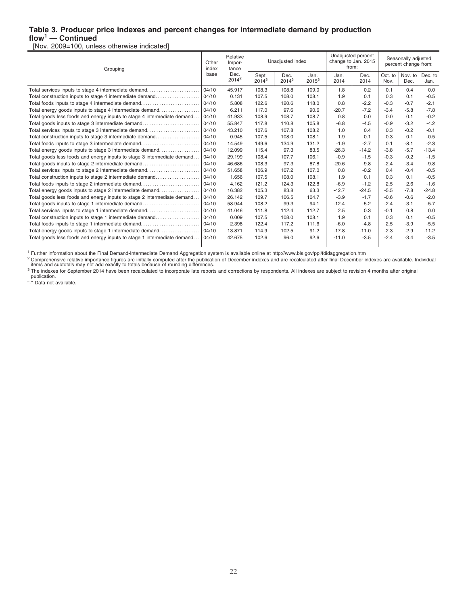### **Table 3. Producer price indexes and percent changes for intermediate demand by production flow<sup>1</sup> — Continued**

[Nov. 2009=100, unless otherwise indicated]

| Grouping                                                                | Other<br>index | Relative<br>Impor-<br>tance |                   | Unadjusted index |                  |              | Unadjusted percent<br>change to Jan. 2015<br>from: |                 | Seasonally adjusted<br>percent change from: |                 |  |
|-------------------------------------------------------------------------|----------------|-----------------------------|-------------------|------------------|------------------|--------------|----------------------------------------------------|-----------------|---------------------------------------------|-----------------|--|
|                                                                         | base           | Dec.<br>$2014^2$            | Sept.<br>$2014^3$ | Dec.<br>$2014^3$ | Jan.<br>$2015^3$ | Jan.<br>2014 | Dec.<br>2014                                       | Oct. to<br>Nov. | Nov. to<br>Dec.                             | Dec. to<br>Jan. |  |
| Total services inputs to stage 4 intermediate demand                    | 04/10          | 45.917                      | 108.3             | 108.8            | 109.0            | 1.8          | 0.2                                                | 0.1             | 0.4                                         | 0.0             |  |
| Total construction inputs to stage 4 intermediate demand                | 04/10          | 0.131                       | 107.5             | 108.0            | 108.1            | 1.9          | 0.1                                                | 0.3             | 0.1                                         | $-0.5$          |  |
| Total foods inputs to stage 4 intermediate demand                       | 04/10          | 5.808                       | 122.6             | 120.6            | 118.0            | 0.8          | $-2.2$                                             | $-0.3$          | $-0.7$                                      | $-2.1$          |  |
| Total energy goods inputs to stage 4 intermediate demand                | 04/10          | 6.211                       | 117.0             | 97.6             | 90.6             | $-20.7$      | $-7.2$                                             | $-3.4$          | $-5.8$                                      | $-7.8$          |  |
| Total goods less foods and energy inputs to stage 4 intermediate demand | 04/10          | 41.933                      | 108.9             | 108.7            | 108.7            | 0.8          | 0.0                                                | 0.0             | 0.1                                         | $-0.2$          |  |
| Total goods inputs to stage 3 intermediate demand                       | 04/10          | 55.847                      | 117.8             | 110.8            | 105.8            | $-6.8$       | $-4.5$                                             | $-0.9$          | $-3.2$                                      | $-4.2$          |  |
| Total services inputs to stage 3 intermediate demand                    | 04/10          | 43.210                      | 107.6             | 107.8            | 108.2            | 1.0          | 0.4                                                | 0.3             | $-0.2$                                      | $-0.1$          |  |
| Total construction inputs to stage 3 intermediate demand                | 04/10          | 0.945                       | 107.5             | 108.0            | 108.1            | 1.9          | 0.1                                                | 0.3             | 0.1                                         | $-0.5$          |  |
| Total foods inputs to stage 3 intermediate demand                       | 04/10          | 14.549                      | 149.6             | 134.9            | 131.2            | $-1.9$       | $-2.7$                                             | 0.1             | $-8.1$                                      | $-2.3$          |  |
| Total energy goods inputs to stage 3 intermediate demand                | 04/10          | 12.099                      | 115.4             | 97.3             | 83.5             | $-26.3$      | $-14.2$                                            | $-3.8$          | $-5.7$                                      | $-13.4$         |  |
| Total goods less foods and energy inputs to stage 3 intermediate demand | 04/10          | 29.199                      | 108.4             | 107.7            | 106.1            | $-0.9$       | $-1.5$                                             | $-0.3$          | $-0.2$                                      | $-1.5$          |  |
| Total goods inputs to stage 2 intermediate demand                       | 04/10          | 46.686                      | 108.3             | 97.3             | 87.8             | $-20.6$      | $-9.8$                                             | $-2.4$          | $-3.4$                                      | $-9.8$          |  |
| Total services inputs to stage 2 intermediate demand                    | 04/10          | 51.658                      | 106.9             | 107.2            | 107.0            | 0.8          | $-0.2$                                             | 0.4             | $-0.4$                                      | $-0.5$          |  |
| Total construction inputs to stage 2 intermediate demand                | 04/10          | 1.656                       | 107.5             | 108.0            | 108.1            | 1.9          | 0.1                                                | 0.3             | 0.1                                         | $-0.5$          |  |
| Total foods inputs to stage 2 intermediate demand                       | 04/10          | 4.162                       | 121.2             | 124.3            | 122.8            | $-6.9$       | $-1.2$                                             | 2.5             | 2.6                                         | $-1.6$          |  |
| Total energy goods inputs to stage 2 intermediate demand                | 04/10          | 16.382                      | 105.3             | 83.8             | 63.3             | $-42.7$      | $-24.5$                                            | $-5.5$          | $-7.8$                                      | $-24.8$         |  |
| Total goods less foods and energy inputs to stage 2 intermediate demand | 04/10          | 26.142                      | 109.7             | 106.5            | 104.7            | $-3.9$       | $-1.7$                                             | $-0.6$          | $-0.6$                                      | $-2.0$          |  |
| Total goods inputs to stage 1 intermediate demand                       | 04/10          | 58.944                      | 108.2             | 99.3             | 94.1             | $-12.4$      | $-5.2$                                             | $-2.4$          | $-3.1$                                      | $-5.7$          |  |
| Total services inputs to stage 1 intermediate demand                    | 04/10          | 41.046                      | 111.8             | 112.4            | 112.7            | 2.5          | 0.3                                                | $-0.1$          | 0.8                                         | 0.0             |  |
| Total construction inputs to stage 1 intermediate demand                | 04/10          | 0.009                       | 107.5             | 108.0            | 108.1            | 1.9          | 0.1                                                | 0.3             | 0.1                                         | $-0.5$          |  |
| Total foods inputs to stage 1 intermediate demand                       | 04/10          | 2.398                       | 122.4             | 117.2            | 111.6            | $-6.0$       | $-4.8$                                             | 2.5             | $-3.9$                                      | $-5.5$          |  |
| Total energy goods inputs to stage 1 intermediate demand                | 04/10          | 13.871                      | 114.9             | 102.5            | 91.2             | $-17.8$      | $-11.0$                                            | $-2.3$          | $-2.9$                                      | $-11.2$         |  |
| Total goods less foods and energy inputs to stage 1 intermediate demand | 04/10          | 42.675                      | 102.6             | 96.0             | 92.6             | $-11.0$      | $-3.5$                                             | $-2.4$          | $-3.4$                                      | $-3.5$          |  |
|                                                                         |                |                             |                   |                  |                  |              |                                                    |                 |                                             |                 |  |

<sup>1</sup> Further information about the Final Demand-Intermediate Demand Aggregation system is available online at http://www.bls.gov/ppi/fdidaggregation.htm

<sup>2</sup> Comprehensive relative importance figures are initially computed after the publication of December indexes and are recalculated after final December indexes are available. Individual<br>items and subtotals may not add exa

<sup>3</sup> The indexes for September 2014 have been recalculated to incorporate late reports and corrections by respondents. All indexes are subject to revision 4 months after original

publication. ″-″ Data not available.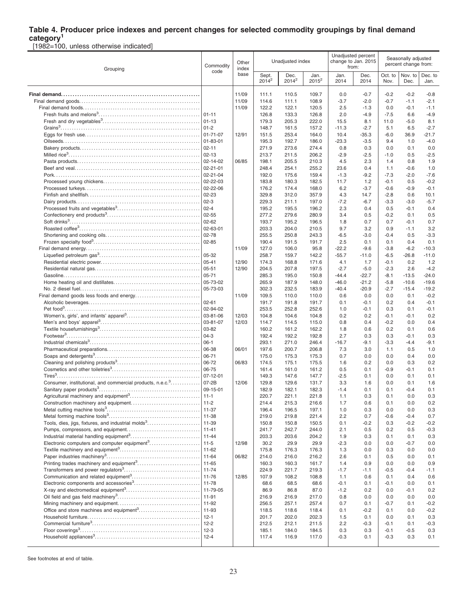# **Table 4. Producer price indexes and percent changes for selected commodity groupings by final demand**

**category<sup>1</sup>** [1982=100, unless otherwise indicated]

| Grouping                                                              | Commodity<br>code          | Other<br>index |                   | Unadjusted index |                  |                   | Unadjusted percent<br>change to Jan. 2015<br>from: |                  |                 | Seasonally adjusted<br>percent change from: |  |
|-----------------------------------------------------------------------|----------------------------|----------------|-------------------|------------------|------------------|-------------------|----------------------------------------------------|------------------|-----------------|---------------------------------------------|--|
|                                                                       |                            | base           | Sept.<br>$2014^2$ | Dec.<br>$2014^2$ | Jan.<br>$2015^2$ | Jan.<br>2014      | Dec.<br>2014                                       | Oct. to<br>Nov.  | Nov. to<br>Dec. | Dec. to<br>Jan.                             |  |
|                                                                       |                            | 11/09          | 111.1             | 110.5            | 109.7            | 0.0               | $-0.7$                                             | $-0.2$           | $-0.2$          | $-0.8$                                      |  |
|                                                                       |                            | 11/09          | 114.6             | 111.1            | 108.9            | $-3.7$            | $-2.0$                                             | $-0.7$           | $-1.1$          | $-2.1$                                      |  |
|                                                                       |                            | 11/09          | 122.2             | 122.1            | 120.5            | 2.5               | $-1.3$                                             | 0.0              | -0.1            | $-1.1$                                      |  |
|                                                                       |                            |                | 126.8             | 133.3            | 126.8            | 2.0               | $-4.9$                                             | $-7.5$           | 6.6             | $-4.9$                                      |  |
|                                                                       | $ 01-13$                   |                | 179.3             | 205.3            | 222.0            | 15.5              | 8.1                                                | 11.0             | $-5.0$          | 8.1                                         |  |
|                                                                       | $ 01-2 $                   |                | 148.7             | 161.5            | 157.2            | $-11.3$           | $-2.7$                                             | 5.1              | 6.5             | $-2.7$                                      |  |
|                                                                       | 01-71-07                   | 12/91          | 151.5             | 253.4            | 164.0            | 10.4              | $-35.3$                                            | $-6.0$           | 36.9            | $-21.7$                                     |  |
|                                                                       | 01-83-01                   |                | 195.3             | 192.7            | 186.0            | $-23.3$           | $-3.5$                                             | 9.4              | 1.0             | $-4.0$                                      |  |
|                                                                       | $02 - 11$                  |                | 271.9             | 273.6            | 274.4            | 0.8               | 0.3                                                | 0.0              | 0.1             | 0.0                                         |  |
|                                                                       | $02 - 13$                  |                | 213.7             | 211.5            | 206.2            | $-2.9$            | $-2.5$                                             | $-1.0$           | 0.5             | $-2.5$                                      |  |
|                                                                       | 02-14-02                   | 06/85          | 198.1             | 205.5            | 210.3            | 4.5               | 2.3                                                | 1.4              | 0.8             | 1.9                                         |  |
|                                                                       | 02-21-01                   |                | 248.4             | 254.1            | 255.2            | 23.6              | 0.4                                                | 1.1              | -0.6            | 1.0                                         |  |
|                                                                       | $02 - 21 - 04$<br>02-22-03 |                | 192.0<br>183.8    | 175.6<br>180.3   | 159.4<br>182.5   | $-1.3$<br>11.7    | $-9.2$<br>1.2                                      | $-7.3$<br>$-0.1$ | $-2.0$<br>0.5   | $-7.6$<br>$-0.2$                            |  |
|                                                                       | 02-22-06                   |                | 176.2             | 174.4            | 168.0            | 6.2               | $-3.7$                                             | $-0.6$           | $-0.9$          | $-0.1$                                      |  |
|                                                                       | 02-23                      |                | 329.8             | 312.0            | 357.9            | 4.3               | 14.7                                               | $-2.8$           | 0.6             | 10.1                                        |  |
|                                                                       | $02-3$                     |                | 229.3             | 211.1            | 197.0            | $-7.2$            | $-6.7$                                             | $-3.3$           | $-3.0$          | $-5.7$                                      |  |
|                                                                       | $02 - 4$                   |                | 195.2             | 195.5            | 196.2            | 2.3               | 0.4                                                | 0.5              | $-0.1$          | 0.4                                         |  |
|                                                                       | 02-55                      |                | 277.2             | 279.6            | 280.9            | 3.4               | 0.5                                                | $-0.2$           | 0.1             | 0.5                                         |  |
|                                                                       | $02 - 62$                  |                | 193.7             | 195.2            | 196.5            | 1.8               | 0.7                                                | 0.7              | $-0.1$          | 0.7                                         |  |
|                                                                       | 02-63-01                   |                | 203.3             | 204.0            | 210.5            | 9.7               | 3.2                                                | 0.9              | $-1.1$          | 3.2                                         |  |
|                                                                       | 02-78                      |                | 255.5             | 250.8            | 243.3            | $-6.5$            | $-3.0$                                             | $-0.4$           | 0.5             | $-3.3$                                      |  |
|                                                                       | $02 - 85$                  |                | 190.4             | 191.5            | 191.7            | 2.5               | 0.1                                                | 0.1              | 0.4             | 0.1                                         |  |
|                                                                       |                            | 11/09          | 127.0             | 106.0            | 95.8             | $-22.2$           | $-9.6$                                             | $-3.8$           | $-6.2$          | $-10.3$                                     |  |
|                                                                       | 05-32                      |                | 258.7             | 159.7            | 142.2            | $-55.7$           | $-11.0$                                            | $-6.5$           | $-26.8$         | $-11.0$                                     |  |
|                                                                       | 05-41                      | 12/90          | 174.3             | 168.8            | 171.6            | 4.1               | 1.7                                                | $-0.1$           | 0.2             | 1.2                                         |  |
|                                                                       | 05-51<br>$05 - 71$         | 12/90          | 204.5<br>285.3    | 207.8<br>195.0   | 197.5<br>150.8   | $-2.7$<br>$-44.4$ | $-5.0$<br>$-22.7$                                  | $-2.3$<br>$-8.1$ | 2.6<br>$-13.5$  | $-4.2$<br>$-24.0$                           |  |
|                                                                       | 05-73-02                   |                | 265.9             | 187.9            | 148.0            | $-46.0$           | $-21.2$                                            | $-5.8$           | $-10.6$         | $-19.6$                                     |  |
|                                                                       | 05-73-03                   |                | 302.3             | 232.5            | 183.9            | $-40.4$           | $-20.9$                                            | $-2.7$           | $-15.4$         | $-19.2$                                     |  |
|                                                                       |                            | 11/09          | 109.5             | 110.0            | 110.0            | 0.6               | 0.0                                                | 0.0              | 0.1             | $-0.2$                                      |  |
|                                                                       | $02 - 61$                  |                | 191.7             | 191.8            | 191.7            | 0.1               | $-0.1$                                             | 0.2              | 0.4             | $-0.1$                                      |  |
|                                                                       | 02-94-02                   |                | 253.5             | 252.8            | 252.6            | 1.0               | -0.1                                               | 0.3              | 0.1             | $-0.1$                                      |  |
|                                                                       | 03-81-06                   | 12/03          | 104.8             | 104.6            | 104.8            | 0.2               | 0.2                                                | $-0.1$           | $-0.1$          | 0.2                                         |  |
|                                                                       | 03-81-07                   | 12/03          | 114.7             | 114.5            | 115.0            | 0.8               | 0.4                                                | $-0.2$           | 0.0             | 0.4                                         |  |
|                                                                       | 03-82                      |                | 160.2             | 161.2            | 162.2            | 1.8               | 0.6                                                | 0.2              | 0.1             | 0.6                                         |  |
|                                                                       | $04-3$<br>$06-1$           |                | 192.4<br>293.1    | 192.2<br>271.0   | 192.8<br>246.4   | 2.7<br>$-16.7$    | 0.3<br>$-9.1$                                      | 0.3<br>$-3.3$    | -0.1<br>$-4.4$  | 0.3<br>$-9.1$                               |  |
|                                                                       | 06-38                      | 06/01          | 197.6             | 200.7            | 206.8            | 7.3               | 3.0                                                | 1.1              | 0.5             | 1.0                                         |  |
|                                                                       | 06-71                      |                | 175.0             | 175.3            | 175.3            | 0.7               | 0.0                                                | 0.0              | 0.4             | 0.0                                         |  |
|                                                                       | 06-72                      | 06/83          | 174.5             | 175.1            | 175.5            | 1.6               | 0.2                                                | 0.0              | 0.3             | 0.2                                         |  |
|                                                                       | 06-75                      |                | 161.4             | 161.0            | 161.2            | 0.5               | 0.1                                                | $-0.9$           | $-0.1$          | 0.1                                         |  |
|                                                                       | 07-12-01                   |                | 149.3             | 147.6            | 147.7            | $-2.5$            | 0.1                                                | 0.0              | 0.1             | 0.1                                         |  |
| Consumer, institutional, and commercial products, n.e.c. <sup>3</sup> | $07 - 2B$                  | 12/06          | 129.8             | 129.6            | 131.7            | 3.3               | 1.6                                                | 0.0              | 0.1             | 1.6                                         |  |
|                                                                       | 09-15-01                   |                | 182.9             | 182.1            | 182.3            | $-1.4$            | 0.1                                                | 0.1              | $-0.4$          | 0.1                                         |  |
|                                                                       |                            |                | 220.7             | 221.1            | 221.8            | 1.1               | 0.3                                                | 0.1              | 0.0             | 0.3                                         |  |
|                                                                       | 11-37                      |                | 214.4<br>196.4    | 215.3<br>196.5   | 216.6<br>197.1   | 1.7<br>1.0        | 0.6<br>0.3                                         | 0.1<br>0.0       | 0.0<br>0.0      | 0.2<br>0.3                                  |  |
|                                                                       | 11-38                      |                | 219.0             | 219.8            | 221.4            | 2.2               | 0.7                                                | $-0.6$           | $-0.4$          | 0.7                                         |  |
| Tools, dies, jigs, fixtures, and industrial molds <sup>3</sup>        | 11-39                      |                | 150.8             | 150.8            | 150.5            | 0.1               | $-0.2$                                             | 0.3              | -0.2            | $-0.2$                                      |  |
|                                                                       | $11 - 41$                  |                | 241.7             | 242.7            | 244.0            | 2.1               | 0.5                                                | 0.2              | 0.5             | $-0.3$                                      |  |
|                                                                       | $11-44$                    |                | 203.3             | 203.6            | 204.2            | 1.9               | 0.3                                                | 0.1              | 0.1             | 0.3                                         |  |
| Electronic computers and computer equipment <sup>3</sup>              | $ 11-5 $                   | 12/98          | 30.2              | 29.9             | 29.9             | $-2.3$            | 0.0                                                | 0.0              | -0.7            | 0.0                                         |  |
|                                                                       |                            |                | 175.8             | 176.3            | 176.3            | 1.3               | 0.0                                                | 0.3              | 0.0             | 0.0                                         |  |
|                                                                       | $11 - 64$                  | 06/82          | 214.0             | 216.0            | 216.2            | 2.6               | 0.1                                                | 0.5              | 0.0             | 0.1                                         |  |
|                                                                       |                            |                | 160.3             | 160.3            | 161.7            | 1.4               | 0.9                                                | 0.0              | 0.0             | 0.9                                         |  |
|                                                                       |                            |                | 224.9             | 221.7            | 219.3            | $-1.7$            | $-1.1$                                             | $-0.5$<br>0.1    | $-0.4$          | $-1.1$                                      |  |
| Electronic components and accessories <sup>3</sup>                    | $11-78$                    | 12/85          | 107.9<br>68.6     | 108.2<br>68.5    | 108.8<br>68.6    | 1.1<br>$-0.1$     | 0.6                                                | $-0.1$           | 0.4<br>0.0      | 0.6<br>0.1                                  |  |
|                                                                       |                            |                | 86.9              | 86.8             | 87.0             | $-1.2$            | 0.1<br>0.2                                         | 0.0              | -0.1            | 0.2                                         |  |
|                                                                       | $11-91$                    |                | 216.9             | 216.9            | 217.0            | 0.8               | 0.0                                                | 0.0              | 0.0             | 0.0                                         |  |
|                                                                       | 11-92                      |                | 256.5             | 257.1            | 257.4            | 0.7               | 0.1                                                | $-0.7$           | 0.1             | $-0.2$                                      |  |
|                                                                       | $11 - 93$                  |                | 118.5             | 118.6            | 118.4            | 0.1               | $-0.2$                                             | 0.1              | 0.0             | $-0.2$                                      |  |
|                                                                       | $12 - 1$                   |                | 201.7             | 202.0            | 202.3            | 1.5               | 0.1                                                | 0.0              | 0.1             | 0.3                                         |  |
|                                                                       |                            |                | 212.5             | 212.1            | 211.5            | 2.2               | $-0.3$                                             | $-0.1$           | 0.1             | $-0.3$                                      |  |
|                                                                       | $12-3$                     |                | 185.1             | 184.0            | 184.5            | 0.3               | 0.3                                                | $-0.1$           | -0.5            | 0.3                                         |  |
|                                                                       |                            |                | 117.4             | 116.9            | 117.0            | $-0.3$            | 0.1                                                | $-0.3$           | 0.3             | 0.1                                         |  |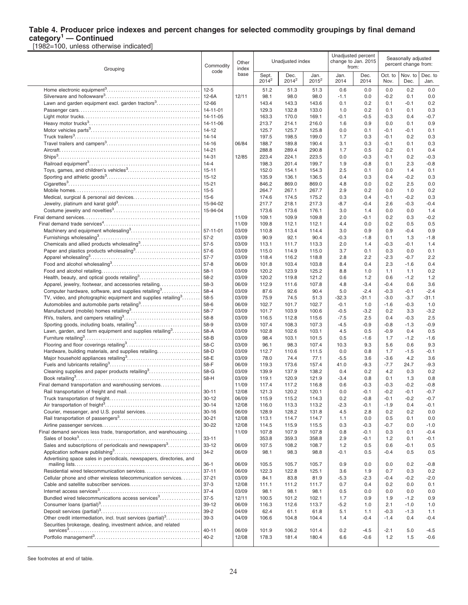### **Table 4. Producer price indexes and percent changes for selected commodity groupings by final demand category<sup>1</sup> — Continued**

[1982=100, unless otherwise indicated]

| Grouping                                                                                                                                      | Commodity              | Other<br>index |                   | Unadjusted index |                  |                | Unadjusted percent<br>change to Jan. 2015<br>from: |                  | Seasonally adjusted<br>percent change from: |                   |
|-----------------------------------------------------------------------------------------------------------------------------------------------|------------------------|----------------|-------------------|------------------|------------------|----------------|----------------------------------------------------|------------------|---------------------------------------------|-------------------|
|                                                                                                                                               | code<br>$12 - 5$       | base           | Sept.<br>$2014^2$ | Dec.<br>$2014^2$ | Jan.<br>$2015^2$ | Jan.<br>2014   | Dec.<br>2014                                       | Oct. to<br>Nov.  | Nov. to<br>Dec.                             | Dec. to<br>Jan.   |
|                                                                                                                                               |                        |                | 51.2              | 51.3             | 51.3             | 0.6            | 0.0                                                | 0.0              | 0.2                                         | 0.0               |
|                                                                                                                                               | $12-6A$                | 12/11          | 98.1              | 98.0             | 98.0             | $-1.1$         | 0.0                                                | $-0.2$           | 0.1                                         | 0.0               |
| Lawn and garden equipment excl. garden tractors <sup>3</sup>                                                                                  | 12-66                  |                | 143.4             | 143.3            | 143.6            | 0.1            | 0.2                                                | 0.1              | $-0.1$                                      | 0.2               |
|                                                                                                                                               | 14-11-01               |                | 129.3             | 132.8            | 133.0            | 1.0            | 0.2                                                | 0.1              | 0.1                                         | 0.3               |
|                                                                                                                                               | 14-11-05               |                | 163.3             | 170.0            | 169.1            | $-0.1$         | $-0.5$                                             | $-0.3$           | 0.4                                         | $-0.7$            |
|                                                                                                                                               | 14-11-06<br>$14-12$    |                | 213.7<br>125.7    | 214.1<br>125.7   | 216.0            | 1.6<br>0.0     | 0.9<br>0.1                                         | 0.0<br>$-0.1$    | 0.1<br>$-0.1$                               | 0.9<br>0.1        |
|                                                                                                                                               | $14 - 14$              |                | 197.5             | 198.5            | 125.8<br>199.0   | 1.7            | 0.3                                                | $-0.1$           | 0.2                                         | 0.3               |
|                                                                                                                                               | 14-16                  | 06/84          | 188.7             | 189.8            | 190.4            | 3.1            | 0.3                                                | $-0.1$           | 0.1                                         | 0.3               |
|                                                                                                                                               | $14 - 21$              |                | 288.8             | 289.4            | 290.8            | 1.7            | 0.5                                                | 0.2              | 0.1                                         | 0.4               |
|                                                                                                                                               | 14-31                  | 12/85          | 223.4             | 224.1            | 223.5            | 0.0            | $-0.3$                                             | $-0.1$           | 0.2                                         | $-0.3$            |
|                                                                                                                                               | $14 - 4$               |                | 198.3             | 201.4            | 199.7            | 1.9            | $-0.8$                                             | 0.1              | 2.3                                         | $-0.8$            |
|                                                                                                                                               | $15 - 11$              |                | 152.0             | 154.1            | 154.3            | 2.5            | 0.1                                                | 0.0              | 1.4                                         | 0.1               |
|                                                                                                                                               | $15 - 12$              |                | 135.9             | 136.1            | 136.5            | 0.4            | 0.3                                                | 0.4              | $-0.2$                                      | 0.3               |
|                                                                                                                                               | $15 - 21$              |                | 846.2             | 869.0            | 869.0            | 4.8            | 0.0                                                | 0.2              | 2.5                                         | 0.0               |
|                                                                                                                                               | $15 - 5$               |                | 264.7             | 267.1            | 267.7            | 2.9            | 0.2                                                | 0.0              | 1.0                                         | 0.2               |
|                                                                                                                                               | $15 - 6$               |                | 174.6             | 174.5            | 175.2            | 0.3            | 0.4                                                | $-0.1$           | $-0.2$                                      | 0.3               |
|                                                                                                                                               | 15-94-02               |                | 217.7             | 218.1            | 217.3            | $-8.7$         | $-0.4$                                             | 2.6              | $-0.3$                                      | $-0.4$            |
|                                                                                                                                               | 15-94-04               |                | 173.6             | 173.6            | 176.1            | 3.0            | 1.4                                                | 0.0              | 0.0                                         | 1.4               |
|                                                                                                                                               |                        | 11/09<br>11/09 | 109.1             | 109.9<br>112.1   | 109.8            | 2.0            | $-0.1$<br>0.0                                      | 0.2              | 0.3<br>0.5                                  | $-0.2$<br>0.5     |
|                                                                                                                                               | 57-11-01               | 03/09          | 109.8<br>110.8    | 113.4            | 112.1<br>114.4   | 4.4<br>3.0     | 0.9                                                | 0.2<br>0.9       | $-0.4$                                      | 0.9               |
|                                                                                                                                               | $57 - 2$               | 03/09          | 90.9              | 92.1             | 90.4             | $-0.3$         | $-1.8$                                             | 0.1              | 1.3                                         | $-1.8$            |
|                                                                                                                                               | $57-5$                 | 03/09          | 113.1             | 111.7            | 113.3            | 2.0            | 1.4                                                | $-0.3$           | $-0.1$                                      | 1.4               |
| Paper and plastics products wholesaling <sup>3</sup>                                                                                          | $57-6$                 | 03/09          | 115.0             | 114.9            | 115.0            | 3.7            | 0.1                                                | 0.3              | 0.0                                         | 0.1               |
|                                                                                                                                               | $57 - 7$               | 03/09          | 118.4             | 116.2            | 118.8            | 2.8            | 2.2                                                | $-2.3$           | $-0.7$                                      | 2.2               |
|                                                                                                                                               | $57 - 8$               | 06/09          | 101.8             | 103.4            | 103.8            | 8.4            | 0.4                                                | 2.3              | $-1.6$                                      | 0.4               |
|                                                                                                                                               | $58-1$                 | 03/09          | 120.2             | 123.9            | 125.2            | 8.8            | 1.0                                                | 1.1              | 1.1                                         | 0.2               |
|                                                                                                                                               | 58-2                   | 03/09          | 120.2             | 119.8            | 121.2            | 0.6            | 1.2                                                | 0.6              | $-1.2$                                      | 1.2               |
| Apparel, jewelry, footwear, and accessories retailing                                                                                         | 58-3                   | 06/09          | 112.9             | 111.6            | 107.8            | 4.8            | $-3.4$                                             | $-0.4$           | 0.6                                         | 3.6               |
| Computer hardware, software, and supplies retailing <sup>3</sup><br>TV, video, and photographic equipment and supplies retailing <sup>3</sup> | 58-4<br>58-5           | 03/09<br>03/09 | 87.6<br>75.9      | 92.6<br>74.5     | 90.4<br>51.3     | 5.0<br>$-32.3$ | $-2.4$<br>$-31.1$                                  | $-0.3$<br>$-3.0$ | $-0.1$<br>$-3.7$                            | $-2.4$<br>$-31.1$ |
|                                                                                                                                               | 58-6                   | 06/09          | 102.7             | 101.7            | 102.7            | $-0.1$         | 1.0                                                | $-1.6$           | $-0.3$                                      | 1.0               |
|                                                                                                                                               | 58-7                   | 03/09          | 101.7             | 103.9            | 100.6            | $-0.5$         | $-3.2$                                             | 0.2              | 3.3                                         | $-3.2$            |
|                                                                                                                                               | 58-8                   | 03/09          | 116.5             | 112.8            | 115.6            | $-7.5$         | 2.5                                                | 0.4              | $-0.3$                                      | 2.5               |
| Sporting goods, including boats, retailing <sup>3</sup>                                                                                       | 58-9                   | 03/09          | 107.4             | 108.3            | 107.3            | $-4.5$         | $-0.9$                                             | $-0.8$           | $-1.3$                                      | $-0.9$            |
| Lawn, garden, and farm equipment and supplies retailing $3, 2, 3, 4, 5, 6$                                                                    | 58-A                   | 03/09          | 102.8             | 102.6            | 103.1            | 4.5            | 0.5                                                | $-0.9$           | 0.4                                         | 0.5               |
|                                                                                                                                               | 58-B                   | 03/09          | 98.4              | 103.1            | 101.5            | 0.5            | $-1.6$                                             | 1.7              | $-1.2$                                      | $-1.6$            |
|                                                                                                                                               | 58-C                   | 03/09          | 96.1              | 98.3             | 107.4            | 10.3           | 9.3                                                | 5.6              | 0.6                                         | 9.3               |
| Hardware, building materials, and supplies retailing                                                                                          | 58-D<br>58-E           | 03/09<br>03/09 | 112.7<br>78.0     | 110.6<br>74.4    | 111.5<br>77.1    | 0.0<br>$-5.5$  | 0.8<br>3.6                                         | 1.7<br>$-3.6$    | $-1.5$<br>4.2                               | $-0.1$<br>3.6     |
|                                                                                                                                               | 58-F                   | 06/09          | 119.3             | 173.6            | 157.4            | 41.0           | $-9.3$                                             | $-7.7$           | 24.7                                        | $-9.3$            |
| Cleaning supplies and paper products retailing <sup>3</sup>                                                                                   | 58-G                   | 03/09          | 139.9             | 137.9            | 138.2            | 0.4            | 0.2                                                | 4.2              | 0.3                                         | 0.2               |
|                                                                                                                                               | 58-H                   | 03/09          | 119.1             | 120.9            | 121.9            | $-3.4$         | 0.8                                                | 0.1              | 1.3                                         | 0.8               |
| Final demand transportation and warehousing services                                                                                          |                        | 11/09          | 117.4             | 117.2            | 116.8            | 0.6            | $-0.3$                                             | $-0.3$           | $-0.2$                                      | $-0.8$            |
|                                                                                                                                               | $30 - 11$              | 12/08          | 121.3             | 120.2            | 120.1            | 0.0            | $-0.1$                                             | $-0.2$           | $-0.1$                                      | $-0.7$            |
|                                                                                                                                               | $30 - 12$              | 06/09          | 115.9             | 115.2            | 114.3            | 0.2            | $-0.8$                                             | -0.1             | $-0.2$                                      | -0.7              |
|                                                                                                                                               | $30 - 14$              | 12/08          | 116.0             | 113.3            | 113.2            | $-2.3$         | $-0.1$                                             | $-1.9$           | 0.4                                         | $-0.1$            |
| Courier, messenger, and U.S. postal services                                                                                                  | $30 - 16$              | 06/09          | 128.9             | 128.2            | 131.8            | 4.5            | 2.8                                                | 0.2              | 0.2                                         | 0.0               |
|                                                                                                                                               | $30 - 21$<br>30-22     | 12/08<br>12/08 | 113.1<br>114.5    | 114.7<br>115.9   | 114.7<br>115.5   | 1.1<br>0.3     | 0.0<br>$-0.3$                                      | 0.5<br>$-0.7$    | 0.1<br>0.0                                  | 0.0<br>$-1.0$     |
| Final demand services less trade, transportation, and warehousing                                                                             |                        | 11/09          | 107.8             | 107.9            | 107.8            | 0.8            | $-0.1$                                             | 0.3              | 0.1                                         | $-0.4$            |
|                                                                                                                                               | $33 - 11$              |                | 353.8             | 359.3            | 358.8            | 2.9            | $-0.1$                                             | 1.2              | 0.1                                         | $-0.1$            |
| Sales and subscriptions of periodicals and newspapers <sup>3</sup>                                                                            | $33 - 12$              | 06/09          | 107.5             | 108.2            | 108.7            | $1.2$          | 0.5                                                | 0.6              | $-0.1$                                      | 0.5               |
|                                                                                                                                               | $34 - 2$               | 06/09          | 98.1              | 98.3             | 98.8             | $-0.1$         | 0.5                                                | -0.4             | 0.5                                         | 0.5               |
| Advertising space sales in periodicals, newspapers, directories, and                                                                          |                        |                |                   |                  |                  |                |                                                    |                  |                                             |                   |
|                                                                                                                                               | $36-1$                 | 06/09          | 105.5             | 105.7            | 105.7            | 0.9            | 0.0                                                | 0.0              | 0.2                                         | $-0.8$            |
| Residential wired telecommunication services<br>Cellular phone and other wireless telecommunication services                                  | $37 - 11$<br>$37 - 21$ | 06/09<br>03/09 | 122.3<br>84.1     | 122.8<br>83.8    | 125.1<br>81.9    | 3.6<br>$-5.3$  | 1.9<br>$-2.3$                                      | 0.7<br>$-0.4$    | 0.3<br>$-0.2$                               | 0.2<br>$-2.0$     |
|                                                                                                                                               | $37-3$                 | 12/08          | 111.1             | 111.2            | 111.7            | 0.7            | 0.4                                                | 0.2              | 0.0                                         | 0.1               |
|                                                                                                                                               | $37 - 4$               | 03/09          | 98.1              | 98.1             | 98.1             | 0.5            | 0.0                                                | 0.0              | 0.0                                         | 0.0               |
| Bundled wired telecommunications access services <sup>3</sup>                                                                                 | $37-5$                 | 12/11          | 100.5             | 101.2            | 102.1            | 1.7            | 0.9                                                | 1.9              | $-1.2$                                      | 0.9               |
|                                                                                                                                               | 39-12                  | 06/09          | 116.3             | 112.6            | 113.7            | $-5.2$         | 1.0                                                | 2.1              | $-1.0$                                      | 1.0               |
|                                                                                                                                               | $39-2$                 | 04/09          | 62.4              | 61.1             | 61.8             | 5.1            | 1.1                                                | $-0.3$           | $-1.3$                                      | 1.1               |
| Other credit intermediation, incl. trust services (partial) <sup>3</sup>                                                                      | $39-3$                 | 04/09          | 106.6             | 104.8            | 104.4            | 1.4            | $-0.4$                                             | $-1.4$           | 0.4                                         | $-0.4$            |
| Securities brokerage, dealing, investment advice, and related                                                                                 | $40 - 11$              | 06/09          | 101.9             | 106.2            | 101.4            | 0.2            | $-4.5$                                             | $-2.1$           | 5.0                                         | $-4.5$            |
|                                                                                                                                               | $40 - 2$               | 12/08          | 178.3             | 181.4            | 180.4            | 6.6            | $-0.6$                                             | $1.2$            | 1.5                                         | $-0.6$            |
|                                                                                                                                               |                        |                |                   |                  |                  |                |                                                    |                  |                                             |                   |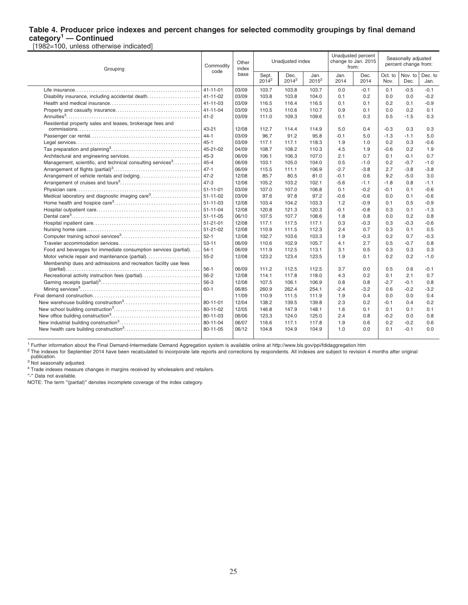### **Table 4. Producer price indexes and percent changes for selected commodity groupings by final demand category<sup>1</sup> — Continued**

[1982=100, unless otherwise indicated]

 $\overline{a}$ 

| Grouping                                                                      | Commodity | Other<br>index |                   | Unadjusted index |                  | from:        | Unadjusted percent<br>change to Jan. 2015 |                 | Seasonally adjusted<br>percent change from: |                 |
|-------------------------------------------------------------------------------|-----------|----------------|-------------------|------------------|------------------|--------------|-------------------------------------------|-----------------|---------------------------------------------|-----------------|
|                                                                               | code      | base           | Sept.<br>$2014^2$ | Dec.<br>$2014^2$ | Jan.<br>$2015^2$ | Jan.<br>2014 | Dec.<br>2014                              | Oct. to<br>Nov. | Nov. to<br>Dec.                             | Dec. to<br>Jan. |
|                                                                               | 41-11-01  | 03/09          | 103.7             | 103.8            | 103.7            | 0.0          | $-0.1$                                    | 0.1             | $-0.5$                                      | $-0.1$          |
|                                                                               |           | 03/09          | 103.8             | 103.8            | 104.0            | 0.1          | 0.2                                       | 0.0             | 0.0                                         | $-0.2$          |
|                                                                               |           | 03/09          | 116.5             | 116.4            | 116.5            | 0.1          | 0.1                                       | 0.2             | 0.1                                         | $-0.9$          |
|                                                                               | 41-11-04  | 03/09          | 110.5             | 110.6            | 110.7            | 0.9          | 0.1                                       | 0.0             | 0.2                                         | 0.1             |
|                                                                               |           | 03/09          | 111.0             | 109.3            | 109.6            | 0.1          | 0.3                                       | 0.5             | $-1.5$                                      | 0.3             |
| Residential property sales and leases, brokerage fees and                     |           |                |                   |                  |                  |              |                                           |                 |                                             |                 |
|                                                                               | 43-21     | 12/08          | 112.7             | 114.4            | 114.9            | 5.0          | 0.4                                       | $-0.3$          | 0.3                                         | 0.3             |
|                                                                               |           | 03/09          | 96.7              | 91.2             | 95.8             | $-0.1$       | 5.0                                       | $-1.3$          | $-1.1$                                      | 5.0             |
|                                                                               |           | 03/09          | 117.1             | 117.1            | 118.3            | 1.9          | 1.0                                       | 0.2             | 0.3                                         | $-0.6$          |
|                                                                               |           | 04/09          | 108.7             | 108.2            | 110.3            | 4.5          | 1.9                                       | $-0.6$          | 0.2                                         | 1.9             |
|                                                                               | $45 - 3$  | 06/09          | 106.1             | 106.3            | 107.0            | 2.1          | 0.7                                       | 0.1             | $-0.1$                                      | 0.7             |
| Management, scientific, and technical consulting services <sup>3</sup>   45-4 |           | 06/09          | 103.1             | 105.0            | 104.0            | 0.5          | $-1.0$                                    | 0.2             | $-0.7$                                      | $-1.0$          |
|                                                                               | 47-1      | 06/09          | 115.5             | 111.1            | 106.9            | $-2.7$       | $-3.8$                                    | 2.7             | $-3.8$                                      | $-3.8$          |
|                                                                               |           | 12/08          | 85.7              | 80.5             | 81.0             | $-0.1$       | 0.6                                       | 9.2             | $-5.0$                                      | 3.0             |
|                                                                               | $47-3$    | 12/08          | 105.2             | 103.2            | 102.1            | $-5.6$       | $-1.1$                                    | $-1.8$          | 0.8                                         | $-1.1$          |
|                                                                               |           | 03/09          | 107.0             | 107.0            | 106.8            | 0.1          | $-0.2$                                    | $-0.1$          | 0.1                                         | $-0.6$          |
|                                                                               |           | 03/09          | 97.6              | 97.8             | 97.2             | $-0.6$       | $-0.6$                                    | 0.0             | 0.1                                         | $-0.6$          |
|                                                                               |           | 12/08          | 103.4             | 104.2            | 103.3            | 1.2          | $-0.9$                                    | 0.1             | 0.5                                         | $-0.9$          |
|                                                                               |           | 12/08          | 120.8             | 121.3            | 120.3            | $-0.1$       | $-0.8$                                    | 0.3             | 0.1                                         | $-1.3$          |
|                                                                               |           | 06/10          | 107.5             | 107.7            | 108.6            | 1.8          | 0.8                                       | 0.0             | 0.2                                         | 0.8             |
|                                                                               |           | 12/08          | 117.1             | 117.5            | 117.1            | 0.3          | $-0.3$                                    | 0.3             | $-0.3$                                      | $-0.6$          |
|                                                                               |           | 12/08          | 110.9             | 111.5            | 112.3            | 2.4          | 0.7                                       | 0.3             | 0.1                                         | 0.5             |
|                                                                               |           | 12/08          | 102.7             | 103.6            | 103.3            | 1.9          | $-0.3$                                    | 0.2             | 0.7                                         | $-0.3$          |
|                                                                               | 53-11     | 06/09          | 110.6             | 102.9            | 105.7            | 4.1          | 2.7                                       | 0.5             | $-0.7$                                      | 0.8             |
| Food and beverages for immediate consumption services (partial). 54-1         |           | 06/09          | 111.9             | 112.5            | 113.1            | 3.1          | 0.5                                       | 0.3             | 0.3                                         | 0.3             |
| Motor vehicle repair and maintenance (partial)                                | $55 - 2$  | 12/08          | 123.2             | 123.4            | 123.5            | 1.9          | 0.1                                       | 0.2             | 0.2                                         | $-1.0$          |
| Membership dues and admissions and recreation facility use fees               | $56-1$    |                |                   |                  |                  |              | 0.0                                       | 0.5             |                                             |                 |
|                                                                               |           | 06/09          | 111.2             | 112.5            | 112.5            | 3.7          |                                           |                 | 0.6                                         | $-0.1$          |
| Recreational activity instruction fees (partial)                              | 56-2      | 12/08          | 114.1             | 117.8            | 118.0            | 4.3          | 0.2                                       | 0.1             | 2.1                                         | 0.7             |
|                                                                               | 56-3      | 12/08          | 107.5             | 106.1            | 106.9            | 0.8          | 0.8                                       | $-2.7$          | $-0.1$                                      | 0.8             |
|                                                                               | 60-1      | 06/85          | 260.9             | 262.4            | 254.1            | $-2.4$       | $-3.2$                                    | 0.6             | $-0.2$                                      | $-3.2$          |
|                                                                               |           | 11/09          | 110.9             | 111.5            | 111.9            | 1.9          | 0.4                                       | 0.0             | 0.0                                         | 0.4             |
|                                                                               | 80-11-01  | 12/04          | 138.2             | 139.5            | 139.8            | 2.3          | 0.2                                       | $-0.1$          | 0.4                                         | 0.2             |
|                                                                               |           | 12/05          | 146.8             | 147.9            | 148.1            | 1.6          | 0.1                                       | 0.1             | 0.1                                         | 0.1             |
|                                                                               | 80-11-03  | 06/06          | 123.3             | 124.0            | 125.0            | 2.4          | 0.8                                       | $-0.2$          | 0.0                                         | 0.8             |
|                                                                               |           | 06/07          | 116.6             | 117.1            | 117.8            | 1.9          | 0.6                                       | 0.2             | $-0.2$                                      | 0.6             |
|                                                                               |           | 06/12          | 104.8             | 104.9            | 104.9            | 1.0          | 0.0                                       | 0.1             | $-0.1$                                      | 0.0             |
|                                                                               |           |                |                   |                  |                  |              |                                           |                 |                                             |                 |

<sup>1</sup> Further information about the Final Demand-Intermediate Demand Aggregation system is available online at http://www.bls.gov/ppi/fdidaggregation.htm

<sup>2</sup> The indexes for September 2014 have been recalculated to incorporate late reports and corrections by respondents. All indexes are subject to revision 4 months after original publication.

<sup>3</sup> Not seasonally adjusted.

4 Trade indexes measure changes in margins received by wholesalers and retailers.

″-″ Data not available.

NOTE: The term ″(partial)″ denotes incomplete coverage of the index category.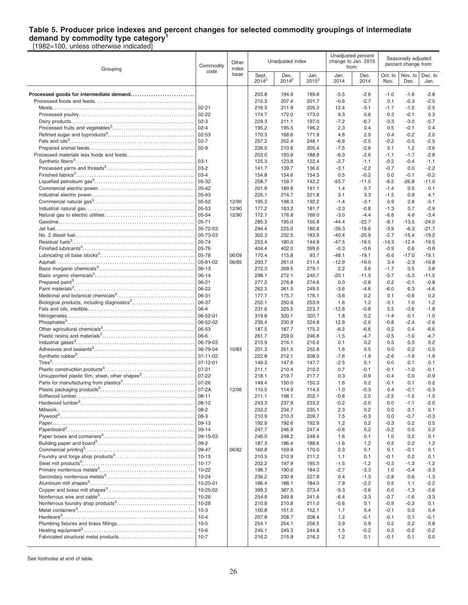### **Table 5. Producer price indexes and percent changes for selected commodity groupings of intermediate demand by commodity type category<sup>1</sup>**

[1982=100, unless otherwise indicated]

| base<br>Oct. to<br>Nov. to<br>Sept.<br>Dec.<br>Jan.<br>Jan.<br>Dec.<br>Dec. to<br>$2014^2$<br>2014 <sup>2</sup><br>$2015^2$<br>2014<br>2014<br>Nov.<br>Dec.<br>Jan.<br>203.8<br>$-5.5$<br>Processed goods for intermediate demand<br>194.9<br>189.8<br>$-2.6$<br>$-1.0$<br>$-1.6$<br>$-2.8$<br>207.4<br>$-2.5$<br>215.3<br>201.7<br>$-0.6$<br>$-2.7$<br>0.1<br>$-0.3$<br>$02 - 21$<br>211.9<br>$-1.7$<br>$-2.5$<br>216.3<br>205.3<br>12.4<br>$-3.1$<br>$-1.5$<br>$02 - 22$<br>174.7<br>172.0<br>173.0<br>9.3<br>0.6<br>0.3<br>$-0.1$<br>0.3<br>229.3<br>211.1<br>197.0<br>$-7.2$<br>$-6.7$<br>$-3.3$<br>$-3.0$<br>$-5.7$<br>2.3<br>195.2<br>195.5<br>196.2<br>0.4<br>0.5<br>$-0.1$<br>0.4<br>168.6<br>2.0<br>170.3<br>171.9<br>4.8<br>2.0<br>0.4<br>$-0.2$<br>$02 - 7$<br>252.4<br>$-0.2$<br>$-0.5$<br>$-2.5$<br>257.2<br>246.1<br>$-6.6$<br>$-2.5$<br>210.8<br>$-3.6$<br>226.0<br>205.4<br>$-7.5$<br>$-2.6$<br>5.1<br>1.2<br>193.9<br>$-6.0$<br>$-2.8$<br>203.0<br>188.9<br>$-2.6$<br>$-1.1$<br>$-1.7$<br>$03-1$<br>125.3<br>123.8<br>122.4<br>$-2.7$<br>$-1.1$<br>$-0.2$<br>$-0.4$<br>$-1.1$<br>$ 03-2 $<br>139.7<br>$-3.1$<br>$-0.7$<br>$-2.2$<br>141.7<br>136.6<br>$-2.2$<br>0.0<br>$03-4$<br>0.0<br>$-0.2$<br>154.8<br>154.6<br>154.3<br>0.5<br>$-0.2$<br>$-0.1$<br>05-32<br>159.7<br>$-6.5$<br>$-26.8$<br>258.7<br>142.2<br>$-55.7$<br>$-11.0$<br>$-11.0$<br>$05 - 42$<br>201.8<br>189.8<br>191.1<br>1.4<br>0.7<br>$-1.4$<br>0.5<br>0.1<br>05-43<br>225.1<br>214.7<br>221.8<br>3.1<br>3.3<br>$-1.5$<br>0.9<br>4.1<br>05-52<br>12/90<br>195.3<br>198.3<br>192.2<br>$-1.4$<br>0.9<br>2.8<br>$-3.1$<br>-3.1<br>05-53<br>$-2.3$<br>$-2.9$<br>12/90<br>177.2<br>183.2<br>181.7<br>$-0.8$<br>$-1.3$<br>0.7<br>05-54<br>12/90<br>172.7<br>176.8<br>$-3.0$<br>$-4.4$<br>$-6.6$<br>4.6<br>$-3.4$<br>169.0<br>285.3<br>195.0<br>$-44.4$<br>$-22.7$<br>$-8.1$<br>$-13.5$<br>$-24.0$<br>150.8<br>05-72-03<br>225.0<br>$-19.6$<br>294.4<br>180.8<br>$-39.3$<br>$-3.9$<br>$-6.3$<br>$-21.7$<br>05-73-03<br>302.3<br>232.5<br>$-20.9$<br>$-2.7$<br>$-19.2$<br>183.9<br>$-40.4$<br>$-15.4$<br>05-74<br>180.0<br>$-12.4$<br>253.4<br>144.9<br>$-47.5$<br>$-19.5$<br>$-14.3$<br>$-19.5$<br>05-76<br>404.4<br>402.0<br>399.6<br>$-0.3$<br>$-0.6$<br>$-0.9$<br>0.6<br>$-0.6$<br>05-78<br>06/09<br>170.4<br>115.8<br>93.7<br>$-48.1$<br>$-19.1$<br>$-6.6$<br>$-17.0$<br>$-19.1$<br>05-81-02<br>06/85<br>293.7<br>261.0<br>211.4<br>$-12.9$<br>$-19.0$<br>3.4<br>$-2.3$<br>$-16.8$<br>06-13<br>2.2<br>272.3<br>269.5<br>279.1<br>3.6<br>$-1.7$<br>0.5<br>3.6<br>$06-14$<br>272.1<br>298.1<br>240.7<br>$-20.1$<br>$-11.5$<br>$-3.7$<br>$-5.3$<br>$-11.5$<br>06-21<br>277.2<br>276.8<br>274.6<br>0.0<br>$-0.8$<br>0.2<br>$-0.1$<br>$-0.8$<br>06-22<br>262.3<br>261.5<br>249.5<br>$-3.6$<br>$-4.6$<br>$-6.0$<br>6.3<br>$-4.6$<br>06-31<br>175.7<br>$-3.6$<br>0.2<br>0.1<br>$-0.6$<br>0.2<br>177.7<br>176.1<br>06-37<br>1.2<br>252.1<br>250.8<br>253.9<br>1.6<br>1.2<br>$-3.1$<br>1.0<br>$06 - 4$<br>225.5<br>223.7<br>$-12.8$<br>$-0.8$<br>5.5<br>$-3.6$<br>$-1.8$<br>231.6<br>06-52-01<br>320.1<br>319.8<br>320.7<br>1.8<br>0.2<br>$-1.4$<br>0.1<br>$-1.0$<br>06-52-02<br>230.9<br>12.9<br>$-0.8$<br>$-2.4$<br>$-2.6$<br>235.4<br>224.8<br>$-2.6$<br>06-53<br>187.5<br>187.7<br>175.3<br>$-6.2$<br>$-6.6$<br>$-0.2$<br>0.4<br>$-6.6$<br>06-6<br>259.0<br>261.7<br>246.8<br>$-1.5$<br>$-4.7$<br>$-0.5$<br>$-1.0$<br>$-4.7$<br>06-79-03<br>215.9<br>216.1<br>216.6<br>0.1<br>0.2<br>0.5<br>0.3<br>0.2<br>06-79-04<br>0.5<br>10/83<br>251.3<br>251.5<br>252.8<br>1.6<br>0.5<br>0.0<br>0.2<br>$07 - 11 - 02$<br>222.8<br>212.1<br>208.0<br>$-7.6$<br>$-1.9$<br>$-2.6$<br>$-1.9$<br>$-1.9$<br>$07 - 12 - 01$<br>$-2.5$<br>149.3<br>147.6<br>147.7<br>0.1<br>0.0<br>0.1<br>0.1<br>$07 - 21$<br>210.4<br>0.7<br>211.1<br>210.2<br>$-0.1$<br>$-0.1$<br>$-1.0$<br>$-0.1$<br>Unsupported plastic film, sheet, other shapes <sup>3</sup><br>07-22<br>$-0.9$<br>218.1<br>219.7<br>217.7<br>0.3<br>$-0.9$<br>$-0.4$<br>0.0<br>$07 - 26$<br>$-0.1$<br>0.2<br>149.4<br>150.0<br>150.3<br>1.6<br>0.2<br>0.1<br>07-2A<br>12/06<br>115.5<br>114.9<br>114.5<br>$-1.0$<br>$-0.3$<br>0.4<br>$-0.1$<br>$-0.3$<br>$08 - 11$<br>$-0.6$<br>$-2.5$<br>$-1.5$<br>Softwood lumber.<br>211.1<br>198.1<br>202.1<br>2.0<br>$-1.5$<br>$08-12$<br>243.3<br>237.9<br>233.2<br>$-0.2$<br>$-2.0$<br>0.0<br>$-1.1$<br>$-2.0$<br>$08-2$<br>233.2<br>234.7<br>235.1<br>2.3<br>0.2<br>0.0<br>0.1<br>0.1<br>210.3<br>7.5<br>$-0.7$<br>$-0.3$<br>210.9<br>209.7<br>$-0.3$<br>0.0<br>192.6<br>0.5<br>192.9<br>192.9<br>1.2<br>0.2<br>$-0.3$<br>0.2<br>$ 09-14$<br>247.7<br>246.9<br>247.4<br>$-0.6$<br>0.2<br>$-0.2$<br>0.0<br>0.2<br>09-15-03<br>246.0<br>248.2<br>248.4<br>1.6<br>0.1<br>1.0<br>0.2<br>0.1<br>$09-2$<br>1.2<br>187.3<br>186.4<br>188.6<br>$-1.6$<br>1.2<br>0.5<br>0.2<br>09-47<br>06/82<br>0.3<br>169.8<br>169.9<br>170.0<br>0.1<br>0.1<br>$-0.1$<br>0.1<br>$10 - 15$<br>210.9<br>0.2<br>210.5<br>211.2<br>1.1<br>0.1<br>$-0.1$<br>0.1<br>$10-17$<br>$-1.2$<br>202.2<br>197.9<br>195.5<br>$-1.5$<br>$-1.2$<br>$-0.3$<br>$-1.3$<br>190.6<br>$-2.7$<br>$-3.3$<br>196.7<br>184.3<br>$-3.3$<br>1.0<br>$-0.4$<br>236.2<br>230.9<br>227.8<br>0.4<br>$-1.3$<br>$-2.8$<br>0.6<br>$-1.3$<br>$-2.2$<br>186.4<br>188.1<br>184.0<br>7.9<br>$-2.2$<br>0.5<br>1.1<br>$-9.3$<br>399.3<br>387.5<br>373.4<br>$-3.6$<br>0.0<br>$-1.3$<br>$-3.6$<br>249.8<br>$-6.4$<br>$-3.3$<br>254.9<br>241.6<br>$-3.3$<br>$-0.7$<br>$-1.6$<br>210.8<br>210.8<br>211.0<br>$-0.6$<br>0.1<br>$-0.9$<br>$-0.3$<br>0.1<br>150.8<br>151.5<br>152.1<br>1.7<br>0.4<br>$-0.1$<br>0.0<br>0.4<br>208.7<br>207.8<br>208.4<br>1.2<br>$-0.1$<br>$-0.1$<br>0.1<br>$-0.1$<br>3.9<br>254.1<br>254.1<br>256.5<br>0.9<br>0.2<br>0.2<br>0.8<br>245.3<br>$-0.2$<br>245.1<br>244.8<br>1.5<br>$-0.2$<br>0.3<br>$-0.2$<br>$10-7$<br>216.2<br>215.9<br>216.2<br>1.2<br>0.1<br>0.1<br>0.0<br>-0.1 | Grouping | Commodity | Other<br>index<br>code |  | Unadjusted index |  |  | Unadjusted percent<br>change to Jan. 2015<br>from: | Seasonally adjusted<br>percent change from: |  |  |
|----------------------------------------------------------------------------------------------------------------------------------------------------------------------------------------------------------------------------------------------------------------------------------------------------------------------------------------------------------------------------------------------------------------------------------------------------------------------------------------------------------------------------------------------------------------------------------------------------------------------------------------------------------------------------------------------------------------------------------------------------------------------------------------------------------------------------------------------------------------------------------------------------------------------------------------------------------------------------------------------------------------------------------------------------------------------------------------------------------------------------------------------------------------------------------------------------------------------------------------------------------------------------------------------------------------------------------------------------------------------------------------------------------------------------------------------------------------------------------------------------------------------------------------------------------------------------------------------------------------------------------------------------------------------------------------------------------------------------------------------------------------------------------------------------------------------------------------------------------------------------------------------------------------------------------------------------------------------------------------------------------------------------------------------------------------------------------------------------------------------------------------------------------------------------------------------------------------------------------------------------------------------------------------------------------------------------------------------------------------------------------------------------------------------------------------------------------------------------------------------------------------------------------------------------------------------------------------------------------------------------------------------------------------------------------------------------------------------------------------------------------------------------------------------------------------------------------------------------------------------------------------------------------------------------------------------------------------------------------------------------------------------------------------------------------------------------------------------------------------------------------------------------------------------------------------------------------------------------------------------------------------------------------------------------------------------------------------------------------------------------------------------------------------------------------------------------------------------------------------------------------------------------------------------------------------------------------------------------------------------------------------------------------------------------------------------------------------------------------------------------------------------------------------------------------------------------------------------------------------------------------------------------------------------------------------------------------------------------------------------------------------------------------------------------------------------------------------------------------------------------------------------------------------------------------------------------------------------------------------------------------------------------------------------------------------------------------------------------------------------------------------------------------------------------------------------------------------------------------------------------------------------------------------------------------------------------------------------------------------------------------------------------------------------------------------------------------------------------------------------------------------------------------------------------------------------------------------------------------------------------------------------------------------------------------------------------------------------------------------------------------------------------------------------------------------------------------------------------------------------------------------------------------------------------------------------------------------------------------------------------------------------------------------------------------------------------------------------------------------------------------------------------------------------------------------------------------------------------------------------------------------------------------------------------------------------------------------------------------------------------------------------------------------------------------------------------------------------------------------------------------------------------------------------------------------------------------------------------------------------------------------------|----------|-----------|------------------------|--|------------------|--|--|----------------------------------------------------|---------------------------------------------|--|--|
|                                                                                                                                                                                                                                                                                                                                                                                                                                                                                                                                                                                                                                                                                                                                                                                                                                                                                                                                                                                                                                                                                                                                                                                                                                                                                                                                                                                                                                                                                                                                                                                                                                                                                                                                                                                                                                                                                                                                                                                                                                                                                                                                                                                                                                                                                                                                                                                                                                                                                                                                                                                                                                                                                                                                                                                                                                                                                                                                                                                                                                                                                                                                                                                                                                                                                                                                                                                                                                                                                                                                                                                                                                                                                                                                                                                                                                                                                                                                                                                                                                                                                                                                                                                                                                                                                                                                                                                                                                                                                                                                                                                                                                                                                                                                                                                                                                                                                                                                                                                                                                                                                                                                                                                                                                                                                                                                                                                                                                                                                                                                                                                                                                                                                                                                                                                                                                                                                              |          |           |                        |  |                  |  |  |                                                    |                                             |  |  |
|                                                                                                                                                                                                                                                                                                                                                                                                                                                                                                                                                                                                                                                                                                                                                                                                                                                                                                                                                                                                                                                                                                                                                                                                                                                                                                                                                                                                                                                                                                                                                                                                                                                                                                                                                                                                                                                                                                                                                                                                                                                                                                                                                                                                                                                                                                                                                                                                                                                                                                                                                                                                                                                                                                                                                                                                                                                                                                                                                                                                                                                                                                                                                                                                                                                                                                                                                                                                                                                                                                                                                                                                                                                                                                                                                                                                                                                                                                                                                                                                                                                                                                                                                                                                                                                                                                                                                                                                                                                                                                                                                                                                                                                                                                                                                                                                                                                                                                                                                                                                                                                                                                                                                                                                                                                                                                                                                                                                                                                                                                                                                                                                                                                                                                                                                                                                                                                                                              |          |           |                        |  |                  |  |  |                                                    |                                             |  |  |
|                                                                                                                                                                                                                                                                                                                                                                                                                                                                                                                                                                                                                                                                                                                                                                                                                                                                                                                                                                                                                                                                                                                                                                                                                                                                                                                                                                                                                                                                                                                                                                                                                                                                                                                                                                                                                                                                                                                                                                                                                                                                                                                                                                                                                                                                                                                                                                                                                                                                                                                                                                                                                                                                                                                                                                                                                                                                                                                                                                                                                                                                                                                                                                                                                                                                                                                                                                                                                                                                                                                                                                                                                                                                                                                                                                                                                                                                                                                                                                                                                                                                                                                                                                                                                                                                                                                                                                                                                                                                                                                                                                                                                                                                                                                                                                                                                                                                                                                                                                                                                                                                                                                                                                                                                                                                                                                                                                                                                                                                                                                                                                                                                                                                                                                                                                                                                                                                                              |          |           |                        |  |                  |  |  |                                                    |                                             |  |  |
|                                                                                                                                                                                                                                                                                                                                                                                                                                                                                                                                                                                                                                                                                                                                                                                                                                                                                                                                                                                                                                                                                                                                                                                                                                                                                                                                                                                                                                                                                                                                                                                                                                                                                                                                                                                                                                                                                                                                                                                                                                                                                                                                                                                                                                                                                                                                                                                                                                                                                                                                                                                                                                                                                                                                                                                                                                                                                                                                                                                                                                                                                                                                                                                                                                                                                                                                                                                                                                                                                                                                                                                                                                                                                                                                                                                                                                                                                                                                                                                                                                                                                                                                                                                                                                                                                                                                                                                                                                                                                                                                                                                                                                                                                                                                                                                                                                                                                                                                                                                                                                                                                                                                                                                                                                                                                                                                                                                                                                                                                                                                                                                                                                                                                                                                                                                                                                                                                              |          |           |                        |  |                  |  |  |                                                    |                                             |  |  |
|                                                                                                                                                                                                                                                                                                                                                                                                                                                                                                                                                                                                                                                                                                                                                                                                                                                                                                                                                                                                                                                                                                                                                                                                                                                                                                                                                                                                                                                                                                                                                                                                                                                                                                                                                                                                                                                                                                                                                                                                                                                                                                                                                                                                                                                                                                                                                                                                                                                                                                                                                                                                                                                                                                                                                                                                                                                                                                                                                                                                                                                                                                                                                                                                                                                                                                                                                                                                                                                                                                                                                                                                                                                                                                                                                                                                                                                                                                                                                                                                                                                                                                                                                                                                                                                                                                                                                                                                                                                                                                                                                                                                                                                                                                                                                                                                                                                                                                                                                                                                                                                                                                                                                                                                                                                                                                                                                                                                                                                                                                                                                                                                                                                                                                                                                                                                                                                                                              |          |           |                        |  |                  |  |  |                                                    |                                             |  |  |
|                                                                                                                                                                                                                                                                                                                                                                                                                                                                                                                                                                                                                                                                                                                                                                                                                                                                                                                                                                                                                                                                                                                                                                                                                                                                                                                                                                                                                                                                                                                                                                                                                                                                                                                                                                                                                                                                                                                                                                                                                                                                                                                                                                                                                                                                                                                                                                                                                                                                                                                                                                                                                                                                                                                                                                                                                                                                                                                                                                                                                                                                                                                                                                                                                                                                                                                                                                                                                                                                                                                                                                                                                                                                                                                                                                                                                                                                                                                                                                                                                                                                                                                                                                                                                                                                                                                                                                                                                                                                                                                                                                                                                                                                                                                                                                                                                                                                                                                                                                                                                                                                                                                                                                                                                                                                                                                                                                                                                                                                                                                                                                                                                                                                                                                                                                                                                                                                                              |          |           |                        |  |                  |  |  |                                                    |                                             |  |  |
|                                                                                                                                                                                                                                                                                                                                                                                                                                                                                                                                                                                                                                                                                                                                                                                                                                                                                                                                                                                                                                                                                                                                                                                                                                                                                                                                                                                                                                                                                                                                                                                                                                                                                                                                                                                                                                                                                                                                                                                                                                                                                                                                                                                                                                                                                                                                                                                                                                                                                                                                                                                                                                                                                                                                                                                                                                                                                                                                                                                                                                                                                                                                                                                                                                                                                                                                                                                                                                                                                                                                                                                                                                                                                                                                                                                                                                                                                                                                                                                                                                                                                                                                                                                                                                                                                                                                                                                                                                                                                                                                                                                                                                                                                                                                                                                                                                                                                                                                                                                                                                                                                                                                                                                                                                                                                                                                                                                                                                                                                                                                                                                                                                                                                                                                                                                                                                                                                              |          |           |                        |  |                  |  |  |                                                    |                                             |  |  |
|                                                                                                                                                                                                                                                                                                                                                                                                                                                                                                                                                                                                                                                                                                                                                                                                                                                                                                                                                                                                                                                                                                                                                                                                                                                                                                                                                                                                                                                                                                                                                                                                                                                                                                                                                                                                                                                                                                                                                                                                                                                                                                                                                                                                                                                                                                                                                                                                                                                                                                                                                                                                                                                                                                                                                                                                                                                                                                                                                                                                                                                                                                                                                                                                                                                                                                                                                                                                                                                                                                                                                                                                                                                                                                                                                                                                                                                                                                                                                                                                                                                                                                                                                                                                                                                                                                                                                                                                                                                                                                                                                                                                                                                                                                                                                                                                                                                                                                                                                                                                                                                                                                                                                                                                                                                                                                                                                                                                                                                                                                                                                                                                                                                                                                                                                                                                                                                                                              |          |           |                        |  |                  |  |  |                                                    |                                             |  |  |
|                                                                                                                                                                                                                                                                                                                                                                                                                                                                                                                                                                                                                                                                                                                                                                                                                                                                                                                                                                                                                                                                                                                                                                                                                                                                                                                                                                                                                                                                                                                                                                                                                                                                                                                                                                                                                                                                                                                                                                                                                                                                                                                                                                                                                                                                                                                                                                                                                                                                                                                                                                                                                                                                                                                                                                                                                                                                                                                                                                                                                                                                                                                                                                                                                                                                                                                                                                                                                                                                                                                                                                                                                                                                                                                                                                                                                                                                                                                                                                                                                                                                                                                                                                                                                                                                                                                                                                                                                                                                                                                                                                                                                                                                                                                                                                                                                                                                                                                                                                                                                                                                                                                                                                                                                                                                                                                                                                                                                                                                                                                                                                                                                                                                                                                                                                                                                                                                                              |          |           |                        |  |                  |  |  |                                                    |                                             |  |  |
|                                                                                                                                                                                                                                                                                                                                                                                                                                                                                                                                                                                                                                                                                                                                                                                                                                                                                                                                                                                                                                                                                                                                                                                                                                                                                                                                                                                                                                                                                                                                                                                                                                                                                                                                                                                                                                                                                                                                                                                                                                                                                                                                                                                                                                                                                                                                                                                                                                                                                                                                                                                                                                                                                                                                                                                                                                                                                                                                                                                                                                                                                                                                                                                                                                                                                                                                                                                                                                                                                                                                                                                                                                                                                                                                                                                                                                                                                                                                                                                                                                                                                                                                                                                                                                                                                                                                                                                                                                                                                                                                                                                                                                                                                                                                                                                                                                                                                                                                                                                                                                                                                                                                                                                                                                                                                                                                                                                                                                                                                                                                                                                                                                                                                                                                                                                                                                                                                              |          |           |                        |  |                  |  |  |                                                    |                                             |  |  |
|                                                                                                                                                                                                                                                                                                                                                                                                                                                                                                                                                                                                                                                                                                                                                                                                                                                                                                                                                                                                                                                                                                                                                                                                                                                                                                                                                                                                                                                                                                                                                                                                                                                                                                                                                                                                                                                                                                                                                                                                                                                                                                                                                                                                                                                                                                                                                                                                                                                                                                                                                                                                                                                                                                                                                                                                                                                                                                                                                                                                                                                                                                                                                                                                                                                                                                                                                                                                                                                                                                                                                                                                                                                                                                                                                                                                                                                                                                                                                                                                                                                                                                                                                                                                                                                                                                                                                                                                                                                                                                                                                                                                                                                                                                                                                                                                                                                                                                                                                                                                                                                                                                                                                                                                                                                                                                                                                                                                                                                                                                                                                                                                                                                                                                                                                                                                                                                                                              |          |           |                        |  |                  |  |  |                                                    |                                             |  |  |
|                                                                                                                                                                                                                                                                                                                                                                                                                                                                                                                                                                                                                                                                                                                                                                                                                                                                                                                                                                                                                                                                                                                                                                                                                                                                                                                                                                                                                                                                                                                                                                                                                                                                                                                                                                                                                                                                                                                                                                                                                                                                                                                                                                                                                                                                                                                                                                                                                                                                                                                                                                                                                                                                                                                                                                                                                                                                                                                                                                                                                                                                                                                                                                                                                                                                                                                                                                                                                                                                                                                                                                                                                                                                                                                                                                                                                                                                                                                                                                                                                                                                                                                                                                                                                                                                                                                                                                                                                                                                                                                                                                                                                                                                                                                                                                                                                                                                                                                                                                                                                                                                                                                                                                                                                                                                                                                                                                                                                                                                                                                                                                                                                                                                                                                                                                                                                                                                                              |          |           |                        |  |                  |  |  |                                                    |                                             |  |  |
|                                                                                                                                                                                                                                                                                                                                                                                                                                                                                                                                                                                                                                                                                                                                                                                                                                                                                                                                                                                                                                                                                                                                                                                                                                                                                                                                                                                                                                                                                                                                                                                                                                                                                                                                                                                                                                                                                                                                                                                                                                                                                                                                                                                                                                                                                                                                                                                                                                                                                                                                                                                                                                                                                                                                                                                                                                                                                                                                                                                                                                                                                                                                                                                                                                                                                                                                                                                                                                                                                                                                                                                                                                                                                                                                                                                                                                                                                                                                                                                                                                                                                                                                                                                                                                                                                                                                                                                                                                                                                                                                                                                                                                                                                                                                                                                                                                                                                                                                                                                                                                                                                                                                                                                                                                                                                                                                                                                                                                                                                                                                                                                                                                                                                                                                                                                                                                                                                              |          |           |                        |  |                  |  |  |                                                    |                                             |  |  |
|                                                                                                                                                                                                                                                                                                                                                                                                                                                                                                                                                                                                                                                                                                                                                                                                                                                                                                                                                                                                                                                                                                                                                                                                                                                                                                                                                                                                                                                                                                                                                                                                                                                                                                                                                                                                                                                                                                                                                                                                                                                                                                                                                                                                                                                                                                                                                                                                                                                                                                                                                                                                                                                                                                                                                                                                                                                                                                                                                                                                                                                                                                                                                                                                                                                                                                                                                                                                                                                                                                                                                                                                                                                                                                                                                                                                                                                                                                                                                                                                                                                                                                                                                                                                                                                                                                                                                                                                                                                                                                                                                                                                                                                                                                                                                                                                                                                                                                                                                                                                                                                                                                                                                                                                                                                                                                                                                                                                                                                                                                                                                                                                                                                                                                                                                                                                                                                                                              |          |           |                        |  |                  |  |  |                                                    |                                             |  |  |
|                                                                                                                                                                                                                                                                                                                                                                                                                                                                                                                                                                                                                                                                                                                                                                                                                                                                                                                                                                                                                                                                                                                                                                                                                                                                                                                                                                                                                                                                                                                                                                                                                                                                                                                                                                                                                                                                                                                                                                                                                                                                                                                                                                                                                                                                                                                                                                                                                                                                                                                                                                                                                                                                                                                                                                                                                                                                                                                                                                                                                                                                                                                                                                                                                                                                                                                                                                                                                                                                                                                                                                                                                                                                                                                                                                                                                                                                                                                                                                                                                                                                                                                                                                                                                                                                                                                                                                                                                                                                                                                                                                                                                                                                                                                                                                                                                                                                                                                                                                                                                                                                                                                                                                                                                                                                                                                                                                                                                                                                                                                                                                                                                                                                                                                                                                                                                                                                                              |          |           |                        |  |                  |  |  |                                                    |                                             |  |  |
|                                                                                                                                                                                                                                                                                                                                                                                                                                                                                                                                                                                                                                                                                                                                                                                                                                                                                                                                                                                                                                                                                                                                                                                                                                                                                                                                                                                                                                                                                                                                                                                                                                                                                                                                                                                                                                                                                                                                                                                                                                                                                                                                                                                                                                                                                                                                                                                                                                                                                                                                                                                                                                                                                                                                                                                                                                                                                                                                                                                                                                                                                                                                                                                                                                                                                                                                                                                                                                                                                                                                                                                                                                                                                                                                                                                                                                                                                                                                                                                                                                                                                                                                                                                                                                                                                                                                                                                                                                                                                                                                                                                                                                                                                                                                                                                                                                                                                                                                                                                                                                                                                                                                                                                                                                                                                                                                                                                                                                                                                                                                                                                                                                                                                                                                                                                                                                                                                              |          |           |                        |  |                  |  |  |                                                    |                                             |  |  |
|                                                                                                                                                                                                                                                                                                                                                                                                                                                                                                                                                                                                                                                                                                                                                                                                                                                                                                                                                                                                                                                                                                                                                                                                                                                                                                                                                                                                                                                                                                                                                                                                                                                                                                                                                                                                                                                                                                                                                                                                                                                                                                                                                                                                                                                                                                                                                                                                                                                                                                                                                                                                                                                                                                                                                                                                                                                                                                                                                                                                                                                                                                                                                                                                                                                                                                                                                                                                                                                                                                                                                                                                                                                                                                                                                                                                                                                                                                                                                                                                                                                                                                                                                                                                                                                                                                                                                                                                                                                                                                                                                                                                                                                                                                                                                                                                                                                                                                                                                                                                                                                                                                                                                                                                                                                                                                                                                                                                                                                                                                                                                                                                                                                                                                                                                                                                                                                                                              |          |           |                        |  |                  |  |  |                                                    |                                             |  |  |
|                                                                                                                                                                                                                                                                                                                                                                                                                                                                                                                                                                                                                                                                                                                                                                                                                                                                                                                                                                                                                                                                                                                                                                                                                                                                                                                                                                                                                                                                                                                                                                                                                                                                                                                                                                                                                                                                                                                                                                                                                                                                                                                                                                                                                                                                                                                                                                                                                                                                                                                                                                                                                                                                                                                                                                                                                                                                                                                                                                                                                                                                                                                                                                                                                                                                                                                                                                                                                                                                                                                                                                                                                                                                                                                                                                                                                                                                                                                                                                                                                                                                                                                                                                                                                                                                                                                                                                                                                                                                                                                                                                                                                                                                                                                                                                                                                                                                                                                                                                                                                                                                                                                                                                                                                                                                                                                                                                                                                                                                                                                                                                                                                                                                                                                                                                                                                                                                                              |          |           |                        |  |                  |  |  |                                                    |                                             |  |  |
|                                                                                                                                                                                                                                                                                                                                                                                                                                                                                                                                                                                                                                                                                                                                                                                                                                                                                                                                                                                                                                                                                                                                                                                                                                                                                                                                                                                                                                                                                                                                                                                                                                                                                                                                                                                                                                                                                                                                                                                                                                                                                                                                                                                                                                                                                                                                                                                                                                                                                                                                                                                                                                                                                                                                                                                                                                                                                                                                                                                                                                                                                                                                                                                                                                                                                                                                                                                                                                                                                                                                                                                                                                                                                                                                                                                                                                                                                                                                                                                                                                                                                                                                                                                                                                                                                                                                                                                                                                                                                                                                                                                                                                                                                                                                                                                                                                                                                                                                                                                                                                                                                                                                                                                                                                                                                                                                                                                                                                                                                                                                                                                                                                                                                                                                                                                                                                                                                              |          |           |                        |  |                  |  |  |                                                    |                                             |  |  |
|                                                                                                                                                                                                                                                                                                                                                                                                                                                                                                                                                                                                                                                                                                                                                                                                                                                                                                                                                                                                                                                                                                                                                                                                                                                                                                                                                                                                                                                                                                                                                                                                                                                                                                                                                                                                                                                                                                                                                                                                                                                                                                                                                                                                                                                                                                                                                                                                                                                                                                                                                                                                                                                                                                                                                                                                                                                                                                                                                                                                                                                                                                                                                                                                                                                                                                                                                                                                                                                                                                                                                                                                                                                                                                                                                                                                                                                                                                                                                                                                                                                                                                                                                                                                                                                                                                                                                                                                                                                                                                                                                                                                                                                                                                                                                                                                                                                                                                                                                                                                                                                                                                                                                                                                                                                                                                                                                                                                                                                                                                                                                                                                                                                                                                                                                                                                                                                                                              |          |           |                        |  |                  |  |  |                                                    |                                             |  |  |
|                                                                                                                                                                                                                                                                                                                                                                                                                                                                                                                                                                                                                                                                                                                                                                                                                                                                                                                                                                                                                                                                                                                                                                                                                                                                                                                                                                                                                                                                                                                                                                                                                                                                                                                                                                                                                                                                                                                                                                                                                                                                                                                                                                                                                                                                                                                                                                                                                                                                                                                                                                                                                                                                                                                                                                                                                                                                                                                                                                                                                                                                                                                                                                                                                                                                                                                                                                                                                                                                                                                                                                                                                                                                                                                                                                                                                                                                                                                                                                                                                                                                                                                                                                                                                                                                                                                                                                                                                                                                                                                                                                                                                                                                                                                                                                                                                                                                                                                                                                                                                                                                                                                                                                                                                                                                                                                                                                                                                                                                                                                                                                                                                                                                                                                                                                                                                                                                                              |          |           |                        |  |                  |  |  |                                                    |                                             |  |  |
|                                                                                                                                                                                                                                                                                                                                                                                                                                                                                                                                                                                                                                                                                                                                                                                                                                                                                                                                                                                                                                                                                                                                                                                                                                                                                                                                                                                                                                                                                                                                                                                                                                                                                                                                                                                                                                                                                                                                                                                                                                                                                                                                                                                                                                                                                                                                                                                                                                                                                                                                                                                                                                                                                                                                                                                                                                                                                                                                                                                                                                                                                                                                                                                                                                                                                                                                                                                                                                                                                                                                                                                                                                                                                                                                                                                                                                                                                                                                                                                                                                                                                                                                                                                                                                                                                                                                                                                                                                                                                                                                                                                                                                                                                                                                                                                                                                                                                                                                                                                                                                                                                                                                                                                                                                                                                                                                                                                                                                                                                                                                                                                                                                                                                                                                                                                                                                                                                              |          |           |                        |  |                  |  |  |                                                    |                                             |  |  |
|                                                                                                                                                                                                                                                                                                                                                                                                                                                                                                                                                                                                                                                                                                                                                                                                                                                                                                                                                                                                                                                                                                                                                                                                                                                                                                                                                                                                                                                                                                                                                                                                                                                                                                                                                                                                                                                                                                                                                                                                                                                                                                                                                                                                                                                                                                                                                                                                                                                                                                                                                                                                                                                                                                                                                                                                                                                                                                                                                                                                                                                                                                                                                                                                                                                                                                                                                                                                                                                                                                                                                                                                                                                                                                                                                                                                                                                                                                                                                                                                                                                                                                                                                                                                                                                                                                                                                                                                                                                                                                                                                                                                                                                                                                                                                                                                                                                                                                                                                                                                                                                                                                                                                                                                                                                                                                                                                                                                                                                                                                                                                                                                                                                                                                                                                                                                                                                                                              |          |           |                        |  |                  |  |  |                                                    |                                             |  |  |
|                                                                                                                                                                                                                                                                                                                                                                                                                                                                                                                                                                                                                                                                                                                                                                                                                                                                                                                                                                                                                                                                                                                                                                                                                                                                                                                                                                                                                                                                                                                                                                                                                                                                                                                                                                                                                                                                                                                                                                                                                                                                                                                                                                                                                                                                                                                                                                                                                                                                                                                                                                                                                                                                                                                                                                                                                                                                                                                                                                                                                                                                                                                                                                                                                                                                                                                                                                                                                                                                                                                                                                                                                                                                                                                                                                                                                                                                                                                                                                                                                                                                                                                                                                                                                                                                                                                                                                                                                                                                                                                                                                                                                                                                                                                                                                                                                                                                                                                                                                                                                                                                                                                                                                                                                                                                                                                                                                                                                                                                                                                                                                                                                                                                                                                                                                                                                                                                                              |          |           |                        |  |                  |  |  |                                                    |                                             |  |  |
|                                                                                                                                                                                                                                                                                                                                                                                                                                                                                                                                                                                                                                                                                                                                                                                                                                                                                                                                                                                                                                                                                                                                                                                                                                                                                                                                                                                                                                                                                                                                                                                                                                                                                                                                                                                                                                                                                                                                                                                                                                                                                                                                                                                                                                                                                                                                                                                                                                                                                                                                                                                                                                                                                                                                                                                                                                                                                                                                                                                                                                                                                                                                                                                                                                                                                                                                                                                                                                                                                                                                                                                                                                                                                                                                                                                                                                                                                                                                                                                                                                                                                                                                                                                                                                                                                                                                                                                                                                                                                                                                                                                                                                                                                                                                                                                                                                                                                                                                                                                                                                                                                                                                                                                                                                                                                                                                                                                                                                                                                                                                                                                                                                                                                                                                                                                                                                                                                              |          |           |                        |  |                  |  |  |                                                    |                                             |  |  |
|                                                                                                                                                                                                                                                                                                                                                                                                                                                                                                                                                                                                                                                                                                                                                                                                                                                                                                                                                                                                                                                                                                                                                                                                                                                                                                                                                                                                                                                                                                                                                                                                                                                                                                                                                                                                                                                                                                                                                                                                                                                                                                                                                                                                                                                                                                                                                                                                                                                                                                                                                                                                                                                                                                                                                                                                                                                                                                                                                                                                                                                                                                                                                                                                                                                                                                                                                                                                                                                                                                                                                                                                                                                                                                                                                                                                                                                                                                                                                                                                                                                                                                                                                                                                                                                                                                                                                                                                                                                                                                                                                                                                                                                                                                                                                                                                                                                                                                                                                                                                                                                                                                                                                                                                                                                                                                                                                                                                                                                                                                                                                                                                                                                                                                                                                                                                                                                                                              |          |           |                        |  |                  |  |  |                                                    |                                             |  |  |
|                                                                                                                                                                                                                                                                                                                                                                                                                                                                                                                                                                                                                                                                                                                                                                                                                                                                                                                                                                                                                                                                                                                                                                                                                                                                                                                                                                                                                                                                                                                                                                                                                                                                                                                                                                                                                                                                                                                                                                                                                                                                                                                                                                                                                                                                                                                                                                                                                                                                                                                                                                                                                                                                                                                                                                                                                                                                                                                                                                                                                                                                                                                                                                                                                                                                                                                                                                                                                                                                                                                                                                                                                                                                                                                                                                                                                                                                                                                                                                                                                                                                                                                                                                                                                                                                                                                                                                                                                                                                                                                                                                                                                                                                                                                                                                                                                                                                                                                                                                                                                                                                                                                                                                                                                                                                                                                                                                                                                                                                                                                                                                                                                                                                                                                                                                                                                                                                                              |          |           |                        |  |                  |  |  |                                                    |                                             |  |  |
|                                                                                                                                                                                                                                                                                                                                                                                                                                                                                                                                                                                                                                                                                                                                                                                                                                                                                                                                                                                                                                                                                                                                                                                                                                                                                                                                                                                                                                                                                                                                                                                                                                                                                                                                                                                                                                                                                                                                                                                                                                                                                                                                                                                                                                                                                                                                                                                                                                                                                                                                                                                                                                                                                                                                                                                                                                                                                                                                                                                                                                                                                                                                                                                                                                                                                                                                                                                                                                                                                                                                                                                                                                                                                                                                                                                                                                                                                                                                                                                                                                                                                                                                                                                                                                                                                                                                                                                                                                                                                                                                                                                                                                                                                                                                                                                                                                                                                                                                                                                                                                                                                                                                                                                                                                                                                                                                                                                                                                                                                                                                                                                                                                                                                                                                                                                                                                                                                              |          |           |                        |  |                  |  |  |                                                    |                                             |  |  |
|                                                                                                                                                                                                                                                                                                                                                                                                                                                                                                                                                                                                                                                                                                                                                                                                                                                                                                                                                                                                                                                                                                                                                                                                                                                                                                                                                                                                                                                                                                                                                                                                                                                                                                                                                                                                                                                                                                                                                                                                                                                                                                                                                                                                                                                                                                                                                                                                                                                                                                                                                                                                                                                                                                                                                                                                                                                                                                                                                                                                                                                                                                                                                                                                                                                                                                                                                                                                                                                                                                                                                                                                                                                                                                                                                                                                                                                                                                                                                                                                                                                                                                                                                                                                                                                                                                                                                                                                                                                                                                                                                                                                                                                                                                                                                                                                                                                                                                                                                                                                                                                                                                                                                                                                                                                                                                                                                                                                                                                                                                                                                                                                                                                                                                                                                                                                                                                                                              |          |           |                        |  |                  |  |  |                                                    |                                             |  |  |
|                                                                                                                                                                                                                                                                                                                                                                                                                                                                                                                                                                                                                                                                                                                                                                                                                                                                                                                                                                                                                                                                                                                                                                                                                                                                                                                                                                                                                                                                                                                                                                                                                                                                                                                                                                                                                                                                                                                                                                                                                                                                                                                                                                                                                                                                                                                                                                                                                                                                                                                                                                                                                                                                                                                                                                                                                                                                                                                                                                                                                                                                                                                                                                                                                                                                                                                                                                                                                                                                                                                                                                                                                                                                                                                                                                                                                                                                                                                                                                                                                                                                                                                                                                                                                                                                                                                                                                                                                                                                                                                                                                                                                                                                                                                                                                                                                                                                                                                                                                                                                                                                                                                                                                                                                                                                                                                                                                                                                                                                                                                                                                                                                                                                                                                                                                                                                                                                                              |          |           |                        |  |                  |  |  |                                                    |                                             |  |  |
|                                                                                                                                                                                                                                                                                                                                                                                                                                                                                                                                                                                                                                                                                                                                                                                                                                                                                                                                                                                                                                                                                                                                                                                                                                                                                                                                                                                                                                                                                                                                                                                                                                                                                                                                                                                                                                                                                                                                                                                                                                                                                                                                                                                                                                                                                                                                                                                                                                                                                                                                                                                                                                                                                                                                                                                                                                                                                                                                                                                                                                                                                                                                                                                                                                                                                                                                                                                                                                                                                                                                                                                                                                                                                                                                                                                                                                                                                                                                                                                                                                                                                                                                                                                                                                                                                                                                                                                                                                                                                                                                                                                                                                                                                                                                                                                                                                                                                                                                                                                                                                                                                                                                                                                                                                                                                                                                                                                                                                                                                                                                                                                                                                                                                                                                                                                                                                                                                              |          |           |                        |  |                  |  |  |                                                    |                                             |  |  |
|                                                                                                                                                                                                                                                                                                                                                                                                                                                                                                                                                                                                                                                                                                                                                                                                                                                                                                                                                                                                                                                                                                                                                                                                                                                                                                                                                                                                                                                                                                                                                                                                                                                                                                                                                                                                                                                                                                                                                                                                                                                                                                                                                                                                                                                                                                                                                                                                                                                                                                                                                                                                                                                                                                                                                                                                                                                                                                                                                                                                                                                                                                                                                                                                                                                                                                                                                                                                                                                                                                                                                                                                                                                                                                                                                                                                                                                                                                                                                                                                                                                                                                                                                                                                                                                                                                                                                                                                                                                                                                                                                                                                                                                                                                                                                                                                                                                                                                                                                                                                                                                                                                                                                                                                                                                                                                                                                                                                                                                                                                                                                                                                                                                                                                                                                                                                                                                                                              |          |           |                        |  |                  |  |  |                                                    |                                             |  |  |
|                                                                                                                                                                                                                                                                                                                                                                                                                                                                                                                                                                                                                                                                                                                                                                                                                                                                                                                                                                                                                                                                                                                                                                                                                                                                                                                                                                                                                                                                                                                                                                                                                                                                                                                                                                                                                                                                                                                                                                                                                                                                                                                                                                                                                                                                                                                                                                                                                                                                                                                                                                                                                                                                                                                                                                                                                                                                                                                                                                                                                                                                                                                                                                                                                                                                                                                                                                                                                                                                                                                                                                                                                                                                                                                                                                                                                                                                                                                                                                                                                                                                                                                                                                                                                                                                                                                                                                                                                                                                                                                                                                                                                                                                                                                                                                                                                                                                                                                                                                                                                                                                                                                                                                                                                                                                                                                                                                                                                                                                                                                                                                                                                                                                                                                                                                                                                                                                                              |          |           |                        |  |                  |  |  |                                                    |                                             |  |  |
|                                                                                                                                                                                                                                                                                                                                                                                                                                                                                                                                                                                                                                                                                                                                                                                                                                                                                                                                                                                                                                                                                                                                                                                                                                                                                                                                                                                                                                                                                                                                                                                                                                                                                                                                                                                                                                                                                                                                                                                                                                                                                                                                                                                                                                                                                                                                                                                                                                                                                                                                                                                                                                                                                                                                                                                                                                                                                                                                                                                                                                                                                                                                                                                                                                                                                                                                                                                                                                                                                                                                                                                                                                                                                                                                                                                                                                                                                                                                                                                                                                                                                                                                                                                                                                                                                                                                                                                                                                                                                                                                                                                                                                                                                                                                                                                                                                                                                                                                                                                                                                                                                                                                                                                                                                                                                                                                                                                                                                                                                                                                                                                                                                                                                                                                                                                                                                                                                              |          |           |                        |  |                  |  |  |                                                    |                                             |  |  |
|                                                                                                                                                                                                                                                                                                                                                                                                                                                                                                                                                                                                                                                                                                                                                                                                                                                                                                                                                                                                                                                                                                                                                                                                                                                                                                                                                                                                                                                                                                                                                                                                                                                                                                                                                                                                                                                                                                                                                                                                                                                                                                                                                                                                                                                                                                                                                                                                                                                                                                                                                                                                                                                                                                                                                                                                                                                                                                                                                                                                                                                                                                                                                                                                                                                                                                                                                                                                                                                                                                                                                                                                                                                                                                                                                                                                                                                                                                                                                                                                                                                                                                                                                                                                                                                                                                                                                                                                                                                                                                                                                                                                                                                                                                                                                                                                                                                                                                                                                                                                                                                                                                                                                                                                                                                                                                                                                                                                                                                                                                                                                                                                                                                                                                                                                                                                                                                                                              |          |           |                        |  |                  |  |  |                                                    |                                             |  |  |
|                                                                                                                                                                                                                                                                                                                                                                                                                                                                                                                                                                                                                                                                                                                                                                                                                                                                                                                                                                                                                                                                                                                                                                                                                                                                                                                                                                                                                                                                                                                                                                                                                                                                                                                                                                                                                                                                                                                                                                                                                                                                                                                                                                                                                                                                                                                                                                                                                                                                                                                                                                                                                                                                                                                                                                                                                                                                                                                                                                                                                                                                                                                                                                                                                                                                                                                                                                                                                                                                                                                                                                                                                                                                                                                                                                                                                                                                                                                                                                                                                                                                                                                                                                                                                                                                                                                                                                                                                                                                                                                                                                                                                                                                                                                                                                                                                                                                                                                                                                                                                                                                                                                                                                                                                                                                                                                                                                                                                                                                                                                                                                                                                                                                                                                                                                                                                                                                                              |          |           |                        |  |                  |  |  |                                                    |                                             |  |  |
|                                                                                                                                                                                                                                                                                                                                                                                                                                                                                                                                                                                                                                                                                                                                                                                                                                                                                                                                                                                                                                                                                                                                                                                                                                                                                                                                                                                                                                                                                                                                                                                                                                                                                                                                                                                                                                                                                                                                                                                                                                                                                                                                                                                                                                                                                                                                                                                                                                                                                                                                                                                                                                                                                                                                                                                                                                                                                                                                                                                                                                                                                                                                                                                                                                                                                                                                                                                                                                                                                                                                                                                                                                                                                                                                                                                                                                                                                                                                                                                                                                                                                                                                                                                                                                                                                                                                                                                                                                                                                                                                                                                                                                                                                                                                                                                                                                                                                                                                                                                                                                                                                                                                                                                                                                                                                                                                                                                                                                                                                                                                                                                                                                                                                                                                                                                                                                                                                              |          |           |                        |  |                  |  |  |                                                    |                                             |  |  |
|                                                                                                                                                                                                                                                                                                                                                                                                                                                                                                                                                                                                                                                                                                                                                                                                                                                                                                                                                                                                                                                                                                                                                                                                                                                                                                                                                                                                                                                                                                                                                                                                                                                                                                                                                                                                                                                                                                                                                                                                                                                                                                                                                                                                                                                                                                                                                                                                                                                                                                                                                                                                                                                                                                                                                                                                                                                                                                                                                                                                                                                                                                                                                                                                                                                                                                                                                                                                                                                                                                                                                                                                                                                                                                                                                                                                                                                                                                                                                                                                                                                                                                                                                                                                                                                                                                                                                                                                                                                                                                                                                                                                                                                                                                                                                                                                                                                                                                                                                                                                                                                                                                                                                                                                                                                                                                                                                                                                                                                                                                                                                                                                                                                                                                                                                                                                                                                                                              |          |           |                        |  |                  |  |  |                                                    |                                             |  |  |
|                                                                                                                                                                                                                                                                                                                                                                                                                                                                                                                                                                                                                                                                                                                                                                                                                                                                                                                                                                                                                                                                                                                                                                                                                                                                                                                                                                                                                                                                                                                                                                                                                                                                                                                                                                                                                                                                                                                                                                                                                                                                                                                                                                                                                                                                                                                                                                                                                                                                                                                                                                                                                                                                                                                                                                                                                                                                                                                                                                                                                                                                                                                                                                                                                                                                                                                                                                                                                                                                                                                                                                                                                                                                                                                                                                                                                                                                                                                                                                                                                                                                                                                                                                                                                                                                                                                                                                                                                                                                                                                                                                                                                                                                                                                                                                                                                                                                                                                                                                                                                                                                                                                                                                                                                                                                                                                                                                                                                                                                                                                                                                                                                                                                                                                                                                                                                                                                                              |          |           |                        |  |                  |  |  |                                                    |                                             |  |  |
|                                                                                                                                                                                                                                                                                                                                                                                                                                                                                                                                                                                                                                                                                                                                                                                                                                                                                                                                                                                                                                                                                                                                                                                                                                                                                                                                                                                                                                                                                                                                                                                                                                                                                                                                                                                                                                                                                                                                                                                                                                                                                                                                                                                                                                                                                                                                                                                                                                                                                                                                                                                                                                                                                                                                                                                                                                                                                                                                                                                                                                                                                                                                                                                                                                                                                                                                                                                                                                                                                                                                                                                                                                                                                                                                                                                                                                                                                                                                                                                                                                                                                                                                                                                                                                                                                                                                                                                                                                                                                                                                                                                                                                                                                                                                                                                                                                                                                                                                                                                                                                                                                                                                                                                                                                                                                                                                                                                                                                                                                                                                                                                                                                                                                                                                                                                                                                                                                              |          |           |                        |  |                  |  |  |                                                    |                                             |  |  |
|                                                                                                                                                                                                                                                                                                                                                                                                                                                                                                                                                                                                                                                                                                                                                                                                                                                                                                                                                                                                                                                                                                                                                                                                                                                                                                                                                                                                                                                                                                                                                                                                                                                                                                                                                                                                                                                                                                                                                                                                                                                                                                                                                                                                                                                                                                                                                                                                                                                                                                                                                                                                                                                                                                                                                                                                                                                                                                                                                                                                                                                                                                                                                                                                                                                                                                                                                                                                                                                                                                                                                                                                                                                                                                                                                                                                                                                                                                                                                                                                                                                                                                                                                                                                                                                                                                                                                                                                                                                                                                                                                                                                                                                                                                                                                                                                                                                                                                                                                                                                                                                                                                                                                                                                                                                                                                                                                                                                                                                                                                                                                                                                                                                                                                                                                                                                                                                                                              |          |           |                        |  |                  |  |  |                                                    |                                             |  |  |
|                                                                                                                                                                                                                                                                                                                                                                                                                                                                                                                                                                                                                                                                                                                                                                                                                                                                                                                                                                                                                                                                                                                                                                                                                                                                                                                                                                                                                                                                                                                                                                                                                                                                                                                                                                                                                                                                                                                                                                                                                                                                                                                                                                                                                                                                                                                                                                                                                                                                                                                                                                                                                                                                                                                                                                                                                                                                                                                                                                                                                                                                                                                                                                                                                                                                                                                                                                                                                                                                                                                                                                                                                                                                                                                                                                                                                                                                                                                                                                                                                                                                                                                                                                                                                                                                                                                                                                                                                                                                                                                                                                                                                                                                                                                                                                                                                                                                                                                                                                                                                                                                                                                                                                                                                                                                                                                                                                                                                                                                                                                                                                                                                                                                                                                                                                                                                                                                                              |          |           |                        |  |                  |  |  |                                                    |                                             |  |  |
|                                                                                                                                                                                                                                                                                                                                                                                                                                                                                                                                                                                                                                                                                                                                                                                                                                                                                                                                                                                                                                                                                                                                                                                                                                                                                                                                                                                                                                                                                                                                                                                                                                                                                                                                                                                                                                                                                                                                                                                                                                                                                                                                                                                                                                                                                                                                                                                                                                                                                                                                                                                                                                                                                                                                                                                                                                                                                                                                                                                                                                                                                                                                                                                                                                                                                                                                                                                                                                                                                                                                                                                                                                                                                                                                                                                                                                                                                                                                                                                                                                                                                                                                                                                                                                                                                                                                                                                                                                                                                                                                                                                                                                                                                                                                                                                                                                                                                                                                                                                                                                                                                                                                                                                                                                                                                                                                                                                                                                                                                                                                                                                                                                                                                                                                                                                                                                                                                              |          |           |                        |  |                  |  |  |                                                    |                                             |  |  |
|                                                                                                                                                                                                                                                                                                                                                                                                                                                                                                                                                                                                                                                                                                                                                                                                                                                                                                                                                                                                                                                                                                                                                                                                                                                                                                                                                                                                                                                                                                                                                                                                                                                                                                                                                                                                                                                                                                                                                                                                                                                                                                                                                                                                                                                                                                                                                                                                                                                                                                                                                                                                                                                                                                                                                                                                                                                                                                                                                                                                                                                                                                                                                                                                                                                                                                                                                                                                                                                                                                                                                                                                                                                                                                                                                                                                                                                                                                                                                                                                                                                                                                                                                                                                                                                                                                                                                                                                                                                                                                                                                                                                                                                                                                                                                                                                                                                                                                                                                                                                                                                                                                                                                                                                                                                                                                                                                                                                                                                                                                                                                                                                                                                                                                                                                                                                                                                                                              |          |           |                        |  |                  |  |  |                                                    |                                             |  |  |
|                                                                                                                                                                                                                                                                                                                                                                                                                                                                                                                                                                                                                                                                                                                                                                                                                                                                                                                                                                                                                                                                                                                                                                                                                                                                                                                                                                                                                                                                                                                                                                                                                                                                                                                                                                                                                                                                                                                                                                                                                                                                                                                                                                                                                                                                                                                                                                                                                                                                                                                                                                                                                                                                                                                                                                                                                                                                                                                                                                                                                                                                                                                                                                                                                                                                                                                                                                                                                                                                                                                                                                                                                                                                                                                                                                                                                                                                                                                                                                                                                                                                                                                                                                                                                                                                                                                                                                                                                                                                                                                                                                                                                                                                                                                                                                                                                                                                                                                                                                                                                                                                                                                                                                                                                                                                                                                                                                                                                                                                                                                                                                                                                                                                                                                                                                                                                                                                                              |          |           |                        |  |                  |  |  |                                                    |                                             |  |  |
|                                                                                                                                                                                                                                                                                                                                                                                                                                                                                                                                                                                                                                                                                                                                                                                                                                                                                                                                                                                                                                                                                                                                                                                                                                                                                                                                                                                                                                                                                                                                                                                                                                                                                                                                                                                                                                                                                                                                                                                                                                                                                                                                                                                                                                                                                                                                                                                                                                                                                                                                                                                                                                                                                                                                                                                                                                                                                                                                                                                                                                                                                                                                                                                                                                                                                                                                                                                                                                                                                                                                                                                                                                                                                                                                                                                                                                                                                                                                                                                                                                                                                                                                                                                                                                                                                                                                                                                                                                                                                                                                                                                                                                                                                                                                                                                                                                                                                                                                                                                                                                                                                                                                                                                                                                                                                                                                                                                                                                                                                                                                                                                                                                                                                                                                                                                                                                                                                              |          |           |                        |  |                  |  |  |                                                    |                                             |  |  |
|                                                                                                                                                                                                                                                                                                                                                                                                                                                                                                                                                                                                                                                                                                                                                                                                                                                                                                                                                                                                                                                                                                                                                                                                                                                                                                                                                                                                                                                                                                                                                                                                                                                                                                                                                                                                                                                                                                                                                                                                                                                                                                                                                                                                                                                                                                                                                                                                                                                                                                                                                                                                                                                                                                                                                                                                                                                                                                                                                                                                                                                                                                                                                                                                                                                                                                                                                                                                                                                                                                                                                                                                                                                                                                                                                                                                                                                                                                                                                                                                                                                                                                                                                                                                                                                                                                                                                                                                                                                                                                                                                                                                                                                                                                                                                                                                                                                                                                                                                                                                                                                                                                                                                                                                                                                                                                                                                                                                                                                                                                                                                                                                                                                                                                                                                                                                                                                                                              |          |           |                        |  |                  |  |  |                                                    |                                             |  |  |
|                                                                                                                                                                                                                                                                                                                                                                                                                                                                                                                                                                                                                                                                                                                                                                                                                                                                                                                                                                                                                                                                                                                                                                                                                                                                                                                                                                                                                                                                                                                                                                                                                                                                                                                                                                                                                                                                                                                                                                                                                                                                                                                                                                                                                                                                                                                                                                                                                                                                                                                                                                                                                                                                                                                                                                                                                                                                                                                                                                                                                                                                                                                                                                                                                                                                                                                                                                                                                                                                                                                                                                                                                                                                                                                                                                                                                                                                                                                                                                                                                                                                                                                                                                                                                                                                                                                                                                                                                                                                                                                                                                                                                                                                                                                                                                                                                                                                                                                                                                                                                                                                                                                                                                                                                                                                                                                                                                                                                                                                                                                                                                                                                                                                                                                                                                                                                                                                                              |          |           |                        |  |                  |  |  |                                                    |                                             |  |  |
|                                                                                                                                                                                                                                                                                                                                                                                                                                                                                                                                                                                                                                                                                                                                                                                                                                                                                                                                                                                                                                                                                                                                                                                                                                                                                                                                                                                                                                                                                                                                                                                                                                                                                                                                                                                                                                                                                                                                                                                                                                                                                                                                                                                                                                                                                                                                                                                                                                                                                                                                                                                                                                                                                                                                                                                                                                                                                                                                                                                                                                                                                                                                                                                                                                                                                                                                                                                                                                                                                                                                                                                                                                                                                                                                                                                                                                                                                                                                                                                                                                                                                                                                                                                                                                                                                                                                                                                                                                                                                                                                                                                                                                                                                                                                                                                                                                                                                                                                                                                                                                                                                                                                                                                                                                                                                                                                                                                                                                                                                                                                                                                                                                                                                                                                                                                                                                                                                              |          |           |                        |  |                  |  |  |                                                    |                                             |  |  |
|                                                                                                                                                                                                                                                                                                                                                                                                                                                                                                                                                                                                                                                                                                                                                                                                                                                                                                                                                                                                                                                                                                                                                                                                                                                                                                                                                                                                                                                                                                                                                                                                                                                                                                                                                                                                                                                                                                                                                                                                                                                                                                                                                                                                                                                                                                                                                                                                                                                                                                                                                                                                                                                                                                                                                                                                                                                                                                                                                                                                                                                                                                                                                                                                                                                                                                                                                                                                                                                                                                                                                                                                                                                                                                                                                                                                                                                                                                                                                                                                                                                                                                                                                                                                                                                                                                                                                                                                                                                                                                                                                                                                                                                                                                                                                                                                                                                                                                                                                                                                                                                                                                                                                                                                                                                                                                                                                                                                                                                                                                                                                                                                                                                                                                                                                                                                                                                                                              |          |           |                        |  |                  |  |  |                                                    |                                             |  |  |
|                                                                                                                                                                                                                                                                                                                                                                                                                                                                                                                                                                                                                                                                                                                                                                                                                                                                                                                                                                                                                                                                                                                                                                                                                                                                                                                                                                                                                                                                                                                                                                                                                                                                                                                                                                                                                                                                                                                                                                                                                                                                                                                                                                                                                                                                                                                                                                                                                                                                                                                                                                                                                                                                                                                                                                                                                                                                                                                                                                                                                                                                                                                                                                                                                                                                                                                                                                                                                                                                                                                                                                                                                                                                                                                                                                                                                                                                                                                                                                                                                                                                                                                                                                                                                                                                                                                                                                                                                                                                                                                                                                                                                                                                                                                                                                                                                                                                                                                                                                                                                                                                                                                                                                                                                                                                                                                                                                                                                                                                                                                                                                                                                                                                                                                                                                                                                                                                                              |          |           |                        |  |                  |  |  |                                                    |                                             |  |  |
|                                                                                                                                                                                                                                                                                                                                                                                                                                                                                                                                                                                                                                                                                                                                                                                                                                                                                                                                                                                                                                                                                                                                                                                                                                                                                                                                                                                                                                                                                                                                                                                                                                                                                                                                                                                                                                                                                                                                                                                                                                                                                                                                                                                                                                                                                                                                                                                                                                                                                                                                                                                                                                                                                                                                                                                                                                                                                                                                                                                                                                                                                                                                                                                                                                                                                                                                                                                                                                                                                                                                                                                                                                                                                                                                                                                                                                                                                                                                                                                                                                                                                                                                                                                                                                                                                                                                                                                                                                                                                                                                                                                                                                                                                                                                                                                                                                                                                                                                                                                                                                                                                                                                                                                                                                                                                                                                                                                                                                                                                                                                                                                                                                                                                                                                                                                                                                                                                              |          |           |                        |  |                  |  |  |                                                    |                                             |  |  |
|                                                                                                                                                                                                                                                                                                                                                                                                                                                                                                                                                                                                                                                                                                                                                                                                                                                                                                                                                                                                                                                                                                                                                                                                                                                                                                                                                                                                                                                                                                                                                                                                                                                                                                                                                                                                                                                                                                                                                                                                                                                                                                                                                                                                                                                                                                                                                                                                                                                                                                                                                                                                                                                                                                                                                                                                                                                                                                                                                                                                                                                                                                                                                                                                                                                                                                                                                                                                                                                                                                                                                                                                                                                                                                                                                                                                                                                                                                                                                                                                                                                                                                                                                                                                                                                                                                                                                                                                                                                                                                                                                                                                                                                                                                                                                                                                                                                                                                                                                                                                                                                                                                                                                                                                                                                                                                                                                                                                                                                                                                                                                                                                                                                                                                                                                                                                                                                                                              |          |           |                        |  |                  |  |  |                                                    |                                             |  |  |
|                                                                                                                                                                                                                                                                                                                                                                                                                                                                                                                                                                                                                                                                                                                                                                                                                                                                                                                                                                                                                                                                                                                                                                                                                                                                                                                                                                                                                                                                                                                                                                                                                                                                                                                                                                                                                                                                                                                                                                                                                                                                                                                                                                                                                                                                                                                                                                                                                                                                                                                                                                                                                                                                                                                                                                                                                                                                                                                                                                                                                                                                                                                                                                                                                                                                                                                                                                                                                                                                                                                                                                                                                                                                                                                                                                                                                                                                                                                                                                                                                                                                                                                                                                                                                                                                                                                                                                                                                                                                                                                                                                                                                                                                                                                                                                                                                                                                                                                                                                                                                                                                                                                                                                                                                                                                                                                                                                                                                                                                                                                                                                                                                                                                                                                                                                                                                                                                                              |          |           |                        |  |                  |  |  |                                                    |                                             |  |  |
|                                                                                                                                                                                                                                                                                                                                                                                                                                                                                                                                                                                                                                                                                                                                                                                                                                                                                                                                                                                                                                                                                                                                                                                                                                                                                                                                                                                                                                                                                                                                                                                                                                                                                                                                                                                                                                                                                                                                                                                                                                                                                                                                                                                                                                                                                                                                                                                                                                                                                                                                                                                                                                                                                                                                                                                                                                                                                                                                                                                                                                                                                                                                                                                                                                                                                                                                                                                                                                                                                                                                                                                                                                                                                                                                                                                                                                                                                                                                                                                                                                                                                                                                                                                                                                                                                                                                                                                                                                                                                                                                                                                                                                                                                                                                                                                                                                                                                                                                                                                                                                                                                                                                                                                                                                                                                                                                                                                                                                                                                                                                                                                                                                                                                                                                                                                                                                                                                              |          |           |                        |  |                  |  |  |                                                    |                                             |  |  |
|                                                                                                                                                                                                                                                                                                                                                                                                                                                                                                                                                                                                                                                                                                                                                                                                                                                                                                                                                                                                                                                                                                                                                                                                                                                                                                                                                                                                                                                                                                                                                                                                                                                                                                                                                                                                                                                                                                                                                                                                                                                                                                                                                                                                                                                                                                                                                                                                                                                                                                                                                                                                                                                                                                                                                                                                                                                                                                                                                                                                                                                                                                                                                                                                                                                                                                                                                                                                                                                                                                                                                                                                                                                                                                                                                                                                                                                                                                                                                                                                                                                                                                                                                                                                                                                                                                                                                                                                                                                                                                                                                                                                                                                                                                                                                                                                                                                                                                                                                                                                                                                                                                                                                                                                                                                                                                                                                                                                                                                                                                                                                                                                                                                                                                                                                                                                                                                                                              |          |           |                        |  |                  |  |  |                                                    |                                             |  |  |
|                                                                                                                                                                                                                                                                                                                                                                                                                                                                                                                                                                                                                                                                                                                                                                                                                                                                                                                                                                                                                                                                                                                                                                                                                                                                                                                                                                                                                                                                                                                                                                                                                                                                                                                                                                                                                                                                                                                                                                                                                                                                                                                                                                                                                                                                                                                                                                                                                                                                                                                                                                                                                                                                                                                                                                                                                                                                                                                                                                                                                                                                                                                                                                                                                                                                                                                                                                                                                                                                                                                                                                                                                                                                                                                                                                                                                                                                                                                                                                                                                                                                                                                                                                                                                                                                                                                                                                                                                                                                                                                                                                                                                                                                                                                                                                                                                                                                                                                                                                                                                                                                                                                                                                                                                                                                                                                                                                                                                                                                                                                                                                                                                                                                                                                                                                                                                                                                                              |          |           |                        |  |                  |  |  |                                                    |                                             |  |  |
|                                                                                                                                                                                                                                                                                                                                                                                                                                                                                                                                                                                                                                                                                                                                                                                                                                                                                                                                                                                                                                                                                                                                                                                                                                                                                                                                                                                                                                                                                                                                                                                                                                                                                                                                                                                                                                                                                                                                                                                                                                                                                                                                                                                                                                                                                                                                                                                                                                                                                                                                                                                                                                                                                                                                                                                                                                                                                                                                                                                                                                                                                                                                                                                                                                                                                                                                                                                                                                                                                                                                                                                                                                                                                                                                                                                                                                                                                                                                                                                                                                                                                                                                                                                                                                                                                                                                                                                                                                                                                                                                                                                                                                                                                                                                                                                                                                                                                                                                                                                                                                                                                                                                                                                                                                                                                                                                                                                                                                                                                                                                                                                                                                                                                                                                                                                                                                                                                              |          |           |                        |  |                  |  |  |                                                    |                                             |  |  |
|                                                                                                                                                                                                                                                                                                                                                                                                                                                                                                                                                                                                                                                                                                                                                                                                                                                                                                                                                                                                                                                                                                                                                                                                                                                                                                                                                                                                                                                                                                                                                                                                                                                                                                                                                                                                                                                                                                                                                                                                                                                                                                                                                                                                                                                                                                                                                                                                                                                                                                                                                                                                                                                                                                                                                                                                                                                                                                                                                                                                                                                                                                                                                                                                                                                                                                                                                                                                                                                                                                                                                                                                                                                                                                                                                                                                                                                                                                                                                                                                                                                                                                                                                                                                                                                                                                                                                                                                                                                                                                                                                                                                                                                                                                                                                                                                                                                                                                                                                                                                                                                                                                                                                                                                                                                                                                                                                                                                                                                                                                                                                                                                                                                                                                                                                                                                                                                                                              |          |           |                        |  |                  |  |  |                                                    |                                             |  |  |
|                                                                                                                                                                                                                                                                                                                                                                                                                                                                                                                                                                                                                                                                                                                                                                                                                                                                                                                                                                                                                                                                                                                                                                                                                                                                                                                                                                                                                                                                                                                                                                                                                                                                                                                                                                                                                                                                                                                                                                                                                                                                                                                                                                                                                                                                                                                                                                                                                                                                                                                                                                                                                                                                                                                                                                                                                                                                                                                                                                                                                                                                                                                                                                                                                                                                                                                                                                                                                                                                                                                                                                                                                                                                                                                                                                                                                                                                                                                                                                                                                                                                                                                                                                                                                                                                                                                                                                                                                                                                                                                                                                                                                                                                                                                                                                                                                                                                                                                                                                                                                                                                                                                                                                                                                                                                                                                                                                                                                                                                                                                                                                                                                                                                                                                                                                                                                                                                                              |          |           |                        |  |                  |  |  |                                                    |                                             |  |  |
|                                                                                                                                                                                                                                                                                                                                                                                                                                                                                                                                                                                                                                                                                                                                                                                                                                                                                                                                                                                                                                                                                                                                                                                                                                                                                                                                                                                                                                                                                                                                                                                                                                                                                                                                                                                                                                                                                                                                                                                                                                                                                                                                                                                                                                                                                                                                                                                                                                                                                                                                                                                                                                                                                                                                                                                                                                                                                                                                                                                                                                                                                                                                                                                                                                                                                                                                                                                                                                                                                                                                                                                                                                                                                                                                                                                                                                                                                                                                                                                                                                                                                                                                                                                                                                                                                                                                                                                                                                                                                                                                                                                                                                                                                                                                                                                                                                                                                                                                                                                                                                                                                                                                                                                                                                                                                                                                                                                                                                                                                                                                                                                                                                                                                                                                                                                                                                                                                              |          |           |                        |  |                  |  |  |                                                    |                                             |  |  |
|                                                                                                                                                                                                                                                                                                                                                                                                                                                                                                                                                                                                                                                                                                                                                                                                                                                                                                                                                                                                                                                                                                                                                                                                                                                                                                                                                                                                                                                                                                                                                                                                                                                                                                                                                                                                                                                                                                                                                                                                                                                                                                                                                                                                                                                                                                                                                                                                                                                                                                                                                                                                                                                                                                                                                                                                                                                                                                                                                                                                                                                                                                                                                                                                                                                                                                                                                                                                                                                                                                                                                                                                                                                                                                                                                                                                                                                                                                                                                                                                                                                                                                                                                                                                                                                                                                                                                                                                                                                                                                                                                                                                                                                                                                                                                                                                                                                                                                                                                                                                                                                                                                                                                                                                                                                                                                                                                                                                                                                                                                                                                                                                                                                                                                                                                                                                                                                                                              |          |           |                        |  |                  |  |  |                                                    |                                             |  |  |
|                                                                                                                                                                                                                                                                                                                                                                                                                                                                                                                                                                                                                                                                                                                                                                                                                                                                                                                                                                                                                                                                                                                                                                                                                                                                                                                                                                                                                                                                                                                                                                                                                                                                                                                                                                                                                                                                                                                                                                                                                                                                                                                                                                                                                                                                                                                                                                                                                                                                                                                                                                                                                                                                                                                                                                                                                                                                                                                                                                                                                                                                                                                                                                                                                                                                                                                                                                                                                                                                                                                                                                                                                                                                                                                                                                                                                                                                                                                                                                                                                                                                                                                                                                                                                                                                                                                                                                                                                                                                                                                                                                                                                                                                                                                                                                                                                                                                                                                                                                                                                                                                                                                                                                                                                                                                                                                                                                                                                                                                                                                                                                                                                                                                                                                                                                                                                                                                                              |          |           |                        |  |                  |  |  |                                                    |                                             |  |  |
|                                                                                                                                                                                                                                                                                                                                                                                                                                                                                                                                                                                                                                                                                                                                                                                                                                                                                                                                                                                                                                                                                                                                                                                                                                                                                                                                                                                                                                                                                                                                                                                                                                                                                                                                                                                                                                                                                                                                                                                                                                                                                                                                                                                                                                                                                                                                                                                                                                                                                                                                                                                                                                                                                                                                                                                                                                                                                                                                                                                                                                                                                                                                                                                                                                                                                                                                                                                                                                                                                                                                                                                                                                                                                                                                                                                                                                                                                                                                                                                                                                                                                                                                                                                                                                                                                                                                                                                                                                                                                                                                                                                                                                                                                                                                                                                                                                                                                                                                                                                                                                                                                                                                                                                                                                                                                                                                                                                                                                                                                                                                                                                                                                                                                                                                                                                                                                                                                              |          |           |                        |  |                  |  |  |                                                    |                                             |  |  |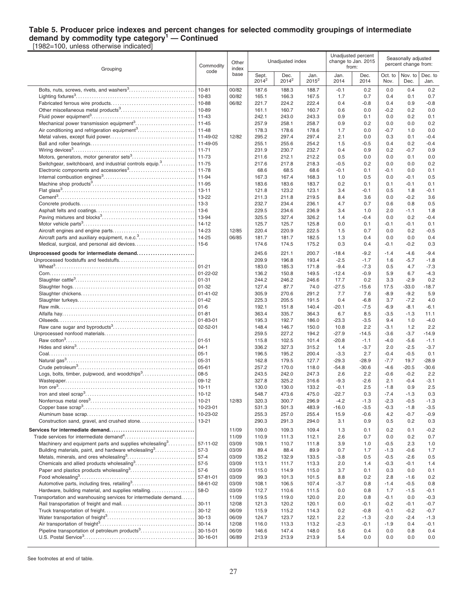#### **Table 5. Producer price indexes and percent changes for selected commodity groupings of intermediate demand by commodity type category<sup>1</sup> — Continued** [1982=100, unless otherwise indicated]

Grouping Commodity code **Other** index base Unadiusted index Unadjusted percent change to Jan. 2015 from: Seasonally adjusted percent change from: **Sept.** 2014<sup>2</sup> Dec. 2014<sup>2</sup> Jan.  $2015^2$ Jan. 2014 Dec. 2014 Oct. to Nov. Nov. to Dec. Dec. to Jan. Bolts, nuts, screws, rivets, and washers $^3$ ……………………………….| 10-81 |00/82 | 187.6 188.3 188.7 | -0.1 0.2 | 0.0 0.4 0.2 Lighting fixtures<sup>3</sup> . . . . . . . . . . . . . . . . . . . . . . . . . . . . . . . . . . . . . . . . . . . . . . . . . . . . 10-83 00/82 165.1 166.3 167.5 1.7 0.7 0.4 0.1 0.7 Fabricated ferrous wire products. . . . . . . . . . . . . . . . . . . . . . . . . . . . . . . . . . . . 10-88 06/82 221.7 224.2 222.4 0.4 -0.8 0.4 0.9 -0.8 Other miscellaneous metal products<sup>3</sup> . . . . . . . . . . . . . . . . . . . . . . . . . . . . . . . . 10-89 161.1 160.7 160.7 0.6 0.0 -0.2 0.2 0.0 Fluid power equipment<sup>3</sup> . . . . . . . . . . . . . . . . . . . . . . . . . . . . . . . . . . . . . . . . . . . . . 11-43 242.1 243.0 243.3 0.9 0.1 0.0 0.2 0.1 Mechanical power transmission equipment<sup>3</sup> . . . . . . . . . . . . . . . . . . . . . . . . . . 11-45 257.9 258.1 258.7 0.9 0.2 0.0 0.0 0.2 Air conditioning and refrigeration equipment<sup>3</sup> . . . . . . . . . . . . . . . . . . . . . . . . . 11-48 178.3 178.6 178.6 1.7 0.0 -0.7 1.0 0.0 Metal valves, except fluid power. . . . . . . . . . . . . . . . . . . . . . . . . . . . . . . . . . . . . 11-49-02 12/82 295.2 297.4 297.4 2.1 0.0 0.3 0.1 -0.4 Ball and roller bearings. . . . . . . . . . . . . . . . . . . . . . . . . . . . . . . . . . . . . . . . . . . . . 11-49-05 255.1 255.6 254.2 1.5 -0.5 0.4 0.2 -0.4 Wiring devices<sup>3</sup> . . . . . . . . . . . . . . . . . . . . . . . . . . . . . . . . . . . . . . . . . . . . . . . . . . . . . 11-71 231.9 230.7 232.7 0.4 0.9 0.2 -0.7 0.9 Motors, generators, motor generator sets<sup>3</sup> . . . . . . . . . . . . . . . . . . . . . . . . . . . 11-73 211.6 212.1 212.2 0.5 0.0 0.0 0.1 0.0 Switchgear, switchboard, and industrial controls equip.<sup>3</sup>. . . . . . . . . . . . . . . 11-75 | 217.6 217.8 218.3 | -0.5 0.2 | 0.0 0.0 0.2 Electronic components and accessories<sup>3</sup> . . . . . . . . . . . . . . . . . . . . . . . . . . . . 11-78 68.6 68.5 68.6 -0.1 0.1 -0.1 0.0 0.1 Internal combustion engines<sup>3</sup> . . . . . . . . . . . . . . . . . . . . . . . . . . . . . . . . . . . . . . . . 11-94 167.3 167.4 168.3 1.0 0.5 0.0 -0.1 0.5 Machine shop products<sup>3</sup> . . . . . . . . . . . . . . . . . . . . . . . . . . . . . . . . . . . . . . . . . . . . 11-95 183.6 183.6 183.7 0.2 0.1 0.1 -0.1 0.1 Flat glass<sup>3</sup>.…………………………………………………………………| 13-11 | 123.2 123.1 | 3.4 -0.1 | 0.5 1.8 -0.1 Cement<sup>3</sup> . . . . . . . . . . . . . . . . . . . . . . . . . . . . . . . . . . . . . . . . . . . . . . . . . . . . . . . . . . . 13-22 211.3 211.8 219.5 8.4 3.6 0.0 -0.2 3.6 Concrete products. . . . . . . . . . . . . . . . . . . . . . . . . . . . . . . . . . . . . . . . . . . . . . . . . . 13-3 232.7 234.4 236.1 4.7 0.7 0.6 0.8 0.5 Asphalt felts and coatings. . . . . . . . . . . . . . . . . . . . . . . . . . . . . . . . . . . . . . . . . . . 13-6 229.5 234.6 236.9 3.4 1.0 2.0 -1.1 1.8 Paving mixtures and blocks<sup>3</sup> . . . . . . . . . . . . . . . . . . . . . . . . . . . . . . . . . . . . . . . . 13-94 325.5 327.4 326.2 1.4 -0.4 0.0 0.2 -0.4 Motor vehicle parts<sup>3</sup> . . . . . . . . . . . . . . . . . . . . . . . . . . . . . . . . . . . . . . . . . . . . . . . . 14-12 125.7 125.7 125.8 0.0 0.1 -0.1 -0.1 0.1 Aircraft engines and engine parts. . . . . . . . . . . . . . . . . . . . . . . . . . . . . . . . . . . . 14-23 12/85 220.4 220.9 222.5 1.5 0.7 0.0 0.2 -0.5 Aircraft parts and auxiliary equipment, n.e.c.<sup>3</sup> . . . . . . . . . . . . . . . . . . . . . . . . 14-25 06/85 181.7 181.7 182.5 1.3 0.4 0.0 0.0 0.4 Medical, surgical, and personal aid devices. . . . . . . . . . . . . . . . . . . . . . . . . . 15-6 174.6 174.5 175.2 0.3 0.4 -0.1 -0.2 0.3 **Unprocessed goods for intermediate demand. . . . . . . . . . . . . . . . . . . . . . . . .** 245.6 221.1 200.7 -18.4 -9.2 -1.4 -4.6 -9.4 Unprocessed foodstuffs and feedstuffs. . . . . . . . . . . . . . . . . . . . . . . . . . . . . . . . . 209.9 196.8 193.4 -2.5 -1.7 1.6 -5.7 -1.8 Wheat<sup>3</sup> . . . . . . . . . . . . . . . . . . . . . . . . . . . . . . . . . . . . . . . . . . . . . . . . . . . . . . . . . . . . . 01-21 183.0 185.3 171.8 -9.4 -7.3 0.5 4.7 -7.3  $Com... \ \, \ldots \ \, \ldots \ \, \ldots \ \, \ldots \ \, \ldots \ \, \ldots \ \, \ldots \ \, \ldots \ \, \ldots \ \, \ldots \ \, \ldots \ \, \ldots \ \, \ldots \ \, \ldots \ \, \ldots \ \, \ldots \ \, \ldots \ \, \ldots \ \, \ldots \ \, \ldots \ \, \ldots \ \, \ldots \ \, \ldots \ \, \ldots \ \, \ldots \ \, \ldots \ \, \ldots \ \, \ldots \ \, \ldots \ \, \ldots \ \, \ldots \$ Slaughter cattle<sup>3</sup> . . . . . . . . . . . . . . . . . . . . . . . . . . . . . . . . . . . . . . . . . . . . . . . . . . . . 01-31 244.2 246.2 246.6 17.7 0.2 3.3 -2.9 0.2 Slaughter hogs. . . . . . . . . . . . . . . . . . . . . . . . . . . . . . . . . . . . . . . . . . . . . . . . . . . . . 01-32 127.4 87.7 74.0 -27.5 -15.6 17.5 -33.0 -18.7 Slaughter chickens. . . . . . . . . . . . . . . . . . . . . . . . . . . . . . . . . . . . . . . . . . . . . . . . . 01-41-02 305.9 270.6 291.2 7.7 7.6 -8.9 -9.2 5.9 Slaughter turkeys. . . . . . . . . . . . . . . . . . . . . . . . . . . . . . . . . . . . . . . . . . . . . . . . . . . 01-42 225.3 205.5 191.5 0.4 -6.8 3.7 -7.2 4.0 Raw milk. . . . . . . . . . . . . . . . . . . . . . . . . . . . . . . . . . . . . . . . . . . . . . . . . . . . . . . . . . . 01-6 192.1 151.8 140.4 -20.1 -7.5 -6.9 -8.1 -6.1 Alfalfa hay. . . . . . . . . . . . . . . . . . . . . . . . . . . . . . . . . . . . . . . . . . . . . . . . . . . . . . . . . . 01-81 363.4 335.7 364.3 6.7 8.5 -3.5 -1.3 11.1 Oilseeds. . . . . . . . . . . . . . . . . . . . . . . . . . . . . . . . . . . . . . . . . . . . . . . . . . . . . . . . . . . 01-83-01 195.3 192.7 186.0 -23.3 -3.5 9.4 1.0 -4.0 Raw cane sugar and byproducts<sup>3</sup> . . . . . . . . . . . . . . . . . . . . . . . . . . . . . . . . . . . 02-52-01 148.4 146.7 150.0 10.8 2.2 -3.1 1.2 2.2 Unprocessed nonfood materials. . . . . . . . . . . . . . . . . . . . . . . . . . . . . . . . . . . . . . . 259.5 227.2 194.2 -27.9 -14.5 -3.6 -3.7 -14.9 Raw cotton<sup>3</sup> . . . . . . . . . . . . . . . . . . . . . . . . . . . . . . . . . . . . . . . . . . . . . . . . . . . . . . . . 01-51 115.8 102.5 101.4 -20.8 -1.1 -4.0 -5.6 -1.1 Hides and skins<sup>3</sup> . . . . . . . . . . . . . . . . . . . . . . . . . . . . . . . . . . . . . . . . . . . . . . . . . . . 04-1 336.2 327.3 315.2 1.4 -3.7 2.0 -2.5 -3.7 Coal. . . . . . . . . . . . . . . . . . . . . . . . . . . . . . . . . . . . . . . . . . . . . . . . . . . . . . . . . . . . . . . 05-1 196.5 195.2 200.4 -3.3 2.7 -0.4 -0.5 0.1 Natural gas<sup>3</sup> . . . . . . . . . . . . . . . . . . . . . . . . . . . . . . . . . . . . . . . . . . . . . . . . . . . . . . . . 05-31 162.8 179.5 127.7 -29.3 -28.9 -7.7 19.7 -28.9 Crude petroleum<sup>3</sup> . . . . . . . . . . . . . . . . . . . . . . . . . . . . . . . . . . . . . . . . . . . . . . . . . . . 05-61 257.2 170.0 118.0 -54.8 -30.6 -4.6 -20.5 -30.6 Logs, bolts, timber, pulpwood, and woodchips<sup>3</sup> . . . . . . . . . . . . . . . . . . . . . . 08-5 243.5 242.0 247.3 2.6 2.2 -0.6 -0.2 2.2 Wastepaper. . . . . . . . . . . . . . . . . . . . . . . . . . . . . . . . . . . . . . . . . . . . . . . . . . . . . . . . 09-12 327.8 325.2 316.6 -9.3 -2.6 2.1 -0.4 -3.1 Iron ore<sup>3</sup> . . . . . . . . . . . . . . . . . . . . . . . . . . . . . . . . . . . . . . . . . . . . . . . . . . . . . . . . . . . 10-11 130.0 130.0 133.2 -0.1 2.5 -1.8 0.9 2.5 Iron and steel scrap<sup>3</sup> . . . . . . . . . . . . . . . . . . . . . . . . . . . . . . . . . . . . . . . . . . . . . . . 10-12 548.7 473.6 475.0 -22.7 0.3 -7.4 -1.3 0.3 Nonferrous metal ores<sup>3</sup> . . . . . . . . . . . . . . . . . . . . . . . . . . . . . . . . . . . . . . . . . . . . . 10-21 12/83 320.3 300.7 296.9 -4.2 -1.3 -2.3 -0.5 -1.3 Copper base scrap<sup>3</sup> . . . . . . . . . . . . . . . . . . . . . . . . . . . . . . . . . . . . . . . . . . . . . . . . 10-23-01 531.3 501.3 483.9 -16.0 -3.5 -0.3 -1.8 -3.5 Aluminum base scrap. . . . . . . . . . . . . . . . . . . . . . . . . . . . . . . . . . . . . . . . . . . . . . . 10-23-02 255.3 257.0 255.4 15.9 -0.6 4.2 -0.7 -0.9 Construction sand, gravel, and crushed stone. . . . . . . . . . . . . . . . . . . . . . . . 13-21 290.3 291.3 294.0 3.1 0.9 0.5 0.2 0.3 **Services for intermediate demand. . . . . . . . . . . . . . . . . . . . . . . . . . . . . . . . . . . . .** 11/09 109.0 109.3 109.4 1.3 0.1 0.2 0.1 -0.2 Trade services for intermediate demand<sup>4</sup>...........................| | 11/09 | 110.9 | 111.3 112.1 | 2.6 0.7 | 0.0 0.2 0.7 Machinery and equipment parts and supplies wholesaling  $3, 3, 3, 4, 6$ . . . . . . . . . . . 57-11-02 03/09 109.1 110.7 111.8 3.9 1.0 -0.5 2.3 1.0 Building materials, paint, and hardware wholesaling<sup>3</sup>................| 57-3  $\begin{array}{|l} \n\end{array}$  03/09 | 89.4 89.4 89.9 | 0.7 1.7 | -1.3 -0.6 1.7 Metals, minerals, and ores wholesaling<sup>3</sup> . . . . . . . . . . . . . . . . . . . . . . . . . . . . . 57-4 03/09 135.2 132.9 133.5 -3.8 0.5 -0.5 -2.6 0.5 Chemicals and allied products wholesaling<sup>3</sup> . . . . . . . . . . . . . . . . . . . . . . . . . . 57-5 03/09 113.1 111.7 113.3 2.0 1.4 -0.3 -0.1 1.4 Paper and plastics products wholesaling<sup>3</sup> . . . . . . . . . . . . . . . . . . . . . . . . . . . . 57-6 03/09 115.0 114.9 115.0 3.7 0.1 0.3 0.0 0.1 Food wholesaling<sup>3</sup> . . . . . . . . . . . . . . . . . . . . . . . . . . . . . . . . . . . . . . . . . . . . . . . . . . 57-81-01 03/09 99.3 101.3 101.5 8.8 0.2 2.8 -1.6 0.2 Automotive parts, including tires, retailing<sup>3</sup>.................................. 58-61-02 | 03/09 | 108.1 106.5 107.4 | 3.7 0.8 | -1.4 -0.5 0.8 Hardware, building material, and supplies retailing. . . . . . . . . . . . . . . . . . . 58-D 03/09 112.7 110.6 111.5 0.0 0.8 1.7 -1.5 -0.1 Transportation and warehousing services for intermediate demand.  $\dots$ .  $\vert$  11/09 | 119.5 119.0 120.0 | 2.0 0.8 | -0.1 0.0 -0.3 Rail transportation of freight and mail. . . . . . . . . . . . . . . . . . . . . . . . . . . . . . . . 30-11 12/08 121.3 120.2 120.1 0.0 -0.1 -0.2 -0.1 -0.7 Truck transportation of freight. . . . . . . . . . . . . . . . . . . . . . . . . . . . . . . . . . . . . . . 30-12 06/09 115.9 115.2 114.3 0.2 -0.8 -0.1 -0.2 -0.7 Water transportation of freight<sup>3</sup> . . . . . . . . . . . . . . . . . . . . . . . . . . . . . . . . . . . . . . 30-13 06/09 124.7 123.7 122.1 2.2 -1.3 -2.0 -2.4 -1.3 Air transportation of freight<sup>3</sup> . . . . . . . . . . . . . . . . . . . . . . . . . . . . . . . . . . . . . . . . . 30-14 12/08 116.0 113.3 113.2 -2.3 -0.1 -1.9 0.4 -0.1 Pipeline transportation of petroleum products<sup>3</sup>................................. 30-15-01 | 06/09 | 146.6 147.4 148.0 | 5.6 0.4 | 0.0 0.8 0.4 U.S. Postal Service<sup>3</sup> . . . . . . . . . . . . . . . . . . . . . . . . . . . . . . . . . . . . . . . . . . . . . . . . 30-16-01 06/89 213.9 213.9 213.9 5.4 0.0 0.0 0.0 0.0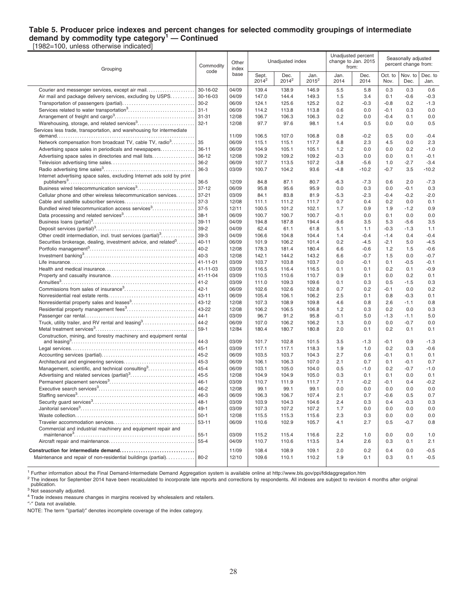#### **Table 5. Producer price indexes and percent changes for selected commodity groupings of intermediate demand by commodity type category<sup>1</sup> — Continued** [1982=100, unless otherwise indicated]

Grouping Commodity code **Other** index base Unadiusted index Unadjusted percent change to Jan. 2015 from: Seasonally adjusted percent change from: **Sept.** 2014<sup>2</sup> Dec. 2014<sup>2</sup> Jan.  $2015^2$ Jan. 2014 Dec. 2014 Oct. to Nov. Nov. to Dec. Dec. to Jan. Courier and messenger services, except air mail. . . . . . . . . . . . . . . . . . . . . 30-16-02 04/09 139.4 138.9 146.9 5.5 5.8 0.3 0.3 0.6 Air mail and package delivery services, excluding by USPS. . . . . . . . . . 30-16-03 04/09 147.0 144.4 149.3 1.5 3.4 0.1 -0.6 -0.3 Transportation of passengers (partial). . . . . . . . . . . . . . . . . . . . . . . . . . . . . . . 30-2 06/09 124.1 125.6 125.2 0.2 -0.3 -0.8 0.2 -1.3 Services related to water transportation<sup>3</sup> . . . . . . . . . . . . . . . . . . . . . . . . . . . . . 31-1 06/09 114.2 113.8 113.8 0.6 0.0 -0.1 0.3 0.0 Arrangement of freight and cargo<sup>3</sup> . . . . . . . . . . . . . . . . . . . . . . . . . . . . . . . . . . . 31-31 12/08 106.7 106.3 106.3 0.2 0.0 -0.4 0.1 0.0 Warehousing, storage, and related services<sup>3</sup> . . . . . . . . . . . . . . . . . . . . . . . . . 32-1 12/08 97.7 97.6 98.1 1.4 0.5 0.0 0.0 0.5 Services less trade, transportation, and warehousing for intermediate demand. . . . . . . . . . . . . . . . . . . . . . . . . . . . . . . . . . . . . . . . . . . . . . . . . . . . . . . . . . . . 11/09 106.5 107.0 106.8 0.8 -0.2 0.5 0.0 -0.4 Network compensation from broadcast TV, cable TV, radio<sup>3</sup>......... . . . . . . . . . 35 | 06/09 | 115.1 115.1 117.7 | 6.8 2.3 | 4.5 0.0 2.3 Advertising space sales in periodicals and newspapers. . . . . . . . . . . . . . . 36-11 06/09 104.9 105.1 105.1 1.2 0.0 0.0 0.2 -1.0 Advertising space sales in directories and mail lists. . . . . . . . . . . . . . . . . . 36-12 12/08 109.2 109.2 109.2 -0.3 0.0 0.0 0.1 -0.1 Television advertising time sales. . . . . . . . . . . . . . . . . . . . . . . . . . . . . . . . . . . . 36-2 06/09 107.7 113.5 107.2 -3.8 -5.6 1.0 -2.7 -3.4 Radio advertising time sales<sup>3</sup> . . . . . . . . . . . . . . . . . . . . . . . . . . . . . . . . . . . . . . . 36-3 03/09 100.7 104.2 93.6 -4.8 -10.2 -0.7 3.5 -10.2 Internet advertising space sales, excluding Internet ads sold by print publishers<sup>3</sup> . . . . . . . . . . . . . . . . . . . . . . . . . . . . . . . . . . . . . . . . . . . . . . . . . . . . . . . 36-5 12/09 84.8 87.1 80.7 -6.3 -7.3 0.6 2.0 -7.3 Business wired telecommunication services<sup>3</sup> . . . . . . . . . . . . . . . . . . . . . . . . . 37-12 06/09 95.8 95.6 95.9 0.0 0.3 0.0 -0.1 0.3 Cellular phone and other wireless telecommunication services........ 37-21  $\vert$  03/09  $\vert$  84.1 83.8 81.9  $\vert$  -5.3 -2.3 -0.4 -0.2 -2.0 Cable and satellite subscriber services. . . . . . . . . . . . . . . . . . . . . . . . . . . . . . 37-3 12/08 111.1 111.2 111.7 0.7 0.4 0.2 0.0 0.1 Bundled wired telecommunication access services<sup>3</sup> . . . . . . . . . . . . . 37-5 |12/11 | 100.5 101.2 102.1 | 1.7 0.9 | 1.9 -1.2 0.9 Data processing and related services<sup>3</sup> . . . . . . . . . . . . . . . . . . . . . . . . . . . . . . . 38-1 06/09 100.7 100.7 100.7 -0.1 0.0 0.1 0.0 0.0 Business loans (partial)<sup>3</sup> . . . . . . . . . . . . . . . . . . . . . . . . . . . . . . . . . . . . . . . . . . . . 39-11 04/09 194.8 187.8 194.4 -9.6 3.5 5.3 -5.6 3.5 Deposit services (partial)<sup>3</sup> . . . . . . . . . . . . . . . . . . . . . . . . . . . . . . . . . . . . . . . . . . . 39-2 04/09 62.4 61.1 61.8 5.1 1.1 -0.3 -1.3 1.1 Other credit intermediation, incl. trust services (partial)<sup>3</sup>..............| 39-3 | 04/09 | 106.6 104.8 104.4 | 1.4 -0.4 | -1.4 0.4 -0.4 Securities brokerage, dealing, investment advice, and related<sup>3</sup>....... ........|40-11 |06/09 | 101.9 106.2 101.4 | 0.2 -4.5 | -2.1 5.0 -4.5 Portfolio management<sup>3</sup> . . . . . . . . . . . . . . . . . . . . . . . . . . . . . . . . . . . . . . . . . . . . . . 40-2 12/08 178.3 181.4 180.4 6.6 -0.6 1.2 1.5 -0.6 Investment banking<sup>3</sup> . . . . . . . . . . . . . . . . . . . . . . . . . . . . . . . . . . . . . . . . . . . . . . . . 40-3 12/08 142.1 144.2 143.2 6.6 -0.7 1.5 0.0 -0.7 Life insurance. . . . . . . . . . . . . . . . . . . . . . . . . . . . . . . . . . . . . . . . . . . . . . . . . . . . . . 41-11-01 03/09 103.7 103.8 103.7 0.0 -0.1 0.1 -0.5 -0.1 Health and medical insurance. . . . . . . . . . . . . . . . . . . . . . . . . . . . . . . . . . . . . . . 41-11-03 03/09 116.5 116.4 116.5 0.1 0.1 0.2 0.1 -0.9 Property and casualty insurance. . . . . . . . . . . . . . . . . . . . . . . . . . . . . . . . . . . . . 41-11-04 03/09 110.5 110.6 110.7 0.9 0.1 0.0 0.2 0.1 Annuities<sup>3</sup> . . . . . . . . . . . . . . . . . . . . . . . . . . . . . . . . . . . . . . . . . . . . . . . . . . . . . . . . . . 41-2 03/09 111.0 109.3 109.6 0.1 0.3 0.5 -1.5 0.3 Commissions from sales of insurance<sup>3</sup> . . . . . . . . . . . . . . . . . . . . . . . . . . . . . . 42-1 06/09 102.6 102.6 102.8 0.7 0.2 -0.1 0.0 0.2 Nonresidential real estate rents. . . . . . . . . . . . . . . . . . . . . . . . . . . . . . . . . . . . . 43-11 06/09 105.4 106.1 106.2 2.5 0.1 0.8 -0.3 0.1 Nonresidential property sales and leases<sup>3</sup> . . . . . . . . . . . . . . . . . . . . . . . . . . . 43-12 12/08 107.3 108.9 109.8 4.6 0.8 2.6 -1.1 0.8 Residential property management fees<sup>3</sup> . . . . . . . . . . . . . . . . . . . . . . . . . . . . . 43-22 12/08 106.2 106.5 106.8 1.2 0.3 0.2 0.0 0.3 Passenger car rental. . . . . . . . . . . . . . . . . . . . . . . . . . . . . . . . . . . . . . . . . . . . . . . . 44-1 03/09 96.7 91.2 95.8 -0.1 5.0 -1.3 -1.1 5.0 Truck, utility trailer, and RV rental and leasing<sup>3</sup>…………………. | 44-2 | 06/09 | 107.0 106.2 106.2 | 1.3 0.0 | 0.0 -0.7 0.0 Metal treatment services<sup>3</sup> . . . . . . . . . . . . . . . . . . . . . . . . . . . . . . . . . . . . . . . . . . . 59-1 12/84 180.4 180.7 180.8 2.0 0.1 0.2 0.1 0.1 Construction, mining, and forestry machinery and equipment rental and leasing<sup>3</sup> . . . . . . . . . . . . . . . . . . . . . . . . . . . . . . . . . . . . . . . . . . . . . . . . . . . . . . 44-3 03/09 101.7 102.8 101.5 3.5 -1.3 -0.1 0.9 -1.3 Legal services. . . . . . . . . . . . . . . . . . . . . . . . . . . . . . . . . . . . . . . . . . . . . . . . . . . . . . 45-1 03/09 117.1 117.1 118.3 1.9 1.0 0.2 0.3 -0.6 Accounting services (partial). . . . . . . . . . . . . . . . . . . . . . . . . . . . . . . . . . . . . . . . 45-2 06/09 103.5 103.7 104.3 2.7 0.6 -0.1 0.1 0.1 Architectural and engineering services. . . . . . . . . . . . . . . . . . . . . . . . . . . . . . . 45-3 06/09 106.1 106.3 107.0 2.1 0.7 0.1 -0.1 0.7 Management, scientific, and technical consulting<sup>3</sup> . . . . . . . . . . . . . . . . . . . . 45-4 06/09 103.1 105.0 104.0 0.5 -1.0 0.2 -0.7 -1.0 Advertising and related services (partial)<sup>3</sup> . . . . . . . . . . . . . . . . . . . . . . . . . . . . 45-5 12/08 104.9 104.9 105.0 0.3 0.1 0.1 0.0 0.1 Permanent placement services<sup>3</sup> . . . . . . . . . . . . . . . . . . . . . . . . . . . . . . . . . . . . . 46-1 03/09 110.7 111.9 111.7 7.1 -0.2 -0.1 0.4 -0.2 Executive search services<sup>3</sup> . . . . . . . . . . . . . . . . . . . . . . . . . . . . . . . . . . . . . . . . . . 46-2 12/08 99.1 99.1 99.1 0.0 0.0 0.0 0.0 0.0 Staffing services<sup>3</sup> . . . . . . . . . . . . . . . . . . . . . . . . . . . . . . . . . . . . . . . . . . . . . . . . . . . 46-3 06/09 106.3 106.7 107.4 2.1 0.7 -0.6 0.5 0.7 Security guard services<sup>3</sup> . . . . . . . . . . . . . . . . . . . . . . . . . . . . . . . . . . . . . . . . . . . . 48-1 03/09 103.9 104.3 104.6 2.4 0.3 0.4 -0.3 0.3 Janitorial services<sup>3</sup> . . . . . . . . . . . . . . . . . . . . . . . . . . . . . . . . . . . . . . . . . . . . . . . . . . 49-1 03/09 107.3 107.2 107.2 1.7 0.0 0.0 0.0 0.0 Waste collection. . . . . . . . . . . . . . . . . . . . . . . . . . . . . . . . . . . . . . . . . . . . . . . . . . . . 50-1 12/08 115.5 115.3 115.6 2.3 0.3 0.0 0.0 0.0 Traveler accommodation services. . . . . . . . . . . . . . . . . . . . . . . . . . . . . . . . . . . 53-11 06/09 110.6 102.9 105.7 4.1 2.7 0.5 -0.7 0.8 Commercial and industrial machinery and equipment repair and maintenance<sup>3</sup> . . . . . . . . . . . . . . . . . . . . . . . . . . . . . . . . . . . . . . . . . . . . . . . . . . . . 55-1 03/09 115.2 115.4 116.6 2.2 1.0 0.0 0.0 1.0 Aircraft repair and maintenance. . . . . . . . . . . . . . . . . . . . . . . . . . . . . . . . . . . . . 55-4 04/09 110.7 110.6 113.5 3.4 2.6 0.3 0.1 2.1 **Construction for intermediate demand. . . . . . . . . . . . . . . . . . . . . . . . . . . . . . . .** 11/09 108.4 108.9 109.1 2.0 0.2 0.4 0.0 -0.5 Maintenance and repair of non-residential buildings (partial)............. 80-2 | 12/10 | 109.6 110.1 110.2 | 1.9 0.1 | 0.3 0.1 -0.5

<sup>1</sup> Further information about the Final Demand-Intermediate Demand Aggregation system is available online at http://www.bls.gov/ppi/fdidaggregation.htm

<sup>2</sup> The indexes for September 2014 have been recalculated to incorporate late reports and corrections by respondents. All indexes are subject to revision 4 months after original publication.

<sup>3</sup> Not seasonally adjusted.

<sup>4</sup> Trade indexes measure changes in margins received by wholesalers and retailers.

″-″ Data not available.

NOTE: The term ″(partial)″ denotes incomplete coverage of the index category.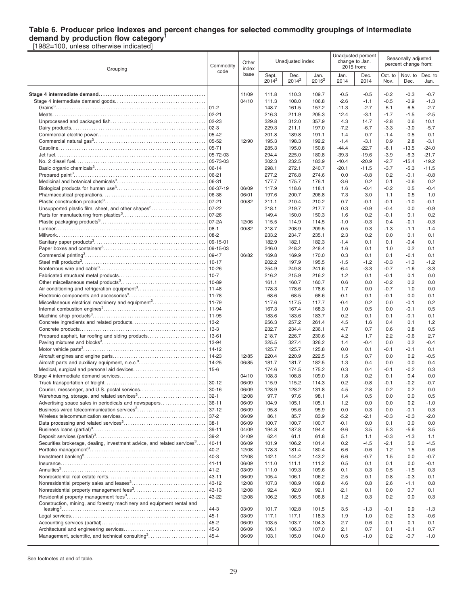### **Table 6. Producer price indexes and percent changes for selected commodity groupings of intermediate demand by production flow category<sup>1</sup>**

[1982=100, unless otherwise indicated]

| Grouping                                                                            | Commodity<br>code     | Other<br>index |                   | Unadjusted index |                  |                    | Unadjusted percent<br>change to Jan.<br>2015 from: |                  | Seasonally adjusted<br>percent change from: |                    |
|-------------------------------------------------------------------------------------|-----------------------|----------------|-------------------|------------------|------------------|--------------------|----------------------------------------------------|------------------|---------------------------------------------|--------------------|
|                                                                                     |                       | base           | Sept.<br>$2014^2$ | Dec.<br>$2014^2$ | Jan.<br>$2015^2$ | Jan.<br>2014       | Dec.<br>2014                                       | Oct. to<br>Nov.  | Nov. to<br>Dec.                             | Dec. to<br>Jan.    |
|                                                                                     |                       | 11/09          | 111.8             | 110.3            | 109.7            | $-0.5$             | $-0.5$                                             | $-0.2$           | $-0.3$                                      | $-0.7$             |
|                                                                                     |                       | 04/10          | 111.3             | 108.0            | 106.8            | $-2.6$             | $-1.1$                                             | $-0.5$           | $-0.9$                                      | $-1.3$             |
|                                                                                     | $ 01-2 $              |                | 148.7             | 161.5            | 157.2            | $-11.3$            | $-2.7$                                             | 5.1              | 6.5                                         | $-2.7$             |
|                                                                                     | $02 - 21$             |                | 216.3             | 211.9            | 205.3            | 12.4               | $-3.1$                                             | $-1.7$           | $-1.5$                                      | $-2.5$             |
|                                                                                     | $02 - 23$             |                | 329.8             | 312.0            | 357.9            | 4.3                | 14.7                                               | $-2.8$           | 0.6                                         | 10.1               |
|                                                                                     | $02-3$                |                | 229.3             | 211.1            | 197.0            | $-7.2$             | $-6.7$                                             | $-3.3$           | $-3.0$                                      | $-5.7$             |
|                                                                                     | 05-42                 |                | 201.8             | 189.8            | 191.1            | 1.4                | 0.7                                                | $-1.4$           | 0.5                                         | 0.1                |
|                                                                                     | $05 - 52$             | 12/90          | 195.3             | 198.3            | 192.2            | $-1.4$             | $-3.1$                                             | 0.9              | 2.8                                         | $-3.1$             |
|                                                                                     | 05-71                 |                | 285.3             | 195.0            | 150.8            | $-44.4$            | $-22.7$                                            | $-8.1$           | $-13.5$                                     | $-24.0$            |
|                                                                                     | 05-72-03              |                | 294.4             | 225.0            | 180.8            | $-39.3$            | $-19.6$                                            | $-3.9$           | $-6.3$                                      | $-21.7$            |
|                                                                                     | 05-73-03<br>$06 - 14$ |                | 302.3<br>298.1    | 232.5<br>272.1   | 183.9<br>240.7   | $-40.4$<br>$-20.1$ | $-20.9$<br>$-11.5$                                 | $-2.7$<br>$-3.7$ | $-15.4$<br>$-5.3$                           | $-19.2$<br>$-11.5$ |
|                                                                                     | $06 - 21$             |                | 277.2             | 276.8            | 274.6            | 0.0                | $-0.8$                                             | 0.2              | $-0.1$                                      | $-0.8$             |
|                                                                                     | 06-31                 |                | 177.7             | 175.7            | 176.1            | $-3.6$             | 0.2                                                | 0.1              | $-0.6$                                      | 0.2                |
|                                                                                     | 06-37-19              | 06/09          | 117.9             | 118.6            | 118.1            | 1.6                | $-0.4$                                             | $-0.2$           | 0.5                                         | $-0.4$             |
|                                                                                     | 06-38                 | 06/01          | 197.6             | 200.7            | 206.8            | 7.3                | 3.0                                                | 1.1              | 0.5                                         | 1.0                |
|                                                                                     | $07 - 21$             | 00/82          | 211.1             | 210.4            | 210.2            | 0.7                | $-0.1$                                             | $-0.1$           | $-1.0$                                      | $-0.1$             |
| Unsupported plastic film, sheet, and other shapes <sup>3</sup>                      | $07 - 22$             |                | 218.1             | 219.7            | 217.7            | 0.3                | $-0.9$                                             | $-0.4$           | 0.0                                         | $-0.9$             |
|                                                                                     | $07 - 26$             |                | 149.4             | 150.0            | 150.3            | 1.6                | 0.2                                                | $-0.1$           | 0.1                                         | 0.2                |
|                                                                                     |                       | 12/06          | 115.5             | 114.9            | 114.5            | $-1.0$             | $-0.3$                                             | 0.4              | $-0.1$                                      | $-0.3$             |
|                                                                                     | $08-1$                | 00/82          | 218.7             | 208.9            | 209.5            | $-0.5$             | 0.3                                                | $-1.3$           | $-1.1$                                      | $-1.4$             |
|                                                                                     | 08-2                  |                | 233.2             | 234.7            | 235.1            | 2.3                | 0.2                                                | 0.0              | 0.1                                         | 0.1                |
|                                                                                     | $ 09-15-01$           |                | 182.9             | 182.1            | 182.3            | $-1.4$             | 0.1                                                | 0.1              | $-0.4$                                      | 0.1                |
|                                                                                     | 09-15-03              |                | 246.0             | 248.2            | 248.4            | 1.6                | 0.1                                                | 1.0              | 0.2                                         | 0.1                |
|                                                                                     | 09-47                 | 06/82          | 169.8             | 169.9            | 170.0            | 0.3                | 0.1                                                | 0.1              | $-0.1$                                      | 0.1                |
|                                                                                     | $10 - 17$             |                | 202.2             | 197.9            | 195.5            | $-1.5$             | $-1.2$                                             | $-0.3$           | $-1.3$                                      | $-1.2$             |
|                                                                                     | $10 - 26$             |                | 254.9             | 249.8            | 241.6            | $-6.4$             | $-3.3$                                             | $-0.7$           | $-1.6$                                      | $-3.3$             |
|                                                                                     | $10-7$                |                | 216.2             | 215.9            | 216.2            | 1.2                | 0.1                                                | $-0.1$           | 0.1                                         | 0.0                |
|                                                                                     | 10-89                 |                | 161.1             | 160.7            | 160.7            | 0.6                | 0.0                                                | $-0.2$           | 0.2                                         | 0.0                |
| Air conditioning and refrigeration equipment <sup>3</sup>                           | $11 - 48$             |                | 178.3             | 178.6            | 178.6            | 1.7                | 0.0                                                | $-0.7$           | 1.0                                         | 0.0                |
|                                                                                     |                       |                | 68.6              | 68.5             | 68.6             | $-0.1$             | 0.1                                                | $-0.1$           | 0.0                                         | 0.1                |
| Miscellaneous electrical machinery and equipment <sup>3</sup>                       | 11-79                 |                | 117.6             | 117.5            | 117.7            | $-0.4$             | 0.2                                                | 0.0              | $-0.1$                                      | 0.2<br>0.5         |
|                                                                                     |                       |                | 167.3<br>183.6    | 167.4<br>183.6   | 168.3<br>183.7   | 1.0<br>0.2         | 0.5<br>0.1                                         | 0.0<br>0.1       | $-0.1$<br>$-0.1$                            | 0.1                |
|                                                                                     |                       |                | 256.3             | 257.2            | 261.4            | 4.5                | 1.6                                                | 0.4              | 0.1                                         | 1.2                |
|                                                                                     |                       |                | 232.7             | 234.4            | 236.1            | 4.7                | 0.7                                                | 0.6              | 0.8                                         | 0.5                |
| Prepared asphalt, tar roofing and siding products  13-61                            |                       |                | 218.7             | 226.7            | 230.6            | 4.2                | 1.7                                                | 2.2              | $-0.6$                                      | 2.7                |
|                                                                                     | 13-94                 |                | 325.5             | 327.4            | 326.2            | 1.4                | $-0.4$                                             | 0.0              | 0.2                                         | $-0.4$             |
|                                                                                     | $14 - 12$             |                | 125.7             | 125.7            | 125.8            | 0.0                | 0.1                                                | $-0.1$           | $-0.1$                                      | 0.1                |
|                                                                                     | 14-23                 | 12/85          | 220.4             | 220.9            | 222.5            | 1.5                | 0.7                                                | 0.0              | 0.2                                         | $-0.5$             |
| Aircraft parts and auxiliary equipment, n.e.c. <sup>3</sup>                         | 14-25                 | 06/85          | 181.7             | 181.7            | 182.5            | 1.3                | 0.4                                                | 0.0              | 0.0                                         | 0.4                |
|                                                                                     | $15-6$                |                | 174.6             | 174.5            | 175.2            | 0.3                | 0.4                                                | $-0.1$           | $-0.2$                                      | 0.3                |
|                                                                                     |                       | 04/10          | 108.3             | 108.8            | 109.0            | 1.8                | 0.2                                                | 0.1              | 0.4                                         | 0.0                |
|                                                                                     | $30 - 12$             | 06/09          | 115.9             | 115.2            | 114.3            | 0.2                | $-0.8$                                             | $-0.1$           | $-0.2$                                      | $-0.7$             |
| Courier, messenger, and U.S. postal services                                        | $30 - 16$             | 06/09          | 128.9             | 128.2            | 131.8            | 4.5                | 2.8                                                | 0.2              | 0.2                                         | 0.0                |
|                                                                                     | $32 - 1$              | 12/08          | 97.7              | 97.6             | 98.1             | 1.4                | 0.5                                                | 0.0              | 0.0                                         | 0.5                |
| Advertising space sales in periodicals and newspapers] 36-11                        |                       | 06/09          | 104.9             | 105.1            | 105.1            | 1.2                | 0.0                                                | 0.0              | 0.2                                         | $-1.0$             |
|                                                                                     |                       | 06/09          | 95.8              | 95.6             | 95.9             | 0.0                | 0.3                                                | 0.0              | $-0.1$                                      | 0.3                |
|                                                                                     |                       | 06/09<br>06/09 | 86.1<br>100.7     | 85.7<br>100.7    | 83.9<br>100.7    | $-5.2$<br>$-0.1$   | $-2.1$<br>0.0                                      | $-0.3$<br>0.1    | $-0.3$<br>0.0                               | -2.0<br>0.0        |
|                                                                                     |                       | 04/09          | 194.8             | 187.8            | 194.4            | $-9.6$             | 3.5                                                | 5.3              | -5.6                                        | 3.5                |
|                                                                                     | $39 - 2$              | 04/09          | 62.4              | 61.1             | 61.8             | 5.1                | 1.1                                                | $-0.3$           | $-1.3$                                      | 1.1                |
| Securities brokerage, dealing, investment advice, and related services <sup>3</sup> | $40 - 11$             | 06/09          | 101.9             | 106.2            | 101.4            | 0.2                | $-4.5$                                             | $-2.1$           | 5.0                                         | -4.5               |
|                                                                                     | $40 - 2$              | 12/08          | 178.3             | 181.4            | 180.4            | 6.6                | $-0.6$                                             | $1.2$            | 1.5                                         | $-0.6$             |
|                                                                                     | $40 - 3$              | 12/08          | 142.1             | 144.2            | 143.2            | 6.6                | $-0.7$                                             | 1.5              | 0.0                                         | -0.7               |
|                                                                                     | $41 - 11$             | 06/09          | 111.0             | 111.1            | 111.2            | 0.5                | 0.1                                                | 0.1              | 0.0                                         | -0.1               |
|                                                                                     | 41-2                  | 03/09          | 111.0             | 109.3            | 109.6            | 0.1                | 0.3                                                | 0.5              | $-1.5$                                      | 0.3                |
|                                                                                     | $43 - 11$             | 06/09          | 105.4             | 106.1            | 106.2            | 2.5                | 0.1                                                | 0.8              | -0.3                                        | 0.1                |
|                                                                                     |                       | 12/08          | 107.3             | 108.9            | 109.8            | 4.6                | 0.8                                                | 2.6              | $-1.1$                                      | 0.8                |
|                                                                                     | 43-13                 | 12/08          | 92.4              | 92.0             | 92.1             | $-2.1$             | 0.1                                                | 0.0              | 0.7                                         | 0.1                |
|                                                                                     | 43-22                 | 12/08          | 106.2             | 106.5            | 106.8            | 1.2                | 0.3                                                | 0.2              | 0.0                                         | 0.3                |
| Construction, mining, and forestry machinery and equipment rental and               |                       |                |                   |                  |                  |                    |                                                    |                  |                                             |                    |
|                                                                                     | $44 - 3$              | 03/09          | 101.7             | 102.8            | 101.5            | 3.5                | -1.3                                               | -0.1             | 0.9                                         | $-1.3$             |
|                                                                                     | $45 - 1$              | 03/09          | 117.1             | 117.1            | 118.3            | 1.9                | 1.0                                                | 0.2              | 0.3                                         | $-0.6$             |
|                                                                                     | $45 - 2$              | 06/09          | 103.5             | 103.7            | 104.3            | 2.7                | 0.6                                                | $-0.1$           | 0.1                                         | 0.1                |
|                                                                                     | $45 - 3$              | 06/09          | 106.1             | 106.3            | 107.0            | 2.1                | 0.7                                                | 0.1              | $-0.1$                                      | 0.7                |
| Management, scientific, and technical consulting <sup>3</sup>                       | $45 - 4$              | 06/09          | 103.1             | 105.0            | 104.0            | 0.5                | $-1.0$                                             | 0.2              | $-0.7$                                      | $-1.0$             |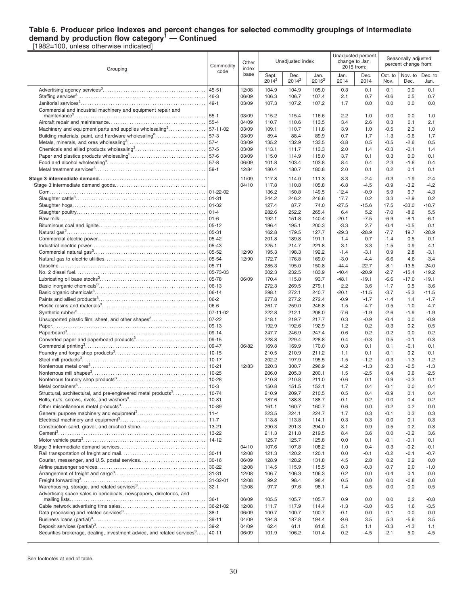#### **Table 6. Producer price indexes and percent changes for selected commodity groupings of intermediate demand by production flow category<sup>1</sup> — Continued** [1982=100, unless otherwise indicated]

Dec. to Jan.

Grouping Commodity code **Other** index base Unadiusted index Unadjusted percent change to Jan. 2015 from: Seasonally adjusted percent change from: **Sept.**  $2014^2$ Dec.  $2014^2$ Jan. 2015<sup>2</sup> Jan. 2014 Dec. 2014 Oct. to Nov. Nov. to Dec. Advertising agency services<sup>3</sup> . . . . . . . . . . . . . . . . . . . . . . . . . . . . . . . . . . . . . . . . . . . . . 45-51 12/08 104.9 104.9 105.0 0.3 0.1 0.1 0.0 0.1 Staffing services<sup>3</sup> . . . . . . . . . . . . . . . . . . . . . . . . . . . . . . . . . . . . . . . . . . . . . . . . . . . . . . . . 46-3 06/09 106.3 106.7 107.4 2.1 0.7 -0.6 0.5 0.7 Janitorial services<sup>3</sup> . . . . . . . . . . . . . . . . . . . . . . . . . . . . . . . . . . . . . . . . . . . . . . . . . . . . . . 49-1 03/09 107.3 107.2 107.2 1.7 0.0 0.0 0.0 0.0 Commercial and industrial machinery and equipment repair and maintenance<sup>3</sup> . . . . . . . . . . . . . . . . . . . . . . . . . . . . . . . . . . . . . . . . . . . . . . . . . . . . . . . . . 55-1 03/09 115.2 115.4 116.6 2.2 1.0 0.0 0.0 1.0 Aircraft repair and maintenance. . . . . . . . . . . . . . . . . . . . . . . . . . . . . . . . . . . . . . . . . . 55-4 04/09 110.7 110.6 113.5 3.4 2.6 0.3 0.1 2.1 Machinery and equipment parts and supplies wholesaling  $3, 3, 3, 4, 5, 6, 6$ . . . . . . . . . . . . . . . 57-11-02 | 03/09 | 109.1 110.7 111.8 | 3.9 1.0 | -0.5 2.3 1.0 Building materials, paint, and hardware wholesaling<sup>3</sup> . . . . . . . . . . . . . . . . . . . . . . 57-3 03/09 89.4 88.4 89.9 0.7 1.7 -1.3 -0.6 1.7 Metals, minerals, and ores wholesaling<sup>3</sup> . . . . . . . . . . . . . . . . . . . . . . . . . . . . . . . . . . 57-4 03/09 135.2 132.9 133.5 -3.8 0.5 -0.5 -2.6 0.5 Chemicals and allied products wholesaling<sup>3</sup> . . . . . . . . . . . . . . . . . . . . . . . . . . . . . . 57-5 03/09 113.1 111.7 113.3 2.0 1.4 -0.3 -0.1 1.4 Paper and plastics products wholesaling<sup>3</sup> . . . . . . . . . . . . . . . . . . . . . . . . . . . . . . . . . 57-6 03/09 115.0 114.9 115.0 3.7 0.1 0.3 0.0 0.1 Food and alcohol wholesaling<sup>3</sup> . . . . . . . . . . . . . . . . . . . . . . . . . . . . . . . . . . . . . . . . . . . 57-8 06/09 101.8 103.4 103.8 8.4 0.4 2.3 -1.6 0.4 Metal treatment services<sup>3</sup> . . . . . . . . . . . . . . . . . . . . . . . . . . . . . . . . . . . . . . . . . . . . . . . . 59-1 12/84 180.4 180.7 180.8 2.0 0.1 0.2 0.1 0.1 **Stage 3 intermediate demand. . . . . . . . . . . . . . . . . . . . . . . . . . . . . . . . . . . . . . . . . . . . . .** 11/09 117.8 114.0 111.3 -3.3 -2.4 -0.3 -1.9 -2.4 Stage 3 intermediate demand goods. . . . . . . . . . . . . . . . . . . . . . . . . . . . . . . . . . . . . . . 04/10 117.8 110.8 105.8 -6.8 -4.5 -0.9 -3.2 -4.2 Corn. . . . . . . . . . . . . . . . . . . . . . . . . . . . . . . . . . . . . . . . . . . . . . . . . . . . . . . . . . . . . . . . . . . . 01-22-02 136.2 150.8 149.5 -12.4 -0.9 5.9 6.7 -4.3 Slaughter cattle<sup>3</sup> . . . . . . . . . . . . . . . . . . . . . . . . . . . . . . . . . . . . . . . . . . . . . . . . . . . . . . . . . 01-31 244.2 246.2 246.6 17.7 0.2 3.3 -2.9 0.2 Slaughter hogs. . . . . . . . . . . . . . . . . . . . . . . . . . . . . . . . . . . . . . . . . . . . . . . . . . . . . . . . . . 01-32 127.4 87.7 74.0 -27.5 -15.6 17.5 -33.0 -18.7 Slaughter poultry. . . . . . . . . . . . . . . . . . . . . . . . . . . . . . . . . . . . . . . . . . . . . . . . . . . . . . . . 01-4 282.6 252.2 265.4 6.4 5.2 -7.0 -8.6 5.5 Raw milk. . . . . . . . . . . . . . . . . . . . . . . . . . . . . . . . . . . . . . . . . . . . . . . . . . . . . . . . . . . . . . . . 01-6 192.1 151.8 140.4 -20.1 -7.5 -6.9 -8.1 -6.1 Bituminous coal and lignite. . . . . . . . . . . . . . . . . . . . . . . . . . . . . . . . . . . . . . . . . . . . . . 05-12 196.4 195.1 200.3 -3.3 2.7 -0.4 -0.5 0.1 Natural gas<sup>3</sup> . . . . . . . . . . . . . . . . . . . . . . . . . . . . . . . . . . . . . . . . . . . . . . . . . . . . . . . . . . . . 05-31 162.8 179.5 127.7 -29.3 -28.9 -7.7 19.7 -28.9 Commercial electric power. . . . . . . . . . . . . . . . . . . . . . . . . . . . . . . . . . . . . . . . . . . . . . . 05-42 201.8 189.8 191.1 1.4 0.7 -1.4 0.5 0.1 Industrial electric power. . . . . . . . . . . . . . . . . . . . . . . . . . . . . . . . . . . . . . . . . . . . . . . . . . 05-43 225.1 214.7 221.8 3.1 3.3 -1.5 0.9 4.1 Commercial natural gas<sup>3</sup> . . . . . . . . . . . . . . . . . . . . . . . . . . . . . . . . . . . . . . . . . . . . . . . . . 05-52 12/90 195.3 198.3 192.2 -1.4 -3.1 0.9 2.8 -3.1 Natural gas to electric utilities. . . . . . . . . . . . . . . . . . . . . . . . . . . . . . . . . . . . . . . . . . . . 05-54 12/90 172.7 176.8 169.0 -3.0 -4.4 -6.6 4.6 -3.4 Gasoline. . . . . . . . . . . . . . . . . . . . . . . . . . . . . . . . . . . . . . . . . . . . . . . . . . . . . . . . . . . . . . . . 05-71 285.3 195.0 150.8 -44.4 -22.7 -8.1 -13.5 -24.0 No. 2 diesel fuel. . . . . . . . . . . . . . . . . . . . . . . . . . . . . . . . . . . . . . . . . . . . . . . . . . . . . . . . . 05-73-03 302.3 232.5 183.9 -40.4 -20.9 -2.7 -15.4 -19.2 Lubricating oil base stocks<sup>3</sup> . . . . . . . . . . . . . . . . . . . . . . . . . . . . . . . . . . . . . . . . . . . . . . 05-78 06/09 170.4 115.8 93.7 -48.1 -19.1 -6.6 -17.0 -19.1 Basic inorganic chemicals<sup>3</sup> . . . . . . . . . . . . . . . . . . . . . . . . . . . . . . . . . . . . . . . . . . . . . . . 06-13 272.3 269.5 279.1 2.2 3.6 -1.7 0.5 3.6 Basic organic chemicals<sup>3</sup> . . . . . . . . . . . . . . . . . . . . . . . . . . . . . . . . . . . . . . . . . . . . . . . . 06-14 298.1 272.1 240.7 -20.1 -11.5 -3.7 -5.3 -11.5 Paints and allied products<sup>3</sup> . . . . . . . . . . . . . . . . . . . . . . . . . . . . . . . . . . . . . . . . . . . . . . . 06-2 277.8 277.2 272.4 -0.9 -1.7 -1.4 1.4 -1.7 Plastic resins and materials<sup>3</sup> . . . . . . . . . . . . . . . . . . . . . . . . . . . . . . . . . . . . . . . . . . . . . 06-6 261.7 259.0 246.8 -1.5 -4.7 -0.5 -1.0 -4.7 Synthetic rubber<sup>3</sup> . . . . . . . . . . . . . . . . . . . . . . . . . . . . . . . . . . . . . . . . . . . . . . . . . . . . . . . . 07-11-02 222.8 212.1 208.0 -7.6 -1.9 -2.6 -1.9 -1.9 Unsupported plastic film, sheet, and other shapes<sup>3</sup> . . . . . . . . . . . . . . . . . . . . . . . 07-22 218.1 219.7 217.7 0.3 -0.9 -0.4 0.0 -0.9 Paper. . . . . . . . . . . . . . . . . . . . . . . . . . . . . . . . . . . . . . . . . . . . . . . . . . . . . . . . . . . . . . . . . . . 09-13 192.9 192.6 192.9 1.2 0.2 -0.3 0.2 0.5 Paperboard<sup>3</sup> . . . . . . . . . . . . . . . . . . . . . . . . . . . . . . . . . . . . . . . . . . . . . . . . . . . . . . . . . . . . 09-14 247.7 246.9 247.4 -0.6 0.2 -0.2 0.0 0.2 Converted paper and paperboard products<sup>3</sup> . . . . . . . . . . . . . . . . . . . . . . . . . . . . . . 09-15 228.8 229.4 228.8 0.4 -0.3 0.5 -0.1 -0.3 Commercial printing<sup>3</sup> . . . . . . . . . . . . . . . . . . . . . . . . . . . . . . . . . . . . . . . . . . . . . . . . . . . . 09-47 06/82 169.8 169.9 170.0 0.3 0.1 0.1 -0.1 0.1 Foundry and forge shop products<sup>3</sup> . . . . . . . . . . . . . . . . . . . . . . . . . . . . . . . . . . . . . . . 10-15 210.5 210.9 211.2 1.1 0.1 -0.1 0.2 0.1 Steel mill products<sup>3</sup> . . . . . . . . . . . . . . . . . . . . . . . . . . . . . . . . . . . . . . . . . . . . . . . . . . . . . . 10-17 202.2 197.9 195.5 -1.5 -1.2 -0.3 -1.3 -1.2 Nonferrous metal ores<sup>3</sup> . . . . . . . . . . . . . . . . . . . . . . . . . . . . . . . . . . . . . . . . . . . . . . . . . . 10-21 12/83 320.3 300.7 296.9 -4.2 -1.3 -2.3 -0.5 -1.3 Nonferrous mill shapes<sup>3</sup> . . . . . . . . . . . . . . . . . . . . . . . . . . . . . . . . . . . . . . . . . . . . . . . . . 10-25 206.0 205.3 200.1 1.5 -2.5 0.4 0.6 -2.5 Nonferrous foundry shop products<sup>3</sup> . . . . . . . . . . . . . . . . . . . . . . . . . . . . . . . . . . . . . . . 10-28 210.8 210.8 211.0 -0.6 0.1 -0.9 -0.3 0.1 Metal containers<sup>3</sup> . . . . . . . . . . . . . . . . . . . . . . . . . . . . . . . . . . . . . . . . . . . . . . . . . . . . . . . . 10-3 150.8 151.5 152.1 1.7 0.4 -0.1 0.0 0.4 Structural, architectural, and pre-engineered metal products<sup>3</sup>............. . . . . . . . . . . . . . . 10-74 210.9 209.7 210.5 0.5 0.4 -0.9 0.1 0.4 Bolts, nuts, screws, rivets, and washers<sup>3</sup> . . . . . . . . . . . . . . . . . . . . . . . . . . . . . . . . . 10-81 187.6 188.3 188.7 -0.1 0.2 0.0 0.4 0.2 Other miscellaneous metal products<sup>3</sup> . . . . . . . . . . . . . . . . . . . . . . . . . . . . . . . . . . . . . 10-89 161.1 160.7 160.7 0.6 0.0 -0.2 0.2 0.0 General purpose machinery and equipment<sup>3</sup>...........................| 11-4 | | 223.5 224.1 224.7 | 1.7 0.3 | -0.1 0.3 0.3 Electrical machinery and equipment<sup>3</sup> . . . . . . . . . . . . . . . . . . . . . . . . . . . . . . . . . . . . . 11-7 113.8 113.8 114.1 0.3 0.3 0.0 0.1 0.3 Construction sand, gravel, and crushed stone. . . . . . . . . . . . . . . . . . . . . . . . . . . . 13-21 290.3 291.3 294.0 3.1 0.9 0.5 0.2 0.3 Cement<sup>3</sup> . . . . . . . . . . . . . . . . . . . . . . . . . . . . . . . . . . . . . . . . . . . . . . . . . . . . . . . . . . . . . . . . 13-22 211.3 211.8 219.5 8.4 3.6 0.0 -0.2 3.6 Motor vehicle parts<sup>3</sup> . . . . . . . . . . . . . . . . . . . . . . . . . . . . . . . . . . . . . . . . . . . . . . . . . . . . . 14-12 125.7 125.7 125.8 0.0 0.1 -0.1 -0.1 0.1 Stage 3 intermediate demand services. . . . . . . . . . . . . . . . . . . . . . . . . . . . . . . . . . . . . 04/10 107.6 107.8 108.2 1.0 0.4 0.3 -0.2 -0.1 Rail transportation of freight and mail. . . . . . . . . . . . . . . . . . . . . . . . . . . . . . . . . . . . . 30-11 12/08 121.3 120.2 120.1 0.0 -0.1 -0.2 -0.1 -0.7 Courier, messenger, and U.S. postal services. . . . . . . . . . . . . . . . . . . . . . . . . . . . 30-16 06/09 128.9 128.2 131.8 4.5 2.8 0.2 0.2 0.0 Airline passenger services. . . . . . . . . . . . . . . . . . . . . . . . . . . . . . . . . . . . . . . . . . . . . . . 30-22 12/08 114.5 115.9 115.5 0.3 -0.3 -0.7 0.0 -1.0 Arrangement of freight and cargo<sup>3</sup> . . . . . . . . . . . . . . . . . . . . . . . . . . . . . . . . . . . . . . . 31-31 12/08 106.7 106.3 106.3 0.2 0.0 -0.4 0.1 0.0 Freight forwarding<sup>3</sup> . . . . . . . . . . . . . . . . . . . . . . . . . . . . . . . . . . . . . . . . . . . . . . . . . . . . . . 31-32-01 12/08 99.2 98.4 98.4 0.5 0.0 0.0 -0.8 0.0 Warehousing, storage, and related services<sup>3</sup> . . . . . . . . . . . . . . . . . . . . . . . . . . . . . 32-1 12/08 97.7 97.6 98.1 1.4 0.5 0.0 0.0 0.5 Advertising space sales in periodicals, newspapers, directories, and mailing lists. . . . . . . . . . . . . . . . . . . . . . . . . . . . . . . . . . . . . . . . . . . . . . . . . . . . . . . . . . . 36-1 06/09 105.5 105.7 105.7 0.9 0.0 0.0 0.2 -0.8 Cable network advertising time sales. . . . . . . . . . . . . . . . . . . . . . . . . . . . . . . . . . . . . 36-21-02 12/08 111.7 117.9 114.4 -1.3 -3.0 -0.5 1.6 -3.5 Data processing and related services<sup>3</sup> . . . . . . . . . . . . . . . . . . . . . . . . . . . . . . . . . . . . 38-1 06/09 100.7 100.7 100.7 -0.1 0.0 0.1 0.0 0.0 Business loans (partial)<sup>3</sup> . . . . . . . . . . . . . . . . . . . . . . . . . . . . . . . . . . . . . . . . . . . . . . . . . 39-11 04/09 194.8 187.8 194.4 -9.6 3.5 5.3 -5.6 3.5

See footnotes at end of table.

Securities brokerage, dealing, investment advice, and related services<sup>3</sup>...

Deposit services (partial)<sup>3</sup> . . . . . . . . . . . . . . . . . . . . . . . . . . . . . . . . . . . . . . . . . . . . . . . . 39-2 04/09 62.4 61.1 61.8 5.1 1.1 -0.3 -1.3 1.1

....|40-11 |06/09 | 101.9 106.2 101.4 | 0.2 -4.5 | -2.1 5.0 -4.5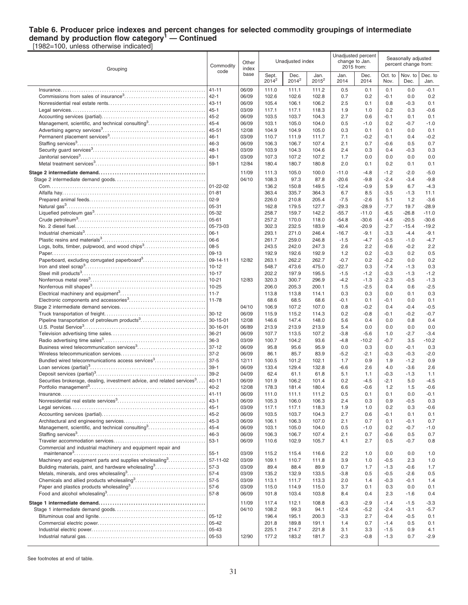### **Table 6. Producer price indexes and percent changes for selected commodity groupings of intermediate demand by production flow category<sup>1</sup> — Continued**

[1982=100, unless otherwise indicated]

| Grouping                                                                            | Commodity<br>code<br>$41 - 11$ |                | Other<br>index    |                  | Unadjusted index |              | change to Jan.   | Unadjusted percent<br>2015 from: |                  | Seasonally adjusted<br>percent change from: |  |
|-------------------------------------------------------------------------------------|--------------------------------|----------------|-------------------|------------------|------------------|--------------|------------------|----------------------------------|------------------|---------------------------------------------|--|
|                                                                                     |                                | base           | Sept.<br>$2014^2$ | Dec.<br>$2014^2$ | Jan.<br>$2015^2$ | Jan.<br>2014 | Dec.<br>2014     | Oct. to<br>Nov.                  | Nov. to<br>Dec.  | Dec. to<br>Jan.                             |  |
|                                                                                     |                                | 06/09          | 111.0             | 111.1            | 111.2            | 0.5          | 0.1              | 0.1                              | 0.0              | $-0.1$                                      |  |
|                                                                                     | $42 - 1$                       | 06/09          | 102.6             | 102.6            | 102.8            | 0.7          | 0.2              | $-0.1$                           | 0.0              | 0.2                                         |  |
|                                                                                     | $43 - 11$                      | 06/09          | 105.4             | 106.1            | 106.2            | 2.5          | 0.1              | 0.8                              | $-0.3$           | 0.1                                         |  |
|                                                                                     | $45 - 1$                       | 03/09          | 117.1             | 117.1            | 118.3            | 1.9          | 1.0              | 0.2                              | 0.3              | $-0.6$                                      |  |
|                                                                                     | $45 - 2$                       | 06/09          | 103.5             | 103.7            | 104.3            | 2.7          | 0.6              | $-0.1$                           | 0.1              | 0.1                                         |  |
| Management, scientific, and technical consulting <sup>3</sup>                       | $45 - 4$                       | 06/09          | 103.1             | 105.0            | 104.0            | 0.5          | $-1.0$           | 0.2                              | $-0.7$           | $-1.0$                                      |  |
|                                                                                     | 45-51                          | 12/08          | 104.9             | 104.9            | 105.0            | 0.3          | 0.1              | 0.1                              | 0.0              | 0.1                                         |  |
|                                                                                     | $46 - 1$                       | 03/09          | 110.7             | 111.9            | 111.7            | 7.1          | $-0.2$           | $-0.1$                           | 0.4              | $-0.2$                                      |  |
|                                                                                     | 46-3                           | 06/09          | 106.3             | 106.7            | 107.4            | 2.1          | 0.7              | $-0.6$                           | 0.5              | 0.7                                         |  |
|                                                                                     | $48 - 1$                       | 03/09          | 103.9             | 104.3            | 104.6            | 2.4          | 0.3              | 0.4                              | $-0.3$           | 0.3                                         |  |
|                                                                                     | 49-1                           | 03/09          | 107.3             | 107.2            | 107.2            | 1.7          | 0.0              | 0.0                              | 0.0              | 0.0                                         |  |
|                                                                                     | $59-1$                         | 12/84          | 180.4             | 180.7            | 180.8            | 2.0          | 0.1              | 0.2                              | 0.1              | 0.1                                         |  |
|                                                                                     |                                |                |                   |                  |                  |              |                  |                                  |                  |                                             |  |
|                                                                                     |                                | 11/09          | 111.3             | 105.0            | 100.0            | $-11.0$      | $-4.8$           | $-1.2$                           | $-2.0$           | $-5.0$                                      |  |
|                                                                                     |                                | 04/10          | 108.3             | 97.3             | 87.8             | $-20.6$      | $-9.8$           | $-2.4$                           | $-3.4$           | $-9.8$                                      |  |
|                                                                                     | $01 - 22 - 02$                 |                | 136.2             | 150.8            | 149.5            | $-12.4$      | $-0.9$           | 5.9                              | 6.7              | $-4.3$                                      |  |
|                                                                                     | $01 - 81$                      |                | 363.4             | 335.7            | 364.3            | 6.7          | 8.5              | $-3.5$                           | $-1.3$           | 11.1                                        |  |
|                                                                                     | $02 - 9$                       |                | 226.0             | 210.8            | 205.4            | $-7.5$       | $-2.6$           | 5.1                              | 1.2              | $-3.6$                                      |  |
|                                                                                     | 05-31                          |                | 162.8             | 179.5            | 127.7            | $-29.3$      | $-28.9$          | $-7.7$                           | 19.7             | $-28.9$                                     |  |
|                                                                                     | 05-32                          |                | 258.7             | 159.7            | 142.2            | $-55.7$      | $-11.0$          | -6.5                             | $-26.8$          | $-11.0$                                     |  |
|                                                                                     | $05 - 61$                      |                | 257.2             | 170.0            | 118.0            | $-54.8$      | $-30.6$          | $-4.6$                           | $-20.5$          | $-30.6$                                     |  |
|                                                                                     | 05-73-03                       |                | 302.3             | 232.5            | 183.9            | $-40.4$      | $-20.9$          | $-2.7$                           | $-15.4$          | $-19.2$                                     |  |
|                                                                                     | $06-1$                         |                | 293.1             | 271.0            | 246.4            | $-16.7$      | $-9.1$           | $-3.3$                           | $-4.4$           | $-9.1$                                      |  |
|                                                                                     | 06-6                           |                | 261.7             | 259.0            | 246.8            | $-1.5$       | $-4.7$           | $-0.5$                           | $-1.0$           | $-4.7$                                      |  |
| Logs, bolts, timber, pulpwood, and wood chips <sup>3</sup>                          | $08 - 5$                       |                | 243.5             | 242.0            | 247.3            | 2.6          | 2.2              | $-0.6$                           | $-0.2$           | 2.2                                         |  |
|                                                                                     | 09-13                          |                | 192.9             | 192.6            | 192.9            | 1.2          | 0.2              | $-0.3$                           | 0.2              | 0.5                                         |  |
| Paperboard, excluding corrugated paperboard <sup>3</sup>                            | 09-14-11                       | 12/82          | 263.1             | 262.2            | 262.7            | $-0.7$       | 0.2              | $-0.2$                           | 0.0              | 0.2                                         |  |
|                                                                                     | $10 - 12$                      |                | 548.7             | 473.6            | 475.0            | $-22.7$      | 0.3              | $-7.4$                           | $-1.3$           | 0.3                                         |  |
|                                                                                     | $10 - 17$                      |                | 202.2             | 197.9            | 195.5            | $-1.5$       | $-1.2$           | $-0.3$                           | $-1.3$           | $-1.2$                                      |  |
|                                                                                     | $10 - 21$                      | 12/83          | 320.3             | 300.7            | 296.9            | $-4.2$       | $-1.3$           | $-2.3$                           | $-0.5$           | $-1.3$                                      |  |
|                                                                                     | $10 - 25$                      |                | 206.0             | 205.3            | 200.1            | 1.5          | $-2.5$           | 0.4                              | 0.6              | $-2.5$                                      |  |
|                                                                                     | $11 - 7$                       |                | 113.8             | 113.8            | 114.1            | 0.3          | 0.3              | 0.0                              | 0.1              | 0.3                                         |  |
|                                                                                     | 11-78                          |                | 68.6              | 68.5             | 68.6             | $-0.1$       | 0.1              | $-0.1$                           | 0.0              | 0.1<br>$-0.5$                               |  |
|                                                                                     | $30 - 12$                      | 04/10<br>06/09 | 106.9<br>115.9    | 107.2<br>115.2   | 107.0<br>114.3   | 0.8<br>0.2   | $-0.2$<br>$-0.8$ | 0.4<br>$-0.1$                    | $-0.4$<br>$-0.2$ | $-0.7$                                      |  |
| Pipeline transportation of petroleum products <sup>3</sup>                          | $30 - 15 - 01$                 | 12/08          | 146.6             | 147.4            | 148.0            | 5.6          | 0.4              | 0.0                              | 0.8              | 0.4                                         |  |
|                                                                                     | 30-16-01                       | 06/89          | 213.9             | 213.9            | 213.9            | 5.4          | 0.0              | 0.0                              | 0.0              | 0.0                                         |  |
|                                                                                     | $36 - 21$                      | 06/09          | 107.7             | 113.5            | 107.2            | $-3.8$       | $-5.6$           | 1.0                              | $-2.7$           | $-3.4$                                      |  |
|                                                                                     | $36-3$                         | 03/09          | 100.7             | 104.2            | 93.6             | $-4.8$       | $-10.2$          | $-0.7$                           | 3.5              | $-10.2$                                     |  |
| Business wired telecommunication services <sup>3</sup>                              | $37 - 12$                      | 06/09          | 95.8              | 95.6             | 95.9             | 0.0          | 0.3              | 0.0                              | $-0.1$           | 0.3                                         |  |
|                                                                                     | $37 - 2$                       | 06/09          | 86.1              | 85.7             | 83.9             | $-5.2$       | $-2.1$           | $-0.3$                           | $-0.3$           | $-2.0$                                      |  |
| Bundled wired telecommunications access services <sup>3</sup>                       | $37-5$                         | 12/11          | 100.5             | 101.2            | 102.1            | 1.7          | 0.9              | 1.9                              | $-1.2$           | 0.9                                         |  |
|                                                                                     | $39-1$                         | 06/09          | 133.4             | 129.4            | 132.8            | $-6.6$       | 2.6              | 4.0                              | $-3.6$           | 2.6                                         |  |
|                                                                                     | $39 - 2$                       | 04/09          | 62.4              | 61.1             | 61.8             | 5.1          | 1.1              | $-0.3$                           | $-1.3$           | 1.1                                         |  |
| Securities brokerage, dealing, investment advice, and related services <sup>3</sup> | $40 - 11$                      | 06/09          | 101.9             | 106.2            | 101.4            | 0.2          | $-4.5$           | $-2.1$                           | 5.0              | $-4.5$                                      |  |
|                                                                                     | $40 - 2$                       | 12/08          | 178.3             | 181.4            | 180.4            | 6.6          | $-0.6$           | 1.2                              | 1.5              | $-0.6$                                      |  |
|                                                                                     | $41 - 11$                      | 06/09          | 111.0             | 111.1            | 111.2            | 0.5          | 0.1              | 0.1                              | 0.0              | $-0.1$                                      |  |
|                                                                                     | $43 - 1$                       | 06/09          | 105.3             | 106.0            | 106.3            | 2.4          | 0.3              | 0.9                              | $-0.5$           | 0.3                                         |  |
|                                                                                     | $45 - 1$                       | 03/09          | 117.1             | 117.1            | 118.3            | 1.9          | 1.0              | 0.2                              | 0.3              | $-0.6$                                      |  |
|                                                                                     | 45-2                           | 06/09          | 103.5             | 103.7            | 104.3            | 2.7          | 0.6              | $-0.1$                           | 0.1              | 0.1                                         |  |
|                                                                                     | 45-3                           | 06/09          | 106.1             | 106.3            | 107.0            | 2.1          | 0.7              | 0.1                              | $-0.1$           | 0.7                                         |  |
| Management, scientific, and technical consulting <sup>3</sup>                       | 45-4                           | 06/09          | 103.1             | 105.0            | 104.0            | 0.5          | $-1.0$           | 0.2                              | $-0.7$           | $-1.0$                                      |  |
|                                                                                     | $46 - 3$                       | 06/09          | 106.3             | 106.7            | 107.4            | 2.1          | 0.7              | -0.6                             | 0.5              | 0.7                                         |  |
|                                                                                     | $53-1$                         | 06/09          | 110.6             | 102.9            | 105.7            | 4.1          | 2.7              | 0.5                              | $-0.7$           | 0.8                                         |  |
| Commercial and industrial machinery and equipment repair and                        |                                |                |                   |                  |                  |              |                  |                                  |                  |                                             |  |
|                                                                                     | $55 - 1$                       | 03/09          | 115.2             | 115.4            | 116.6            | 2.2          | 1.0              | 0.0                              | 0.0              | 1.0                                         |  |
| Machinery and equipment parts and supplies wholesaling <sup>3</sup>                 | 57-11-02                       | 03/09          | 109.1             | 110.7            | 111.8            | 3.9          | 1.0              | $-0.5$                           | 2.3              | 1.0                                         |  |
| Building materials, paint, and hardware wholesaling <sup>3</sup>                    | $57-3$                         | 03/09          | 89.4              | 88.4             | 89.9             | 0.7          | 1.7              | $-1.3$                           | $-0.6$           | 1.7                                         |  |
|                                                                                     | $57 - 4$                       | 03/09          | 135.2             | 132.9            | 133.5            | $-3.8$       | 0.5              | $-0.5$                           | $-2.6$           | 0.5                                         |  |
|                                                                                     | $57-5$                         | 03/09          | 113.1             | 111.7            | 113.3            | 2.0          | 1.4              | $-0.3$                           | $-0.1$           | 1.4                                         |  |
|                                                                                     |                                | 03/09          | 115.0             | 114.9            | 115.0            | 3.7          | 0.1              | 0.3                              | 0.0              | 0.1                                         |  |
|                                                                                     |                                | 06/09          | 101.8             | 103.4            | 103.8            | 8.4          | 0.4              | 2.3                              | $-1.6$           | 0.4                                         |  |
|                                                                                     |                                | 11/09          | 117.4             | 112.1            | 108.8            | $-6.3$       | $-2.9$           | $-1.4$                           | $-1.5$           | $-3.3$                                      |  |
|                                                                                     |                                | 04/10          | 108.2             | 99.3             | 94.1             | $-12.4$      | $-5.2$           | $-2.4$                           | $-3.1$           | $-5.7$                                      |  |
|                                                                                     | $05 - 12$                      |                | 196.4             | 195.1            | 200.3            | $-3.3$       | 2.7              | $-0.4$                           | $-0.5$           | 0.1                                         |  |
|                                                                                     | $05 - 42$                      |                | 201.8             | 189.8            | 191.1            | 1.4          | 0.7              | $-1.4$                           | 0.5              | 0.1                                         |  |
|                                                                                     | 05-43                          |                | 225.1             | 214.7            | 221.8            | 3.1          | 3.3              | $-1.5$                           | 0.9              | 4.1                                         |  |
|                                                                                     | 05-53                          | 12/90          | 177.2             | 183.2            | 181.7            | $-2.3$       | $-0.8$           | $-1.3$                           | 0.7              | $-2.9$                                      |  |
|                                                                                     |                                |                |                   |                  |                  |              |                  |                                  |                  |                                             |  |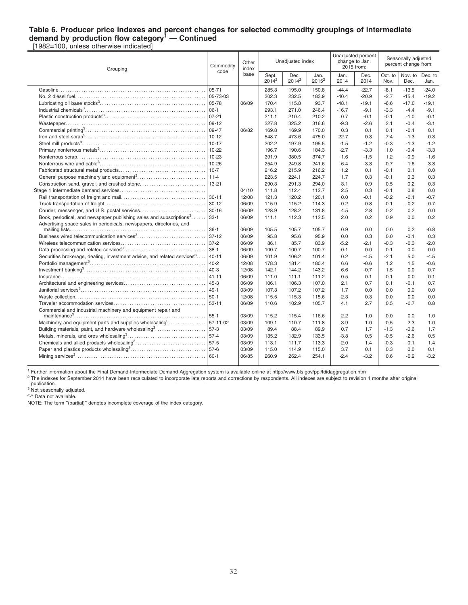### **Table 6. Producer price indexes and percent changes for selected commodity groupings of intermediate demand by production flow category<sup>1</sup> — Continued**

[1982=100, unless otherwise indicated] Grouping Commodity code Other index base Unadjusted index Unadjusted percent change to Jan. 2015 from: Seasonally adjusted percent change from: Sept.  $2014^2$ Dec.  $2014^2$ Jan. 2015<sup>2</sup> Jan. 2014 Dec. 2014 Oct. to Nov. Nov. to Dec. Dec. to Jan. Gasoline. . . . . . . . . . . . . . . . . . . . . . . . . . . . . . . . . . . . . . . . . . . . . . . . . . . . . . . . . . . . . . . . 05-71 285.3 195.0 150.8 -44.4 -22.7 -8.1 -13.5 -24.0 No. 2 diesel fuel. . . . . . . . . . . . . . . . . . . . . . . . . . . . . . . . . . . . . . . . . . . . . . . . . . . . . . . . . 05-73-03 302.3 232.5 183.9 -40.4 -20.9 -2.7 -15.4 -19.2 Lubricating oil base stocks<sup>3</sup> . . . . . . . . . . . . . . . . . . . . . . . . . . . . . . . . . . . . . . . . . . . . . . 05-78 06/09 170.4 115.8 93.7 -48.1 -19.1 -6.6 -17.0 -19.1 Industrial chemicals<sup>3</sup> . . . . . . . . . . . . . . . . . . . . . . . . . . . . . . . . . . . . . . . . . . . . . . . . . . . . . 06-1 293.1 271.0 246.4 -16.7 -9.1 -3.3 -4.4 -9.1 Plastic construction products<sup>3</sup> . . . . . . . . . . . . . . . . . . . . . . . . . . . . . . . . . . . . . . . . . . . . 07-21 211.1 210.4 210.2 0.7 -0.1 -0.1 -1.0 -0.1 Wastepaper. . . . . . . . . . . . . . . . . . . . . . . . . . . . . . . . . . . . . . . . . . . . . . . . . . . . . . . . . . . . . 09-12 327.8 325.2 316.6 -9.3 -2.6 2.1 -0.4 -3.1 Commercial printing<sup>3</sup> . . . . . . . . . . . . . . . . . . . . . . . . . . . . . . . . . . . . . . . . . . . . . . . . . . . . 09-47 06/82 169.8 169.9 170.0 0.3 0.1 0.1 -0.1 0.1 Iron and steel scrap<sup>3</sup> . . . . . . . . . . . . . . . . . . . . . . . . . . . . . . . . . . . . . . . . . . . . . . . . . . . . 10-12 548.7 473.6 475.0 -22.7 0.3 -7.4 -1.3 0.3 Steel mill products<sup>3</sup> . . . . . . . . . . . . . . . . . . . . . . . . . . . . . . . . . . . . . . . . . . . . . . . . . . . . . . 10-17 202.2 197.9 195.5 -1.5 -1.2 -0.3 -1.3 -1.2 Primary nonferrous metals<sup>3</sup> . . . . . . . . . . . . . . . . . . . . . . . . . . . . . . . . . . . . . . . . . . . . . . 10-22 196.7 190.6 184.3 -2.7 -3.3 1.0 -0.4 -3.3 Nonferrous scrap. . . . . . . . . . . . . . . . . . . . . . . . . . . . . . . . . . . . . . . . . . . . . . . . . . . . . . . . 10-23 391.9 380.5 374.7 1.6 -1.5 1.2 -0.9 -1.6 Nonferrous wire and cable<sup>3</sup> . . . . . . . . . . . . . . . . . . . . . . . . . . . . . . . . . . . . . . . . . . . . . . 10-26 254.9 249.8 241.6 -6.4 -3.3 -0.7 -1.6 -3.3 Fabricated structural metal products. . . . . . . . . . . . . . . . . . . . . . . . . . . . . . . . . . . . . . 10-7 216.2 215.9 216.2 1.2 0.1 -0.1 0.1 0.0 General purpose machinery and equipment<sup>3</sup>............................| 11-4 | | 223.5 224.1 224.7 | 1.7 0.3 | -0.1 0.3 0.3 Construction sand, gravel, and crushed stone. . . . . . . . . . . . . . . . . . . . . . . . . . . . 13-21 290.3 291.3 294.0 3.1 0.9 0.5 0.2 0.3 Stage 1 intermediate demand services. . . . . . . . . . . . . . . . . . . . . . . . . . . . . . . . . . . . . 04/10 111.8 112.4 112.7 2.5 0.3 -0.1 0.8 0.0 Rail transportation of freight and mail. . . . . . . . . . . . . . . . . . . . . . . . . . . . . . . . . . . . . 30-11 12/08 121.3 120.2 120.1 0.0 -0.1 -0.2 -0.1 -0.7 Truck transportation of freight. . . . . . . . . . . . . . . . . . . . . . . . . . . . . . . . . . . . . . . . . . . . 30-12 06/09 115.9 115.2 114.3 0.2 -0.8 -0.1 -0.2 -0.7 Courier, messenger, and U.S. postal services. . . . . . . . . . . . . . . . . . . . . . . . . . . . 30-16 06/09 128.9 128.2 131.8 4.5 2.8 0.2 0.2 0.0 Book, periodical, and newspaper publishing sales and subscriptions $3, \ldots$ . ......|33-1 | 06/09 | 111.1 112.3 112.5 | 2.0 0.2 | 0.9 0.0 0.2 Advertising space sales in periodicals, newspapers, directories, and mailing lists. . . . . . . . . . . . . . . . . . . . . . . . . . . . . . . . . . . . . . . . . . . . . . . . . . . . . . . . . . . 36-1 06/09 105.5 105.7 105.7 0.9 0.0 0.0 0.2 -0.8 Business wired telecommunication services<sup>3</sup> . . . . . . . . . . . . . . . . . . . . . . . . . . . . . . 37-12 06/09 95.8 95.6 95.9 0.0 0.3 0.0 -0.1 0.3 Wireless telecommunication services. . . . . . . . . . . . . . . . . . . . . . . . . . . . . . . . . . . . . 37-2 06/09 86.1 85.7 83.9 -5.2 -2.1 -0.3 -0.3 -2.0 Data processing and related services<sup>3</sup> . . . . . . . . . . . . . . . . . . . . . . . . . . . . . . . . . . . . 38-1 06/09 100.7 100.7 100.7 -0.1 0.0 0.1 0.0 0.0 Securities brokerage, dealing, investment advice, and related services $3 \ldots$ ....|40-11 |06/09 | 101.9 106.2 101.4 | 0.2 -4.5 | -2.1 5.0 -4.5 Portfolio management<sup>3</sup> . . . . . . . . . . . . . . . . . . . . . . . . . . . . . . . . . . . . . . . . . . . . . . . . . . 40-2 12/08 178.3 181.4 180.4 6.6 -0.6 1.2 1.5 -0.6 Investment banking<sup>3</sup> . . . . . . . . . . . . . . . . . . . . . . . . . . . . . . . . . . . . . . . . . . . . . . . . . . . . . 40-3 12/08 142.1 144.2 143.2 6.6 -0.7 1.5 0.0 -0.7 Insurance. . . . . . . . . . . . . . . . . . . . . . . . . . . . . . . . . . . . . . . . . . . . . . . . . . . . . . . . . . . . . . . 41-11 06/09 111.0 111.1 111.2 0.5 0.1 0.1 0.0 -0.1 Architectural and engineering services. . . . . . . . . . . . . . . . . . . . . . . . . . . . . . . . . . . . 45-3 06/09 106.1 106.3 107.0 2.1 0.7 0.1 -0.1 0.7 Janitorial services<sup>3</sup> . . . . . . . . . . . . . . . . . . . . . . . . . . . . . . . . . . . . . . . . . . . . . . . . . . . . . . 49-1 03/09 107.3 107.2 107.2 1.7 0.0 0.0 0.0 0.0 Waste collection. . . . . . . . . . . . . . . . . . . . . . . . . . . . . . . . . . . . . . . . . . . . . . . . . . . . . . . . . 50-1 12/08 115.5 115.3 115.6 2.3 0.3 0.0 0.0 0.0 Traveler accommodation services. . . . . . . . . . . . . . . . . . . . . . . . . . . . . . . . . . . . . . . . 53-11 06/09 110.6 102.9 105.7 4.1 2.7 0.5 -0.7 0.8 Commercial and industrial machinery and equipment repair and maintenance<sup>3</sup> . . . . . . . . . . . . . . . . . . . . . . . . . . . . . . . . . . . . . . . . . . . . . . . . . . . . . . . . . 55-1 03/09 115.2 115.4 116.6 2.2 1.0 0.0 0.0 1.0 Machinery and equipment parts and supplies wholesaling<sup>3</sup> . . . . . . . . . . . . . . . . 57-11-02 03/09 109.1 110.7 111.8 3.9 1.0 -0.5 2.3 1.0 Building materials, paint, and hardware wholesaling<sup>3</sup>...................| 57-3  $\qquad$  | 03/09 | 89.4 88.4 89.9 | 0.7 1.7 | -1.3 -0.6 1.7 Metals, minerals, and ores wholesaling<sup>3</sup> . . . . . . . . . . . . . . . . . . . . . . . . . . . . . . . . . . 57-4 03/09 135.2 132.9 133.5 -3.8 0.5 -0.5 -2.6 0.5 Chemicals and allied products wholesaling<sup>3</sup>..............................| 57-5  $\qquad$  | 03/09 | 113.1 111.7 113.3 | 2.0 1.4 | -0.3 -0.1 1.4 Paper and plastics products wholesaling<sup>3</sup> . . . . . . . . . . . . . . . . . . . . . . . . . . . . . . . . . 57-6 03/09 115.0 114.9 115.0 3.7 0.1 0.3 0.0 0.1 Mining services<sup>3</sup> . . . . . . . . . . . . . . . . . . . . . . . . . . . . . . . . . . . . . . . . . . . . . . . . . . . . . . . . . 60-1 06/85 260.9 262.4 254.1 -2.4 -3.2 0.6 -0.2 -3.2

<sup>1</sup> Further information about the Final Demand-Intermediate Demand Aggregation system is available online at http://www.bls.gov/ppi/fdidaggregation.htm

<sup>2</sup> The indexes for September 2014 have been recalculated to incorporate late reports and corrections by respondents. All indexes are subject to revision 4 months after original<br>publication.

<sup>3</sup> Not seasonally adjusted.

″-″ Data not available.

NOTE: The term ″(partial)″ denotes incomplete coverage of the index category.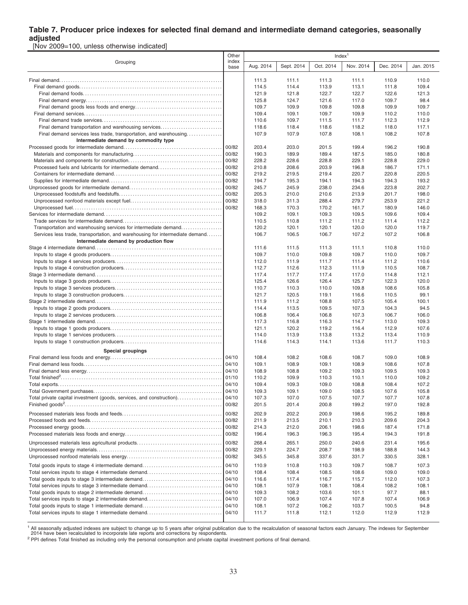### **Table 7. Producer price indexes for selected final demand and intermediate demand categories, seasonally adjusted**

[Nov 2009=100, unless otherwise indicated]

|                                                                              | Other         |                | Index <sup>1</sup> |                |                |                |                |  |  |
|------------------------------------------------------------------------------|---------------|----------------|--------------------|----------------|----------------|----------------|----------------|--|--|
| Grouping                                                                     | index<br>base | Aug. 2014      | Sept. 2014         | Oct. 2014      | Nov. 2014      | Dec. 2014      | Jan. 2015      |  |  |
|                                                                              |               | 111.3          | 111.1              | 111.3          | 111.1          | 110.9          | 110.0          |  |  |
|                                                                              |               | 114.5          | 114.4              | 113.9          | 113.1          | 111.8          | 109.4          |  |  |
|                                                                              |               | 121.9          | 121.8              | 122.7          | 122.7          | 122.6          | 121.3          |  |  |
|                                                                              |               | 125.8          | 124.7              | 121.6          | 117.0          | 109.7          | 98.4           |  |  |
|                                                                              |               | 109.7          | 109.9              | 109.8          | 109.8          | 109.9          | 109.7          |  |  |
|                                                                              |               | 109.4          | 109.1              | 109.7          | 109.9          | 110.2          | 110.0          |  |  |
|                                                                              |               | 110.6          | 109.7              | 111.5          | 111.7          | 112.3          | 112.9          |  |  |
| Final demand transportation and warehousing services                         |               | 118.6          | 118.4              | 118.6          | 118.2          | 118.0          | 117.1          |  |  |
| Final demand services less trade, transportation, and warehousing            |               | 107.9          | 107.9              | 107.8          | 108.1          | 108.2          | 107.8          |  |  |
| Intermediate demand by commodity type                                        |               |                |                    |                |                |                |                |  |  |
|                                                                              | 00/82         | 203.4          | 203.0              | 201.5          | 199.4          | 196.2          | 190.8          |  |  |
|                                                                              | 00/82         | 190.3          | 189.9              | 189.4          | 187.5          | 185.0          | 180.8          |  |  |
|                                                                              | 00/82         | 228.2          | 228.6              | 228.8          | 229.1          | 228.8          | 229.0          |  |  |
| Processed fuels and lubricants for intermediate demand                       | 00/82         | 210.8          | 208.6              | 203.9          | 196.8          | 186.7          | 171.1          |  |  |
|                                                                              | 00/82         | 219.2          | 219.5              | 219.4          | 220.7          | 220.8          | 220.5          |  |  |
|                                                                              | 00/82         | 194.7          | 195.3              | 194.1          | 194.3          | 194.3          | 193.2          |  |  |
|                                                                              | 00/82         | 245.7          | 245.9              | 238.0          | 234.6          | 223.8          | 202.7          |  |  |
|                                                                              | 00/82         | 205.3          | 210.0              | 210.6          | 213.9          | 201.7          | 198.0          |  |  |
|                                                                              | 00/82         | 318.0          | 311.3              | 288.4          | 279.7          | 253.9          | 221.2          |  |  |
|                                                                              | 00/82         | 168.3          | 170.3              | 170.2          | 161.7          | 180.9          | 146.0          |  |  |
|                                                                              |               | 109.2          | 109.1              | 109.3          | 109.5          | 109.6          | 109.4          |  |  |
|                                                                              |               | 110.5          | 110.8              | 111.2          | 111.2          | 111.4          | 112.2          |  |  |
| Transportation and warehousing services for intermediate demand              |               | 120.2          | 120.1              | 120.1          | 120.0          | 120.0          | 119.7          |  |  |
| Services less trade, transportation, and warehousing for intermediate demand |               | 106.7          | 106.5              | 106.7          | 107.2          | 107.2          | 106.8          |  |  |
| Intermediate demand by production flow                                       |               |                |                    |                |                |                |                |  |  |
|                                                                              |               | 111.6          | 111.5              | 111.3          | 111.1          | 110.8          | 110.0          |  |  |
|                                                                              |               | 109.7          | 110.0              | 109.8          | 109.7          | 110.0          | 109.7          |  |  |
|                                                                              |               | 112.0          | 111.9              | 111.7          | 111.4          | 111.2          | 110.6          |  |  |
|                                                                              |               | 112.7          | 112.6              | 112.3          | 111.9          | 110.5          | 108.7          |  |  |
|                                                                              |               | 117.4          | 117.7              | 117.4          | 117.0          | 114.8          | 112.1<br>120.0 |  |  |
|                                                                              |               | 125.4          | 126.6              | 126.4          | 125.7          | 122.3          |                |  |  |
|                                                                              |               | 110.7<br>121.7 | 110.3<br>120.5     | 110.0<br>119.1 | 109.8<br>116.6 | 108.6<br>110.5 | 105.8<br>99.1  |  |  |
|                                                                              |               | 111.9          | 111.2              | 108.8          | 107.5          | 105.4          | 100.1          |  |  |
|                                                                              |               | 114.4          | 113.5              | 109.5          | 107.3          | 104.3          | 94.5           |  |  |
|                                                                              |               | 106.8          | 106.4              | 106.8          | 107.3          | 106.7          | 106.0          |  |  |
|                                                                              |               | 117.3          | 116.8              | 116.3          | 114.7          | 113.0          | 109.3          |  |  |
|                                                                              |               | 121.1          | 120.2              | 119.2          | 116.4          | 112.9          | 107.6          |  |  |
|                                                                              |               | 114.0          | 113.9              | 113.8          | 113.2          | 113.4          | 110.9          |  |  |
|                                                                              |               | 114.6          | 114.3              | 114.1          | 113.6          | 111.7          | 110.3          |  |  |
|                                                                              |               |                |                    |                |                |                |                |  |  |
| Special groupings                                                            | 04/10         |                |                    |                |                |                |                |  |  |
|                                                                              | 04/10         | 108.4<br>109.1 | 108.2<br>108.9     | 108.6<br>109.1 | 108.7<br>108.9 | 109.0<br>108.6 | 108.9<br>107.8 |  |  |
|                                                                              | 04/10         | 108.9          | 108.8              | 109.2          | 109.3          | 109.5          | 109.3          |  |  |
|                                                                              | 01/10         | 110.2          | 109.9              | 110.3          | 110.1          | 110.0          | 109.2          |  |  |
|                                                                              | 04/10         | 109.4          | 109.3              | 109.0          | 108.8          | 108.4          | 107.2          |  |  |
|                                                                              | 04/10         | 109.3          | 109.1              | 109.0          | 108.5          | 107.6          | 105.8          |  |  |
| Total private capital investment (goods, services, and construction).        | 04/10         | 107.3          | 107.0              | 107.5          | 107.7          | 107.7          | 107.8          |  |  |
|                                                                              | 00/82         | 201.5          | 201.4              | 200.8          | 199.2          | 197.0          | 192.8          |  |  |
|                                                                              |               |                |                    |                |                |                |                |  |  |
|                                                                              | 00/82         | 202.9          | 202.2              | 200.9          | 198.6          | 195.2          | 189.8          |  |  |
|                                                                              | 00/82         | 211.9          | 213.5              | 210.1          | 210.3          | 209.6          | 204.3          |  |  |
|                                                                              | 00/82         | 214.3          | 212.0              | 206.1          | 198.6          | 187.4          | 171.8          |  |  |
|                                                                              | 00/82         | 196.4          | 196.3              | 196.3          | 195.4          | 194.3          | 191.8          |  |  |
|                                                                              | 00/82         | 268.4          | 265.1              | 250.0          | 240.6          | 231.4          | 195.6          |  |  |
|                                                                              | 00/82         | 229.1          | 224.7              | 208.7          | 198.9          | 188.8          | 144.3          |  |  |
|                                                                              | 00/82         | 345.5          | 345.8              | 337.6          | 331.7          | 330.5          | 328.1          |  |  |
| Total goods inputs to stage 4 intermediate demand                            | 04/10         | 110.9          | 110.8              | 110.3          | 109.7          | 108.7          | 107.3          |  |  |
| Total services inputs to stage 4 intermediate demand                         | 04/10         | 108.4          | 108.4              | 108.5          | 108.6          | 109.0          | 109.0          |  |  |
|                                                                              | 04/10         | 116.6          | 117.4              | 116.7          | 115.7          | 112.0          | 107.3          |  |  |
| Total services inputs to stage 3 intermediate demand                         | 04/10         | 108.1          | 107.9              | 108.1          | 108.4          | 108.2          | 108.1          |  |  |
| Total goods inputs to stage 2 intermediate demand                            | 04/10         | 109.3          | 108.2              | 103.6          | 101.1          | 97.7           | 88.1           |  |  |
| Total services inputs to stage 2 intermediate demand                         | 04/10         | 107.0          | 106.9              | 107.4          | 107.8          | 107.4          | 106.9          |  |  |
|                                                                              | 04/10         | 108.1          | 107.2              | 106.2          | 103.7          | 100.5          | 94.8           |  |  |
| Total services inputs to stage 1 intermediate demand                         | 04/10         | 111.7          | 111.8              | 112.1          | 112.0          | 112.9          | 112.9          |  |  |
|                                                                              |               |                |                    |                |                |                |                |  |  |

<sup>1</sup> All seasonally adjusted indexes are subject to change up to 5 years after original publication due to the recalculation of seasonal factors each January. The indexes for September<br>2014 have been recalculated to incorpo